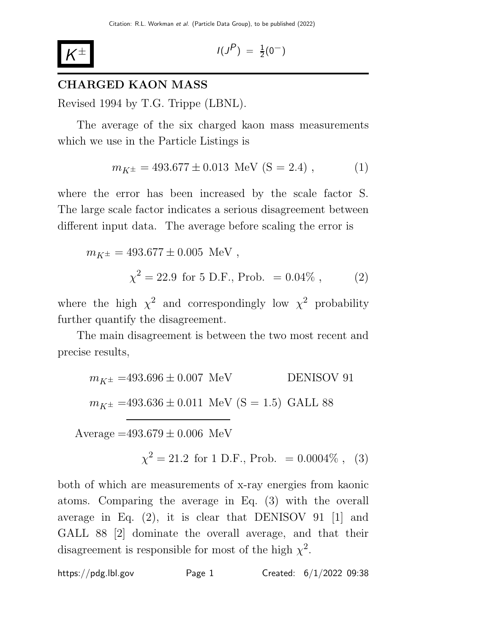

$$
I(J^P) \; = \; \tfrac{1}{2}(0^-)
$$

### CHARGED KAON MASS

Revised 1994 by T.G. Trippe (LBNL).

The average of the six charged kaon mass measurements which we use in the Particle Listings is

$$
m_{K^{\pm}} = 493.677 \pm 0.013 \text{ MeV (S = 2.4)}, \quad (1)
$$

where the error has been increased by the scale factor S. The large scale factor indicates a serious disagreement between different input data. The average before scaling the error is

$$
m_{K^{\pm}} = 493.677 \pm 0.005 \text{ MeV},
$$
  

$$
\chi^2 = 22.9 \text{ for } 5 \text{ D.F., Prob. } = 0.04\%, \qquad (2)
$$

where the high  $\chi^2$  and correspondingly low  $\chi^2$  probability further quantify the disagreement.

The main disagreement is between the two most recent and precise results,

$$
m_{K^{\pm}} = 493.696 \pm 0.007 \text{ MeV}
$$
 DENISOV 91  

$$
m_{K^{\pm}} = 493.636 \pm 0.011 \text{ MeV (S = 1.5) GALL 88}
$$

Average  $=493.679 \pm 0.006$  MeV

 $\chi^2 = 21.2$  for 1 D.F., Prob. = 0.0004\%, (3)

both of which are measurements of x-ray energies from kaonic atoms. Comparing the average in Eq. (3) with the overall average in Eq.  $(2)$ , it is clear that DENISOV 91 [1] and GALL 88 [2] dominate the overall average, and that their disagreement is responsible for most of the high  $\chi^2$ .

https://pdg.lbl.gov Page 1 Created:  $6/1/2022$  09:38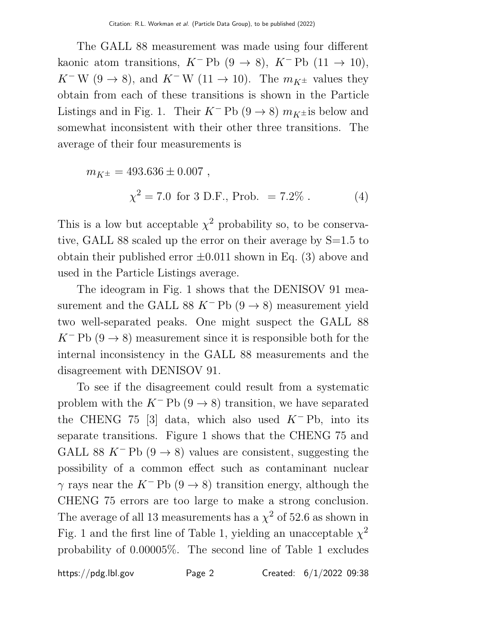The GALL 88 measurement was made using four different kaonic atom transitions,  $K^-$ Pb (9 → 8),  $K^-$ Pb (11 → 10), K<sup>-</sup> W (9  $\rightarrow$  8), and K<sup>-</sup> W (11  $\rightarrow$  10). The  $m_{K^{\pm}}$  values they obtain from each of these transitions is shown in the Particle Listings and in Fig. 1. Their  $K^-$  Pb (9  $\rightarrow$  8)  $m_{K\pm}$  is below and somewhat inconsistent with their other three transitions. The average of their four measurements is

$$
m_{K^{\pm}} = 493.636 \pm 0.007 ,
$$
  

$$
\chi^2 = 7.0 \text{ for } 3 \text{ D.F., Prob. } = 7.2\% .
$$
 (4)

This is a low but acceptable  $\chi^2$  probability so, to be conservative, GALL 88 scaled up the error on their average by S=1.5 to obtain their published error  $\pm 0.011$  shown in Eq. (3) above and used in the Particle Listings average.

The ideogram in Fig. 1 shows that the DENISOV 91 measurement and the GALL 88 K<sup>-</sup> Pb (9  $\rightarrow$  8) measurement yield two well-separated peaks. One might suspect the GALL 88  $K^-$  Pb  $(9 \rightarrow 8)$  measurement since it is responsible both for the internal inconsistency in the GALL 88 measurements and the disagreement with DENISOV 91.

To see if the disagreement could result from a systematic problem with the  $K^-$  Pb (9  $\rightarrow$  8) transition, we have separated the CHENG 75 [3] data, which also used  $K^-$  Pb, into its separate transitions. Figure 1 shows that the CHENG 75 and GALL 88 K<sup>-</sup> Pb (9  $\rightarrow$  8) values are consistent, suggesting the possibility of a common effect such as contaminant nuclear  $\gamma$  rays near the K<sup>-</sup> Pb (9  $\rightarrow$  8) transition energy, although the CHENG 75 errors are too large to make a strong conclusion. The average of all 13 measurements has a  $\chi^2$  of 52.6 as shown in Fig. 1 and the first line of Table 1, yielding an unacceptable  $\chi^2$ probability of 0.00005%. The second line of Table 1 excludes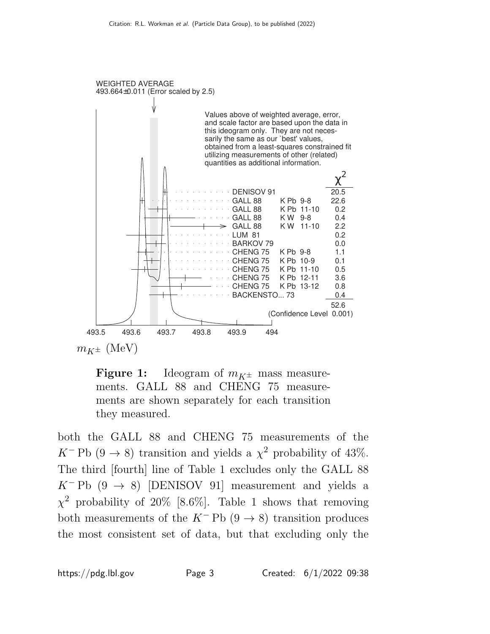



both the GALL 88 and CHENG 75 measurements of the K<sup>-</sup> Pb (9  $\rightarrow$  8) transition and yields a  $\chi^2$  probability of 43%. The third [fourth] line of Table 1 excludes only the GALL 88  $K^-$  Pb (9  $\rightarrow$  8) [DENISOV 91] measurement and yields a  $\chi^2$  probability of 20% [8.6%]. Table 1 shows that removing both measurements of the  $K^-$ Pb (9  $\rightarrow$  8) transition produces the most consistent set of data, but that excluding only the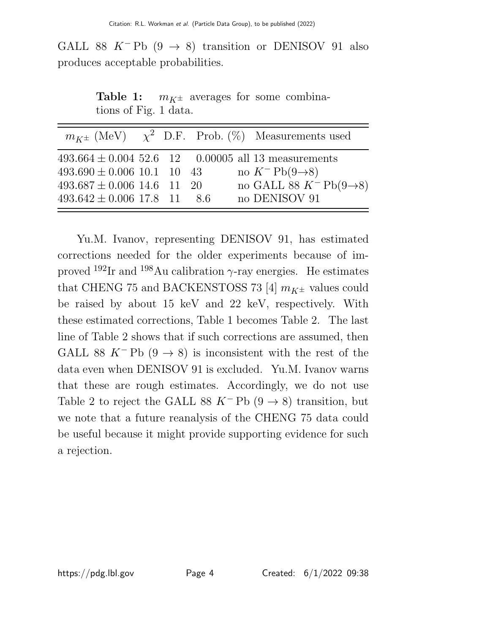GALL 88 K<sup>-</sup> Pb  $(9 \rightarrow 8)$  transition or DENISOV 91 also produces acceptable probabilities.

**Table 1:**  $m_{K^{\pm}}$  averages for some combinations of Fig. 1 data.

|                                 |  |  | $m_{K^{\pm}}$ (MeV) $\chi^2$ D.F. Prob. (%) Measurements used |
|---------------------------------|--|--|---------------------------------------------------------------|
|                                 |  |  | $493.664 \pm 0.004$ 52.6 12 0.00005 all 13 measurements       |
| $493.690 \pm 0.006$ 10.1 10 43  |  |  | no $K^-$ Pb $(9\rightarrow 8)$                                |
| $493.687 \pm 0.006$ 14.6 11 20  |  |  | no GALL 88 $K^-$ Pb(9 $\rightarrow$ 8)                        |
| $493.642 \pm 0.006$ 17.8 11 8.6 |  |  | no DENISOV 91                                                 |

Yu.M. Ivanov, representing DENISOV 91, has estimated corrections needed for the older experiments because of improved  $192$ Ir and  $198$ Au calibration  $\gamma$ -ray energies. He estimates that CHENG 75 and BACKENSTOSS 73 [4]  $m_{K^{\pm}}$  values could be raised by about 15 keV and 22 keV, respectively. With these estimated corrections, Table 1 becomes Table 2. The last line of Table 2 shows that if such corrections are assumed, then GALL 88 K<sup>-</sup> Pb  $(9 \rightarrow 8)$  is inconsistent with the rest of the data even when DENISOV 91 is excluded. Yu.M. Ivanov warns that these are rough estimates. Accordingly, we do not use Table 2 to reject the GALL 88 K<sup>-</sup> Pb  $(9 \rightarrow 8)$  transition, but we note that a future reanalysis of the CHENG 75 data could be useful because it might provide supporting evidence for such a rejection.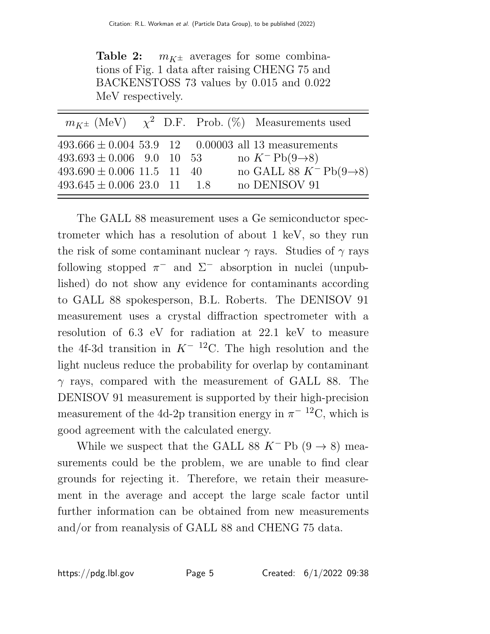**Table 2:**  $m_{K^{\pm}}$  averages for some combinations of Fig. 1 data after raising CHENG 75 and BACKENSTOSS 73 values by 0.015 and 0.022 MeV respectively.

|                                 |  |  | $m_{K^{\pm}}$ (MeV) $\chi^2$ D.F. Prob. (%) Measurements used |
|---------------------------------|--|--|---------------------------------------------------------------|
|                                 |  |  | $493.666 \pm 0.004$ 53.9 12 0.00003 all 13 measurements       |
| $493.693 \pm 0.006$ 9.0 10 53   |  |  | no $K^-$ Pb $(9\rightarrow 8)$                                |
| $493.690 \pm 0.006$ 11.5 11 40  |  |  | no GALL 88 $K^-$ Pb(9 $\rightarrow$ 8)                        |
| $493.645 \pm 0.006$ 23.0 11 1.8 |  |  | no DENISOV 91                                                 |

The GALL 88 measurement uses a Ge semiconductor spectrometer which has a resolution of about 1 keV, so they run the risk of some contaminant nuclear  $\gamma$  rays. Studies of  $\gamma$  rays following stopped  $\pi^-$  and  $\Sigma^-$  absorption in nuclei (unpublished) do not show any evidence for contaminants according to GALL 88 spokesperson, B.L. Roberts. The DENISOV 91 measurement uses a crystal diffraction spectrometer with a resolution of 6.3 eV for radiation at 22.1 keV to measure the 4f-3d transition in  $K^{-12}$ C. The high resolution and the light nucleus reduce the probability for overlap by contaminant  $\gamma$  rays, compared with the measurement of GALL 88. The DENISOV 91 measurement is supported by their high-precision measurement of the 4d-2p transition energy in  $\pi^{-12}C$ , which is good agreement with the calculated energy.

While we suspect that the GALL 88 K<sup>-</sup> Pb  $(9 \rightarrow 8)$  measurements could be the problem, we are unable to find clear grounds for rejecting it. Therefore, we retain their measurement in the average and accept the large scale factor until further information can be obtained from new measurements and/or from reanalysis of GALL 88 and CHENG 75 data.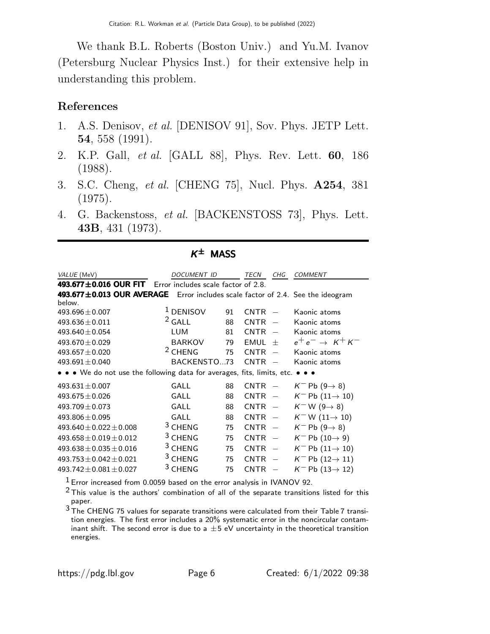We thank B.L. Roberts (Boston Univ.) and Yu.M. Ivanov (Petersburg Nuclear Physics Inst.) for their extensive help in understanding this problem.

### References

- 1. A.S. Denisov, et al. [DENISOV 91], Sov. Phys. JETP Lett. 54, 558 (1991).
- 2. K.P. Gall, et al. [GALL 88], Phys. Rev. Lett. 60, 186 (1988).
- 3. S.C. Cheng, et al. [CHENG 75], Nucl. Phys. A254, 381 (1975).
- 4. G. Backenstoss, et al. [BACKENSTOSS 73], Phys. Lett. 43B, 431 (1973).

| <i>VALUE</i> (MeV)                                                             | DOCUMENT ID                         |    | TECN        | CHG                      | <b>COMMENT</b>                           |
|--------------------------------------------------------------------------------|-------------------------------------|----|-------------|--------------------------|------------------------------------------|
| 493.677±0.016 OUR FIT                                                          | Error includes scale factor of 2.8. |    |             |                          |                                          |
| 493.677±0.013 OUR AVERAGE Error includes scale factor of 2.4. See the ideogram |                                     |    |             |                          |                                          |
| below.                                                                         |                                     |    |             |                          |                                          |
| $493.696 \pm 0.007$                                                            | <sup>1</sup> DENISOV                | 91 | <b>CNTR</b> |                          | Kaonic atoms                             |
| $493.636 \pm 0.011$                                                            | $2$ GALL                            | 88 | <b>CNTR</b> |                          | Kaonic atoms                             |
| 493.640 $\pm$ 0.054                                                            | <b>LUM</b>                          | 81 | <b>CNTR</b> |                          | Kaonic atoms                             |
| $493.670 \pm 0.029$                                                            | <b>BARKOV</b>                       | 79 | <b>EMUL</b> | $^{+}$                   | $e^+e^- \rightarrow K^+K^-$              |
| $493.657 \pm 0.020$                                                            | <sup>2</sup> CHENG                  | 75 | <b>CNTR</b> |                          | Kaonic atoms                             |
| 493.691 $\pm$ 0.040                                                            | BACKENSTO73                         |    | <b>CNTR</b> |                          | Kaonic atoms                             |
| • • • We do not use the following data for averages, fits, limits, etc. • • •  |                                     |    |             |                          |                                          |
| $493.631 \pm 0.007$                                                            | GALL                                | 88 | <b>CNTR</b> |                          | $K^-$ Pb (9 $\rightarrow$ 8)             |
| $493.675 \pm 0.026$                                                            | GALL                                | 88 | <b>CNTR</b> | $\overline{\phantom{a}}$ | $K^-$ Pb $(11 \rightarrow 10)$           |
| $493.709 \pm 0.073$                                                            | GALL                                | 88 | <b>CNTR</b> | $\hspace{0.1mm}$         | $K$ <sup>-</sup> W (9 $\rightarrow$ 8)   |
| 493.806 $\pm$ 0.095                                                            | GALL                                | 88 | <b>CNTR</b> | $\overline{\phantom{a}}$ | $K$ <sup>-</sup> W (11 $\rightarrow$ 10) |
| $493.640 \pm 0.022 \pm 0.008$                                                  | <sup>3</sup> CHENG                  | 75 | <b>CNTR</b> | $\overline{\phantom{0}}$ | $K^-$ Pb (9 $\rightarrow$ 8)             |
| $493.658 \pm 0.019 \pm 0.012$                                                  | <sup>3</sup> CHENG                  | 75 | <b>CNTR</b> |                          | $K^-$ Pb $(10 \rightarrow 9)$            |
| $493.638 \pm 0.035 \pm 0.016$                                                  | $3$ CHENG                           | 75 | <b>CNTR</b> |                          | $K^-$ Pb $(11 \rightarrow 10)$           |
| $493.753 \pm 0.042 \pm 0.021$                                                  | <sup>3</sup> CHENG                  | 75 | <b>CNTR</b> |                          | $K^-$ Pb (12 $\rightarrow$ 11)           |
| $493.742 \pm 0.081 \pm 0.027$                                                  | <sup>3</sup> CHENG                  | 75 | <b>CNTR</b> |                          | $K^-$ Pb (13 $\rightarrow$ 12)           |

### $K^{\pm}$  MASS

 $1$  Error increased from 0.0059 based on the error analysis in IVANOV 92.

 $2$  This value is the authors' combination of all of the separate transitions listed for this paper.

3 The CHENG 75 values for separate transitions were calculated from their Table 7 transition energies. The first error includes a 20% systematic error in the noncircular contaminant shift. The second error is due to a  $\pm$  5 eV uncertainty in the theoretical transition energies.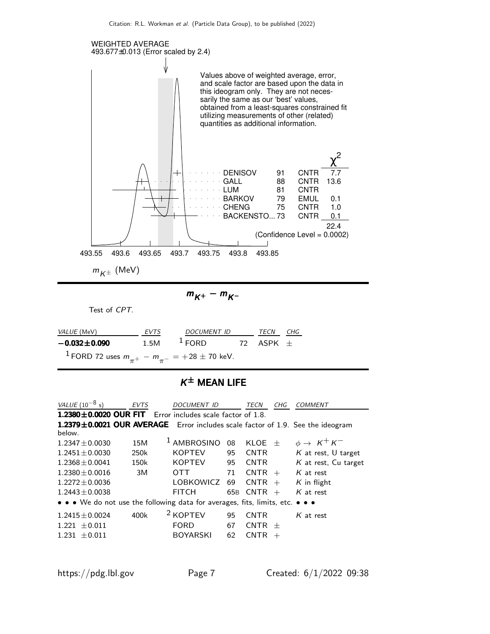

 $m_{K^{\pm}}$  (MeV)

$$
m_{K^+}-m_{K^-}
$$

Test of CPT.

| <i>VALUE</i> (MeV)                                                  | <b>EVTS</b> | DOCUMENT ID | TECN      | CHG |
|---------------------------------------------------------------------|-------------|-------------|-----------|-----|
| $-0.032 \pm 0.090$                                                  | 1.5M        | $\pm$ FORD  | 72 ASPK + |     |
| <sup>1</sup> FORD 72 uses $m_{\pi^+} - m_{\pi^-} = +28 \pm 70$ keV. |             |             |           |     |

#### $K^{\pm}$  Mean life

| VALUE $(10^{-8} s)$  | <b>EVTS</b> | <b>DOCUMENT ID</b>                                                            |     | TECN<br>CHG           | <i>COMMENT</i>                                                                 |
|----------------------|-------------|-------------------------------------------------------------------------------|-----|-----------------------|--------------------------------------------------------------------------------|
|                      |             | 1.2380 $\pm$ 0.0020 OUR FIT Error includes scale factor of 1.8.               |     |                       |                                                                                |
|                      |             |                                                                               |     |                       | 1.2379±0.0021 OUR AVERAGE Error includes scale factor of 1.9. See the ideogram |
| below.               |             |                                                                               |     |                       |                                                                                |
| $1.2347 \pm 0.0030$  | 15M         | <sup>1</sup> AMBROSINO                                                        | 08  | KLOE<br>$+$           | $\phi \rightarrow K^+ K^-$                                                     |
| $1.2451 \pm 0.0030$  | 250k        | <b>KOPTEV</b>                                                                 | 95  | <b>CNTR</b>           | $K$ at rest, U target                                                          |
| $1.2368 + 0.0041$    | 150k        | <b>KOPTEV</b>                                                                 | 95  | <b>CNTR</b>           | $K$ at rest. Cu target                                                         |
| $1.2380 \pm 0.0016$  | 3M          | <b>OTT</b>                                                                    | 71  | <b>CNTR</b><br>$+$    | $K$ at rest                                                                    |
| $1.2272 \pm 0.0036$  |             | LOBKOWICZ                                                                     | 69  | <b>CNTR</b><br>$+$    | $K$ in flight                                                                  |
| $1.2443 \pm 0.0038$  |             | <b>FITCH</b>                                                                  | 65B | <b>CNTR</b><br>$+$    | $K$ at rest                                                                    |
|                      |             | • • • We do not use the following data for averages, fits, limits, etc. • • • |     |                       |                                                                                |
| $1.2415 \pm 0.0024$  | 400k        | <sup>2</sup> KOPTEV                                                           | 95  | <b>CNTR</b>           | $K$ at rest                                                                    |
| $\pm 0.011$<br>1.221 |             | <b>FORD</b>                                                                   | 67  | <b>CNTR</b><br>$+$    |                                                                                |
| $+0.011$<br>1.231    |             | <b>BOYARSKI</b>                                                               | 62  | <b>CNTR</b><br>$^{+}$ |                                                                                |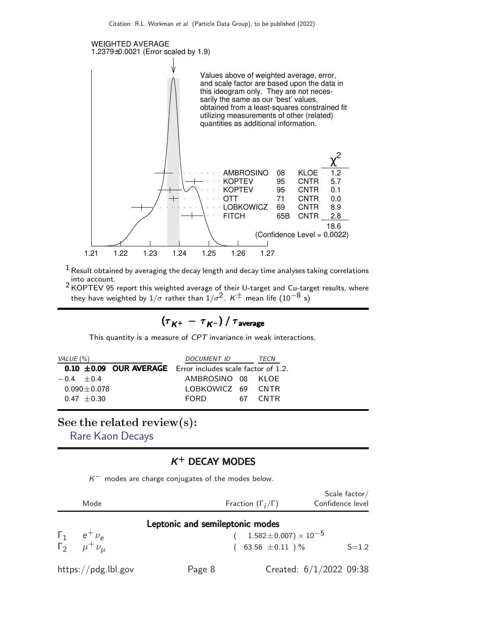

 $1$  Result obtained by averaging the decay length and decay time analyses taking correlations into account. 2 KOPTEV 95 report this weighted average of their U-target and Cu-target results, where

they have weighted by 1/ $\sigma$  rather than 1/ $\sigma^2$ .  $\mathsf{K}^\pm$  mean life (10 $^{-8}$  s)

$$
\left(\tau^{\,}_{\,K^+}\,-\,\tau^{\,}_{\,K^-}\right)/\,\tau^{\,}_{\rm average}
$$

This quantity is a measure of CPT invariance in weak interactions.

| VALUE (%)    |                 | <i>DOCUMENT ID</i>                                              |    | TECN        |
|--------------|-----------------|-----------------------------------------------------------------|----|-------------|
|              |                 | $0.10 \pm 0.09$ OUR AVERAGE Error includes scale factor of 1.2. |    |             |
| $-0.4 + 0.4$ |                 | AMBROSINO 08 KLOE                                               |    |             |
|              | $0.090 + 0.078$ | LOBKOWICZ 69 CNTR                                               |    |             |
|              | $0.47 + 0.30$   | <b>FORD</b>                                                     | 67 | <b>CNTR</b> |

#### See the related review(s):

[Rare Kaon Decays](http://pdg.lbl.gov/2022/reviews/rpp2021-rev-rare-kaon-decays.pdf)

#### K <sup>+</sup> DECAY MODES

 $K^-$  modes are charge conjugates of the modes below.

| Mode                                   |                                 | Fraction $(\Gamma_i/\Gamma)$         | Scale $factor/$<br>Confidence level |
|----------------------------------------|---------------------------------|--------------------------------------|-------------------------------------|
|                                        | Leptonic and semileptonic modes |                                      |                                     |
| $\Gamma_1$ $e^+$ $\nu_e$               |                                 | $1.582 \pm 0.007$ ) $\times 10^{-5}$ |                                     |
| $\Gamma_2^{\mu}$ $\mu^+ \nu_\mu^{\mu}$ |                                 | 63.56 $\pm$ 0.11 ) $\%$              | $S = 1.2$                           |
| https://pdg.lbl.gov                    | Page 8                          |                                      | Created: $6/1/2022$ 09:38           |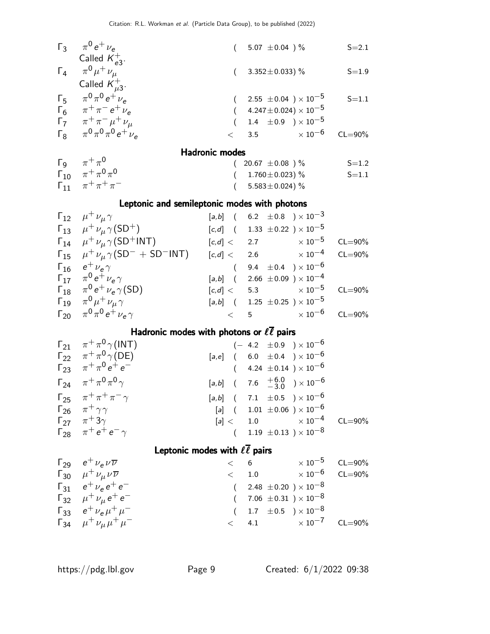| $\Gamma_3$ $\pi^0 e^+ \nu_e$             | $(5.07 \pm 0.04)$ %                | $S = 2.1$ |
|------------------------------------------|------------------------------------|-----------|
| Called $K_{\rho 3}^+$ .                  |                                    |           |
| $\Gamma_4$ $\pi^0 \mu^+ \nu_\mu$         | $(3.352 \pm 0.033)$ %              | $S = 1.9$ |
| Called $K_{\mu 3}^+$ .                   |                                    |           |
| $\Gamma_5$ $\pi^0 \pi^0 e^+ \nu_a$       | $(2.55 \pm 0.04) \times 10^{-5}$   | $S = 1.1$ |
| $\Gamma_6$ $\pi^+\pi^-e^+\nu_e$          | $(4.247 \pm 0.024) \times 10^{-5}$ |           |
| $\Gamma_7$ $\pi^+ \pi^- \mu^+ \nu_\mu$   | $(1.4 \pm 0.9) \times 10^{-5}$     |           |
| $\Gamma_8$ $\pi^0 \pi^0 \pi^0 e^+ \nu_e$ | $< 3.5 \times 10^{-6}$ CL=90%      |           |
|                                          |                                    |           |

#### Hadronic modes

|                                       | בסטטוווג וווטעכ       |           |
|---------------------------------------|-----------------------|-----------|
| $\Gamma_9$ $\pi^+\pi^0$               | $(20.67 \pm 0.08)$ %  | $S = 1.2$ |
| $\Gamma_{10}$ $\pi^{+}\pi^{0}\pi^{0}$ | $(1.760 \pm 0.023)$ % | $S = 1.1$ |
| $\Gamma_{11}$ $\pi^+ \pi^+ \pi^-$     | $(5.583 \pm 0.024)\%$ |           |

#### Leptonic and semileptonic modes with photons

| $\Gamma_{12}$ $\mu^+ \nu_\mu \gamma$                                                     | $[a,b]$ ( 6.2 $\pm 0.8$ ) $\times 10^{-3}$            |  |
|------------------------------------------------------------------------------------------|-------------------------------------------------------|--|
| $\Gamma_{13}$ $\mu^+ \nu_\mu \gamma (SD^+)$                                              | $[c,d]$ ( 1.33 $\pm 0.22$ ) $\times 10^{-5}$          |  |
| $\Gamma_{14}$ $\mu^+ \nu_\mu \gamma (SD^+INT)$                                           | $[c,d] < 2.7$ $\times 10^{-5}$ CL=90%                 |  |
| $\Gamma_{15}$ $\mu^+ \nu_\mu \gamma (SD^- + SD^- N)$ [c,d] < 2.6 $\times 10^{-4}$ CL=90% |                                                       |  |
| $\Gamma_{16}$ $e^+ \nu_e \gamma$                                                         | $(9.4 \pm 0.4) \times 10^{-6}$                        |  |
| $\Gamma_{17}$ $\pi^{0} e^{+} \nu_{e} \gamma$                                             | $[a,b]$ ( 2.66 $\pm 0.09$ ) $\times 10^{-4}$          |  |
| $\Gamma_{18}$ $\pi^{0} e^{+} \nu_{e} \gamma(SD)$                                         | $[c,d] < 5.3$ $\times 10^{-5}$ CL=90%                 |  |
| $\Gamma_{19}$ $\pi^{0} \mu^{+} \nu_{\mu} \gamma$                                         | $[a,b]$ ( 1.25 $\pm$ 0.25 ) $\times$ 10 <sup>-5</sup> |  |
| $\Gamma_{20}$ $\pi^0 \pi^0 e^+ \nu_e \gamma$                                             | $< 5$ $\times 10^{-6}$ CL=90%                         |  |

### Hadronic modes with photons or  $\ell \overline{\ell}$  pairs

| $\Gamma_{21}$ $\pi^{+}\pi^{0}\gamma$ (INT)  | $(-4.2 \pm 0.9) \times 10^{-6}$                        |
|---------------------------------------------|--------------------------------------------------------|
| $\Gamma_{22}$ $\pi^{+}\pi^{0}\gamma(DE)$    | $[a,e]$ ( 6.0 $\pm$ 0.4 ) $\times$ 10 <sup>-6</sup>    |
| $\Gamma_{23}$ $\pi^+\pi^0e^+e^-$            | $(4.24 \pm 0.14) \times 10^{-6}$                       |
| $\Gamma_{24}$ $\pi^{+}\pi^{0}\pi^{0}\gamma$ | $[a,b]$ ( 7.6 $\frac{+6.0}{-3.0}$ ) × 10 <sup>-6</sup> |
| $\Gamma_{25}$ $\pi^{+}\pi^{+}\pi^{-}\gamma$ | $[a,b]$ ( 7.1 $\pm 0.5$ ) $\times 10^{-6}$             |
| $\Gamma_{26}$ $\pi^{+}\gamma\gamma$         | [a] $(1.01 \pm 0.06) \times 10^{-6}$                   |
| $\Gamma_{27}$ $\pi^+3\gamma$                | $[a] < 1.0$ $\times 10^{-4}$ CL=90%                    |
| $\Gamma_{28}$ $\pi^+e^+e^-\gamma$           | $(1.19 \pm 0.13) \times 10^{-8}$                       |

#### Leptonic modes with  $\ell \overline{\ell}$  pairs

| $\Gamma_{29}$ $e^+ \nu_e \nu \overline{\nu}$     | $\lt$ 6 |                                  | $\times$ 10 $^{-5}$ CL=90% |  |
|--------------------------------------------------|---------|----------------------------------|----------------------------|--|
| $\Gamma_{30}$ $\mu^+ \nu_\mu \nu \overline{\nu}$ |         | < 1.0                            | $\times$ 10 $^{-6}$ CL=90% |  |
| $\Gamma_{31}$ $e^+ \nu_e e^+ e^-$                |         | $(2.48 \pm 0.20) \times 10^{-8}$ |                            |  |
| $\Gamma_{32}$ $\mu^+ \nu_\mu e^+ e^-$            |         | $(7.06 \pm 0.31) \times 10^{-8}$ |                            |  |
| $\Gamma_{33}$ $e^+ \nu_e \mu^+ \mu^-$            |         | $(1.7 \pm 0.5) \times 10^{-8}$   |                            |  |
| $\Gamma_{34}$ $\mu^+ \nu_\mu \mu^+ \mu^-$        |         | $< 4.1 \times 10^{-7}$ CL=90%    |                            |  |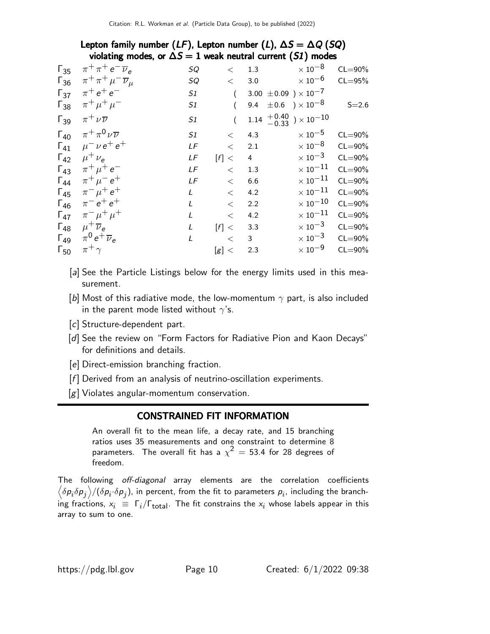|               |                                                           |              |       |                | $\mathbf{v}$                                                     |             |
|---------------|-----------------------------------------------------------|--------------|-------|----------------|------------------------------------------------------------------|-------------|
| $\Gamma_{35}$ | $\pi^+\pi^+e^-\overline{\nu}_e$                           | SQ           | $\lt$ | 1.3            | $\times$ 10 $^{-8}$                                              | $CL = 90\%$ |
|               | $\Gamma_{36}$ $\pi^{+}\pi^{+}\mu^{-}\overline{\nu}_{\mu}$ | SQ           | $\lt$ | 3.0            | $\times$ 10 $^{-6}$                                              | $CL = 95%$  |
| $\Gamma_{37}$ | $\pi^+ e^+ e^-$                                           | S1           |       |                | 3.00 $\pm 0.09$ ) $\times 10^{-7}$                               |             |
| $\Gamma_{38}$ | $\pi^{+}\mu^{+}\mu^{-}$                                   | S1           |       | 9.4            | $\pm 0.6$ ) $\times\,10^{-8}$                                    | $S = 2.6$   |
| $\Gamma_{39}$ | $\pi^+ \nu \overline{\nu}$                                | S1           |       |                | $1.14\begin{array}{l}+0.40\\-0.33\end{array}\big)\times10^{-10}$ |             |
| $\Gamma_{40}$ | $\pi^+\pi^0\nu\overline{\nu}$                             | S1           | $\lt$ | 4.3            | $\times$ 10 $^{-5}$                                              | $CL = 90\%$ |
| $\Gamma_{41}$ | $\mu^{-} \nu e^{+} e^{+}$                                 | LF           | $\lt$ | 2.1            | $\times$ 10 $^{-8}$                                              | $CL = 90\%$ |
| $\Gamma_{42}$ | $\mu^+ \nu_{\rho}$                                        | LF           | [f] < | $\overline{4}$ | $\times$ 10 $^{-3}$                                              | $CL = 90\%$ |
| $\Gamma_{43}$ | $\pi^+ \mu^+ e^-$                                         | LF           | $\lt$ | 1.3            | $\times$ $10^{-11}$                                              | $CL = 90\%$ |
| $\Gamma_{44}$ | $\pi^{+}\mu^{-}e^{+}$                                     | LF           | $\lt$ | 6.6            | $\times$ $10^{-11}$                                              | $CL = 90\%$ |
| $\Gamma_{45}$ | $\pi^{-} \mu^{+} e^{+}$                                   | L            | $\lt$ | 4.2            | $\times$ $10^{-11}$                                              | $CL = 90\%$ |
| $\Gamma_{46}$ | $\pi^{-} e^{+} e^{+}$                                     | $\mathbf{I}$ | $\lt$ | 2.2            | $\times$ $10^{-10}$                                              | $CL = 90\%$ |
| $\Gamma_{47}$ | $\pi^{-} \mu^{+} \mu^{+}$                                 |              | $<\,$ | 4.2            | $\times$ $10^{-11}$                                              | $CL = 90\%$ |
| $\Gamma_{48}$ | $\mu^+ \overline{\nu}_e$                                  | L            | [f] < | 3.3            | $\times$ 10 $^{-3}$                                              | $CL = 90\%$ |
| $\Gamma_{49}$ | $\pi^0 e^+ \overline{\nu}_e$                              | L            | $\lt$ | 3              | $\times$ 10 $^{-3}$                                              | $CL = 90\%$ |
| $\Gamma_{50}$ | $\pi^+$                                                   |              | [g] < | 2.3            | $\times$ 10 $^{-9}$                                              | $CL = 90\%$ |
|               |                                                           |              |       |                |                                                                  |             |

#### Lepton family number ( $LF$ ), Lepton number (L),  $\Delta S = \Delta Q$  (SQ) violating modes, or  $\Delta S = 1$  weak neutral current (S1) modes

- [a] See the Particle Listings below for the energy limits used in this measurement.
- [b] Most of this radiative mode, the low-momentum  $\gamma$  part, is also included in the parent mode listed without  $\gamma$ 's.
- [c] Structure-dependent part.
- [d] See the review on "Form Factors for Radiative Pion and Kaon Decays" for definitions and details.
- [e] Direct-emission branching fraction.
- $[f]$  Derived from an analysis of neutrino-oscillation experiments.
- [g] Violates angular-momentum conservation.

#### CONSTRAINED FIT INFORMATION

An overall fit to the mean life, a decay rate, and 15 branching ratios uses 35 measurements and one constraint to determine 8 parameters. The overall fit has a  $\chi^2$   $=$  53.4 for 28 degrees of freedom.

The following off-diagonal array elements are the correlation coefficients  $\left<\delta p_i\delta p_j\right>$ / $(\delta p_i\cdot\delta p_j)$ , in percent, from the fit to parameters  $p_i$ , including the branching fractions,  $x_i~\equiv~\Gamma_i/\Gamma_\text{total}$ . The fit constrains the  $x_i$  whose labels appear in this array to sum to one.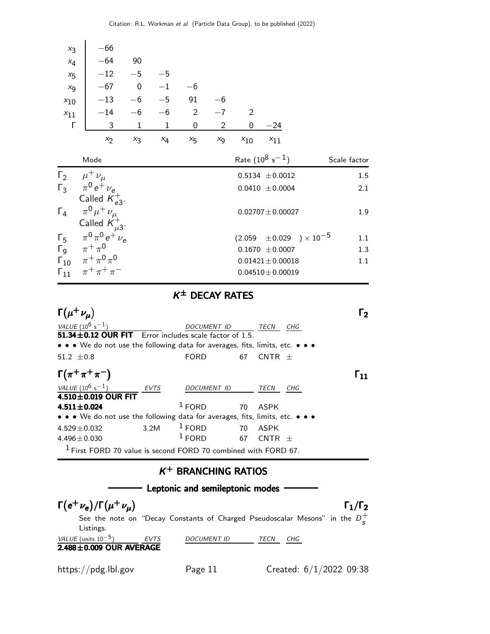| $x_3$<br>$x_4$ |                       | $-66$<br>$-64$                                                                                                                   | 90           |                |             |                            |                            |                                    |              |  |
|----------------|-----------------------|----------------------------------------------------------------------------------------------------------------------------------|--------------|----------------|-------------|----------------------------|----------------------------|------------------------------------|--------------|--|
| $x_{5}$        |                       | $-12$ $-5$ $-5$                                                                                                                  |              |                |             |                            |                            |                                    |              |  |
| $x_{9}$        |                       | $-67$ 0 $-1$ $-6$                                                                                                                |              |                |             |                            |                            |                                    |              |  |
| $x_{10}$       |                       | $-13$ $-6$ $-5$ 91                                                                                                               |              |                |             | $-6$                       |                            |                                    |              |  |
| $x_{11}$       |                       | $-14$ $-6$                                                                                                                       |              | $-6$ 2         |             | $-7$                       | $\overline{\phantom{0}}^2$ |                                    |              |  |
| Г              |                       | $\mathbf{3}$                                                                                                                     | $\mathbf{1}$ | $\overline{1}$ | $\mathbf 0$ | $\overline{\phantom{a}}$ 2 | $\mathbf{0}$               | $-24$                              |              |  |
|                |                       | x <sub>2</sub>                                                                                                                   | $x_3$        | $x_4$          | $x_{5}$     | $x_{9}$                    | $x_{10}$                   | $x_{11}$                           |              |  |
|                |                       | Mode                                                                                                                             |              |                |             |                            |                            | Rate $(10^8 \text{ s}^{-1})$       | Scale factor |  |
|                |                       | $\Gamma_2$ $\mu^+ \nu_\mu$                                                                                                       |              |                |             |                            |                            | $0.5134 \pm 0.0012$                | 1.5          |  |
|                |                       | $\begin{array}{ccc} \n\Gamma_3 & \pi^0 e^+ \nu_e \\ \end{array}$<br>Called $K_{e3}^+$ .                                          |              |                |             |                            |                            | $0.0410 \pm 0.0004$                | 2.1          |  |
| $\Gamma_4$     |                       | $\pi^0 \mu^+ \nu_\mu$<br>Called $K_{\mu 3}^+$ .                                                                                  |              |                |             |                            |                            | $0.02707 \pm 0.00027$              | 1.9          |  |
|                |                       |                                                                                                                                  |              |                |             |                            |                            | $(2.059 \pm 0.029) \times 10^{-5}$ | 1.1          |  |
|                |                       | $\begin{array}{ccc}\n\Gamma_5 & \pi^0 \pi^0 e^+ \nu_e \\ \Gamma_9 & \pi^+ \pi^0 \\ \Gamma_{10} & \pi^+ \pi^0 \pi^0\n\end{array}$ |              |                |             |                            |                            | $0.1670 \pm 0.0007$                | 1.3          |  |
|                |                       |                                                                                                                                  |              |                |             |                            |                            | $0.01421 \pm 0.00018$              | 1.1          |  |
|                |                       | $\Gamma_{11} \quad \pi^+\pi^+\pi^-$                                                                                              |              |                |             |                            |                            | $0.04510 \pm 0.00019$              |              |  |
|                | $K^{\pm}$ DECAY RATES |                                                                                                                                  |              |                |             |                            |                            |                                    |              |  |

| $\Gamma(\mu^+ \nu_\mu)$                                                                                               |             |                     |    |             | Гэ |
|-----------------------------------------------------------------------------------------------------------------------|-------------|---------------------|----|-------------|----|
| VALUE $(10^6 s^{-1})$                                                                                                 |             | DOCUMENT ID         |    | TECN<br>CHG |    |
| <b>51.34 ± 0.12 OUR FIT</b> Error includes scale factor of 1.5.                                                       |             |                     |    |             |    |
| $\bullet \bullet \bullet$ We do not use the following data for averages, fits, limits, etc. $\bullet \bullet \bullet$ |             |                     |    |             |    |
| 51.2 $\pm$ 0.8                                                                                                        |             | <b>FORD</b>         | 67 | CNTR $\pm$  |    |
| $\Gamma(\pi^+\pi^+\pi^-)$                                                                                             |             |                     |    |             |    |
| VALUE $(10^6 s^{-1})$                                                                                                 | <b>EVTS</b> | <i>DOCUMENT ID</i>  |    | TECN<br>CHG |    |
| 4.510 $\pm$ 0.019 OUR FIT                                                                                             |             |                     |    |             |    |
| $4.511 \pm 0.024$                                                                                                     |             | $\overline{1}$ FORD |    | 70 ASPK     |    |
| • • • We do not use the following data for averages, fits, limits, etc. • • •                                         |             |                     |    |             |    |
| $4.529 \pm 0.032$                                                                                                     | 3.2M        | $1$ FORD<br>70      |    | ASPK        |    |
| 4.496 $\pm$ 0.030                                                                                                     |             | $1$ FORD            | 67 | CNTR<br>$+$ |    |
| <sup>1</sup> First FORD 70 value is second FORD 70 combined with FORD 67.                                             |             |                     |    |             |    |

#### $K^+$  BRANCHING RATIOS



https://pdg.lbl.gov Page 11 Created: 6/1/2022 09:38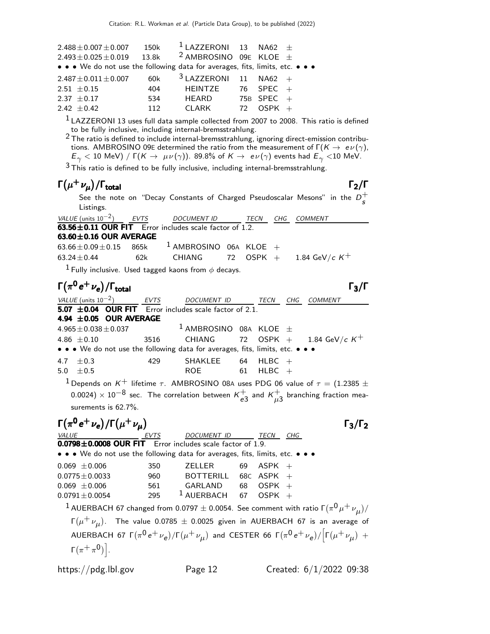| $2.488 \pm 0.007 \pm 0.007$<br>$2.493 \pm 0.025 \pm 0.019$                    | 150k<br>13.8k | $1$ LAZZERONI 13 NA62 $\pm$<br><sup>2</sup> AMBROSINO 09E KLOE $\pm$ |     |              |  |
|-------------------------------------------------------------------------------|---------------|----------------------------------------------------------------------|-----|--------------|--|
| • • • We do not use the following data for averages, fits, limits, etc. • • • |               | $3$ LAZZERONI 11 NA62 +                                              |     |              |  |
| $2.487 \pm 0.011 \pm 0.007$<br>$2.51 + 0.15$                                  | 60k<br>404    | HEINTZE                                                              |     | 76 SPEC $+$  |  |
| 2.37 $\pm$ 0.17                                                               | 534           | HEARD                                                                |     | 75B SPEC $+$ |  |
| $2.42 + 0.42$                                                                 | 112           | CI ARK                                                               | 72. | $OSPK +$     |  |

<sup>1</sup> LAZZERONI 13 uses full data sample collected from 2007 to 2008. This ratio is defined to be fully inclusive, including internal-bremsstrahlung.

2 The ratio is defined to include internal-bremsstrahlung, ignoring direct-emission contributions. AMBROSINO 09E determined the ratio from the measurement of  $\Gamma(K \to e \nu(\gamma))$ ,  $E_{\gamma}$   $<$  10 MeV) / Г(K  $\rightarrow \;\mu\nu(\gamma)$ ). 89.8% of  $K \rightarrow \; e \nu(\gamma)$  events had  $E_{\gamma}$   $<$ 10 MeV.

 $3$  This ratio is defined to be fully inclusive, including internal-bremsstrahlung.

### $\Gamma(\mu^+ \nu_{\mu})/\Gamma_{\text{total}}$  Γ<sub>2</sub>/Γ

See the note on "Decay Constants of Charged Pseudoscalar Mesons" in the  $D_{\epsilon}^+$ s Listings.

 $VALU E$  (units 10<sup>-2</sup>) EVTS DOCUMENT ID TECN CHG COMMENT  $63.56 \pm 0.11$  OUR FIT Error includes scale factor of 1.2. **63.60±0.16 OUR AVERAGE**<br> $63.66 \pm 0.09 \pm 0.15$  865k  $63.66 \pm 0.09 \pm 0.15$  865k <sup>1</sup> AMBROSINO 06A KLOE +<br> $63.24 \pm 0.44$  62k CHIANG 72 OSPK +  $1.84\,$  GeV/c  $\,$  K $^{+}$ 

<sup>1</sup> Fully inclusive. Used tagged kaons from  $\phi$  decays.

#### $\Gamma(\pi^0 e^+ \nu_e)/\Gamma_{\rm total}$  Γ<sub>3</sub>/Γ total and the set of the set of the set of the set of the set of the set of the set of the set of the set of t

VALUE (units 10<sup>-2</sup>) EVTS DOCUMENT ID TECN CHG COMMENT  $\overline{5.07}$   $\pm 0.04$  OUR FIT Error includes scale factor of 2.1. **4.94**  $\pm$  **0.05 OUR AVERAGE** 4.965 $\pm$  0.038 $\pm$  0.037  $4.965 \pm 0.038 \pm 0.037$   $1 \text{ AMBROSINO}$  08A KLOE  $\pm$ <br>4.86  $\pm$  0.10 3516 CHIANG 72 OSPK + 3516 CHIANG 72 OSPK + 1.84 GeV/c  $K^+$ • • • We do not use the following data for averages, fits, limits, etc. • • •  $4.7 \pm 0.3$   $429$  SHAKLEE 64 HLBC +  $5.0 \pm 0.5$  ROE 61 HLBC  $+$ 

<sup>1</sup> Depends on K<sup>+</sup> lifetime  $\tau$ . AMBROSINO 08A uses PDG 06 value of  $\tau = (1.2385 \pm 1.1)$  $(0.0024)\times 10^{-8}$  sec. The correlation between  $\kappa_{e\zeta}^+$  $_{e3}^+$  and  $\kappa_{\mu\mathbb{R}}^+$  $_{\mu 3}^{\mp}$  branching fraction measurements is 62.7%.

$$
\Gamma(\pi^0 e^+ \nu_e)/\Gamma(\mu^+ \nu_\mu)
$$
\nVz  
\n0.0798±0.0008 OUR FIT Error includes scale factor of 1.9.  
\n• • We do not use the following data for averages, fits, limits, etc. • •  
\n0.069 ±0.006 350 ZELLER 69 ASPK +  
\n0.0775±0.0033 960 ZELLER 69 ASPK +  
\n0.0791±0.0054 295 1 AUERBACH 67 OSPK +  
\n1 AUERBACH 67 changed from 0.0797 ± 0.0054. See comment with ratio  $\Gamma(\pi^0 \mu^+ \nu_\mu)/$   
\n $\Gamma(\mu^+ \nu_\mu)$ . The value 0.0785 ± 0.0025 given in AUERBACH 67 is an average of  
\nAUERBACH 67  $\Gamma(\pi^0 e^+ \nu_e)/\Gamma(\mu^+ \nu_\mu)$  and CESTER 66  $\Gamma(\pi^0 e^+ \nu_e)/\Gamma(\mu^+ \nu_\mu)$  +  
\n $\Gamma(\pi^+ \pi^0)$ .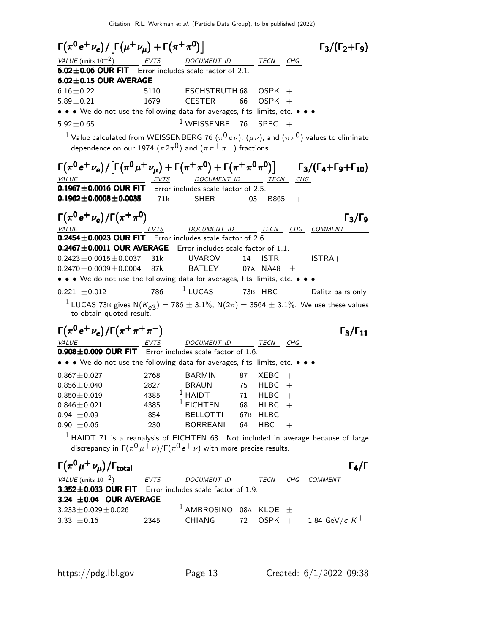$\Gamma(\pi^0 e^+ \nu_e) / [\Gamma(\mu^+ \nu_\mu) + \Gamma(\pi^+ \pi^0)]$  Γ<sub>3</sub>/(Γ<sub>2</sub>+Γ<sub>9</sub>)  $\Gamma_3/(\Gamma_2+\Gamma_9)$ VALUE (units  $10^{-2}$ ) EVTS DOCUMENT ID TECN CHG  $6.02 \pm 0.06$  OUR FIT Error includes scale factor of 2.1. **6.02±0.15 OUR AVERAGE**<br>6.16±0.22 5110  $6.16\pm0.22$  5110 ESCHSTRUTH 68 OSPK +<br> $5.89\pm0.21$  5.89 CESTER 66 OSPK +  $5.89 \pm 0.21$  1679 CESTER 66 OSPK + • • • We do not use the following data for averages, fits, limits, etc. • • •  $5.92 \pm 0.65$   $1$  WEISSENBE... 76 SPEC  $+$  $^1$  Value calculated from WEISSENBERG 76  $(\pi^0\, e\nu)$ ,  $(\mu\nu)$ , and  $(\pi\pi^0)$  values to eliminate dependence on our 1974  $(\pi \, 2\pi^0)$  and  $(\pi \, \pi^+ \, \pi^-)$  fractions.  $\Gamma(\pi^0\,e^+\,\nu_e)/\big[\Gamma(\pi^0\,\mu^+\,\nu_\mu)+\Gamma(\pi^+\,\pi^0)+\Gamma(\pi^+\,\pi^0\,\pi^0)\big] \qquad \Gamma_3/(\Gamma_4+\Gamma_9+\Gamma_{10})$  $\big) \big]$  Γ $_3$ /(Γ $_4+$ Γ $_9+$ Γ $_{10})$ VALUE **EVTS** DOCUMENT ID TECN CHG  $\overline{0.1967 \pm 0.0016}$  OUR FIT Error includes scale factor of 2.5.<br> $\overline{0.1962 \pm 0.0008 \pm 0.0035}$  71k SHER 03 B865  $0.1962 \pm 0.0008 \pm 0.0035$  71k SHER 03 B865 +  $\Gamma(\pi^0 e^+ \nu_e)/\Gamma(\pi^+ \pi^0)$  Γ<sub>3</sub>/Γ<sub>9</sub> VALUE **EVTS** DOCUMENT ID TECN CHG COMMENT  $0.2454 \pm 0.0023$  OUR FIT Error includes scale factor of 2.6. **0.2467±0.0011 OUR AVERAGE** Error includes scale factor of 1.1.<br>0.2423±0.0015±0.0037 31k UVAROV 14 ISTR –  $0.2423 \pm 0.0015 \pm 0.0037$  31k UVAROV 14 ISTR − ISTRA+<br> $0.2470 \pm 0.0009 \pm 0.0004$  87k BATLEY 07A NA48  $\pm$  $0.2470 \pm 0.0009 \pm 0.0004$ • • • We do not use the following data for averages, fits, limits, etc. • •  $0.221 \pm 0.012$  786  $1$  LUCAS 73B HBC − Dalitz pairs only  $1$  LUCAS 73B gives  $N(K_{e3}) = 786 \pm 3.1\%$ ,  $N(2\pi) = 3564 \pm 3.1\%$ . We use these values to obtain quoted result.  $\Gamma(\pi^0 e^+ \nu_e)/\Gamma(\pi^+ \pi^+ \pi^-)$  Γ<sub>3</sub>/Γ<sub>11</sub>  $\Gamma_3/\Gamma_{11}$ VALUE EVTS DOCUMENT ID TECN CHG  $0.908\pm0.009$  OUR FIT Error includes scale factor of 1.6. • • • We do not use the following data for averages, fits, limits, etc. • • •  $0.867 \pm 0.027$  2768 BARMIN 87 XEBC +  $0.856 \pm 0.040$  2827 BRAUN 75 HLBC +  $0.856 \pm 0.040$  2827 BRAUN 75 HLBC<br> $0.850 \pm 0.019$  4385  $^1$  HAIDT 71 HLBC  $0.850 \pm 0.019$   $4385$   $^{1}$  HAIDT 71 HLBC<br>  $0.846 \pm 0.021$   $4385$   $^{1}$  EICHTEN 68 HLBC 385 <sup>1</sup> EICHTEN 68 HLBC<br>854 BELLOTTI 67B HLBC  $0.94 \pm 0.09$  854 BELLOTTI 67B HLBO<br>  $0.90 \pm 0.06$  230 BORREANI 64 HBC  $BORREANI$  64 HBC +  $<sup>1</sup>$  HAIDT 71 is a reanalysis of EICHTEN 68. Not included in average because of large</sup> discrepancy in Г $(\pi^{\mathsf{0}}\mu^+\nu)/$ Г $(\pi^{\mathsf{0}}\,e^+\,\nu)$  with more precise results.  $\Gamma(\pi^0\mu^+\nu_\mu)/\Gamma_{\rm total}$  Γ<sub>4</sub>/Γ VALUE (units 10<sup>-2</sup>) EVTS DOCUMENT ID TECN CHG COMMENT  $3.352\pm0.033$  OUR FIT Error includes scale factor of 1.9. **3.24**  $\pm$ **0.04 OUR AVERAGE**<br>3.233 $\pm$ 0.029 $\pm$ 0.026

 $3.233 \pm 0.029 \pm 0.026$   $1 \text{ AMBROSINO}$  08A KLOE  $\pm$ <br>3.33  $\pm$  0.16 2345 CHIANG 72 OSPK +

 $1.84$  GeV/c  $K^{\rm +}$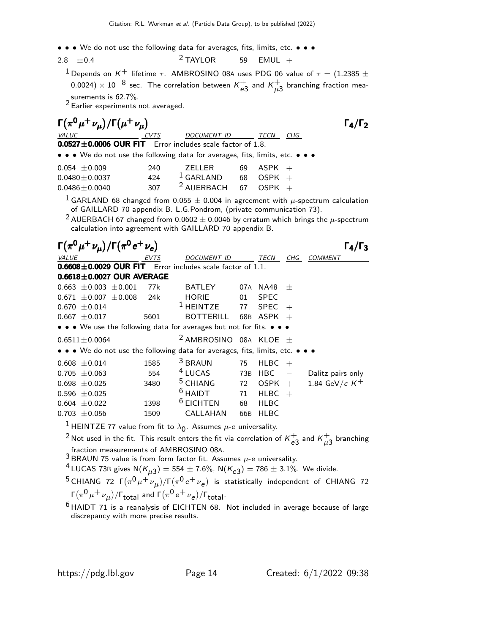• • • We do not use the following data for averages, fits, limits, etc. • • •

$$
2.8 \pm 0.4
$$
 
$$
2 TAYLOR
$$
 59 EMUL +

<sup>1</sup> Depends on K<sup>+</sup> lifetime  $\tau$ . AMBROSINO 08A uses PDG 06 value of  $\tau = (1.2385 \pm 1.000)$  $(0.0024)\times 10^{-8}$  sec. The correlation between  $\kappa_{e\zeta}^+$  $_{e3}^+$  and  $\kappa_{\mu}^+$  $^\mathbf{\mathsf{+}}_{\mu \mathsf{3}}$  branching fraction mea-

surements is 62.7%.<br><sup>2</sup> Earlier experiments not averaged.

| $\Gamma(\pi^0\mu^+\nu_{\mu})/\Gamma(\mu^+\nu_{\mu})$                                                                                                                                                                                                                                                                                            |                                                           |                                 |     |             |                          | $\Gamma_4/\Gamma_2$ |  |  |  |
|-------------------------------------------------------------------------------------------------------------------------------------------------------------------------------------------------------------------------------------------------------------------------------------------------------------------------------------------------|-----------------------------------------------------------|---------------------------------|-----|-------------|--------------------------|---------------------|--|--|--|
| <b>VALUE</b>                                                                                                                                                                                                                                                                                                                                    | EVTS                                                      | <b>DOCUMENT ID</b>              |     | TECN CHG    |                          |                     |  |  |  |
|                                                                                                                                                                                                                                                                                                                                                 | 0.0527±0.0006 OUR FIT Error includes scale factor of 1.8. |                                 |     |             |                          |                     |  |  |  |
| • • • We do not use the following data for averages, fits, limits, etc. •                                                                                                                                                                                                                                                                       |                                                           |                                 |     |             |                          |                     |  |  |  |
| $0.054 \pm 0.009$                                                                                                                                                                                                                                                                                                                               | 240                                                       | ZELLER                          | 69  | <b>ASPK</b> | $^{+}$                   |                     |  |  |  |
| $0.0480 \pm 0.0037$                                                                                                                                                                                                                                                                                                                             | 424                                                       | $1$ GARLAND                     | 68  | <b>OSPK</b> | $^{+}$                   |                     |  |  |  |
| $0.0486 \pm 0.0040$                                                                                                                                                                                                                                                                                                                             | 307                                                       | <sup>2</sup> AUERBACH           | 67  | <b>OSPK</b> | $+$                      |                     |  |  |  |
| <sup>1</sup> GARLAND 68 changed from 0.055 $\pm$ 0.004 in agreement with $\mu$ -spectrum calculation<br>of GAILLARD 70 appendix B. L.G.Pondrom, (private communication 73).<br><sup>2</sup> AUERBACH 67 changed from 0.0602 $\pm$ 0.0046 by erratum which brings the $\mu$ -spectrum<br>calculation into agreement with GAILLARD 70 appendix B. |                                                           |                                 |     |             |                          |                     |  |  |  |
| $\Gamma(\pi^0\mu^+\nu_{\mu})/\Gamma(\pi^0 e^+\nu_e)$                                                                                                                                                                                                                                                                                            |                                                           |                                 |     |             |                          | $\Gamma_4/\Gamma_3$ |  |  |  |
| <b>VALUE</b>                                                                                                                                                                                                                                                                                                                                    |                                                           | DOCUMENT ID                     |     | TECN        |                          | CHG COMMENT         |  |  |  |
| 0.6608±0.0029 OUR FIT Error includes scale factor of 1.1.                                                                                                                                                                                                                                                                                       |                                                           |                                 |     |             |                          |                     |  |  |  |
| $0.6618 \pm 0.0027$ OUR AVERAGE                                                                                                                                                                                                                                                                                                                 |                                                           |                                 |     |             |                          |                     |  |  |  |
| $0.663 \pm 0.003 \pm 0.001$                                                                                                                                                                                                                                                                                                                     | 77k                                                       | <b>BATLEY</b>                   |     | 07A NA48    | $^{+}$                   |                     |  |  |  |
| $0.671 \pm 0.007 \pm 0.008$                                                                                                                                                                                                                                                                                                                     | 24k                                                       | <b>HORIE</b>                    | 01  | <b>SPEC</b> |                          |                     |  |  |  |
| $0.670 \pm 0.014$                                                                                                                                                                                                                                                                                                                               |                                                           | $1$ HEINTZE                     | 77  | <b>SPEC</b> | $^{+}$                   |                     |  |  |  |
| $0.667 \pm 0.017$                                                                                                                                                                                                                                                                                                                               | 5601                                                      | <b>BOTTERILL</b>                |     | 68B ASPK    | $+$                      |                     |  |  |  |
| • • • We use the following data for averages but not for fits. • •                                                                                                                                                                                                                                                                              |                                                           |                                 |     |             |                          |                     |  |  |  |
| $0.6511 \pm 0.0064$                                                                                                                                                                                                                                                                                                                             |                                                           | <sup>2</sup> AMBROSINO 08A KLOE |     |             | 士                        |                     |  |  |  |
| • • • We do not use the following data for averages, fits, limits, etc. • • •                                                                                                                                                                                                                                                                   |                                                           |                                 |     |             |                          |                     |  |  |  |
| $0.608 \pm 0.014$                                                                                                                                                                                                                                                                                                                               | 1585                                                      | <sup>3</sup> BRAUN              | 75  | <b>HLBC</b> | $^{+}$                   |                     |  |  |  |
| $0.705 \pm 0.063$                                                                                                                                                                                                                                                                                                                               | 554                                                       | <sup>4</sup> LUCAS              | 73B | HBC         | $\overline{\phantom{0}}$ | Dalitz pairs only   |  |  |  |
| $0.698 \pm 0.025$                                                                                                                                                                                                                                                                                                                               | 3480                                                      | <sup>5</sup> CHIANG             | 72  | <b>OSPK</b> | $+$                      | 1.84 GeV/c $K^+$    |  |  |  |
| $0.596 \pm 0.025$                                                                                                                                                                                                                                                                                                                               |                                                           | $6$ HAIDT                       | 71  | <b>HLBC</b> | $+$                      |                     |  |  |  |
| $0.604 \pm 0.022$                                                                                                                                                                                                                                                                                                                               | 1398                                                      | $6$ EICHTEN                     | 68  | <b>HLBC</b> |                          |                     |  |  |  |
| $0.703 \pm 0.056$                                                                                                                                                                                                                                                                                                                               | 1509                                                      | CALLAHAN                        | 66B | <b>HLBC</b> |                          |                     |  |  |  |
| <sup>1</sup> HEINTZE 77 value from fit to $\lambda_0$ . Assumes $\mu$ -e universality.                                                                                                                                                                                                                                                          |                                                           |                                 |     |             |                          |                     |  |  |  |
| <sup>2</sup> Not used in the fit. This result enters the fit via correlation of $K_{e3}^+$ and $K_{u3}^+$ branching                                                                                                                                                                                                                             |                                                           |                                 |     |             |                          |                     |  |  |  |
| fraction measurements of AMBROSINO 08A.<br>$^3$ BRAUN 75 value is from form factor fit. Assumes $\mu$ -e universality.<br><sup>4</sup> LUCAS 73B gives $N(K_{\mu,3}) = 554 \pm 7.6\%$ , $N(K_{e3}) = 786 \pm 3.1\%$ . We divide.                                                                                                                |                                                           |                                 |     |             |                          |                     |  |  |  |

 $^5$ CHIANG 72 Г $(\pi^0\mu^+\nu_{\mu})/\Gamma(\pi^0\,e^+\nu_{\texttt{e}})$  is statistically independent of CHIANG 72 Γ $(\pi^0 \mu^+ \nu_{\mu})$ /Γ<sub>total</sub> and Γ $(\pi^0 e^+ \nu_e)$ /Γ<sub>total</sub>.

 $6$  HAIDT 71 is a reanalysis of EICHTEN 68. Not included in average because of large discrepancy with more precise results.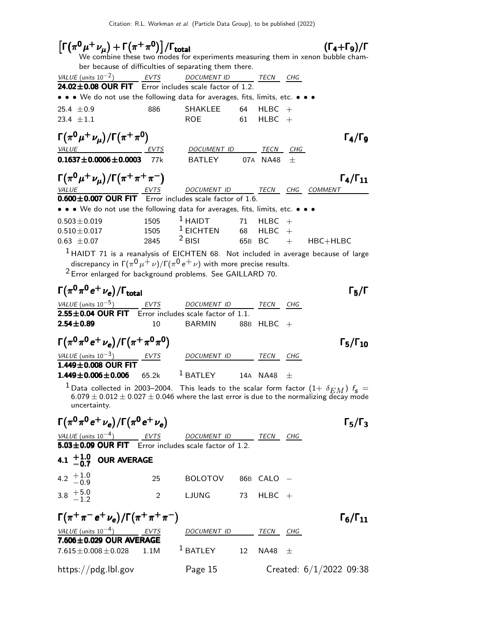| $\left[\Gamma(\pi^0\mu^+\nu_{\mu})+\Gamma(\pi^+\pi^0)\right]/\Gamma_{\rm total}$<br>$(\Gamma_4+\Gamma_9)/\Gamma$<br>We combine these two modes for experiments measuring them in xenon bubble cham-                                                      |                                                        |                              |     |             |        |                        |  |  |  |
|----------------------------------------------------------------------------------------------------------------------------------------------------------------------------------------------------------------------------------------------------------|--------------------------------------------------------|------------------------------|-----|-------------|--------|------------------------|--|--|--|
| ber because of difficulties of separating them there.                                                                                                                                                                                                    |                                                        |                              |     |             |        |                        |  |  |  |
| VALUE (units $10^{-2}$ )                                                                                                                                                                                                                                 | <b>EVTS</b><br><b>DOCUMENT ID</b><br>TECN<br>CHG       |                              |     |             |        |                        |  |  |  |
|                                                                                                                                                                                                                                                          | 24.02±0.08 OUR FIT Error includes scale factor of 1.2. |                              |     |             |        |                        |  |  |  |
| • • • We do not use the following data for averages, fits, limits, etc. • • •                                                                                                                                                                            |                                                        |                              |     |             |        |                        |  |  |  |
| 25.4 $\pm$ 0.9                                                                                                                                                                                                                                           | 886                                                    | SHAKLEE                      | 64  | HLBC        | $^{+}$ |                        |  |  |  |
| 23.4 $\pm 1.1$                                                                                                                                                                                                                                           |                                                        | <b>ROE</b>                   | 61  | $H L B C +$ |        |                        |  |  |  |
| $\Gamma(\pi^0\mu^+\nu_\mu)/\Gamma(\pi^+\pi^0)$                                                                                                                                                                                                           |                                                        |                              |     |             |        | $\Gamma_4/\Gamma_9$    |  |  |  |
| <b>VALUE</b>                                                                                                                                                                                                                                             | <u>EVTS</u>                                            | DOCUMENT ID ______ TECN CHG  |     |             |        |                        |  |  |  |
| $0.1637 \pm 0.0006 \pm 0.0003$ 77k                                                                                                                                                                                                                       |                                                        | <b>BATLEY</b>                |     | 07A NA48    | 士      |                        |  |  |  |
| $\Gamma(\pi^0\mu^+\nu_{\mu})/\Gamma(\pi^+\pi^+\pi^-)$                                                                                                                                                                                                    |                                                        |                              |     |             |        | $\Gamma_4/\Gamma_{11}$ |  |  |  |
| $\underbrace{VALUE}$ $\underbrace{EVTS}$ DOCUMENT ID<br><b>0.600±0.007 OUR FIT</b> Error includes scale factor of 1.6.                                                                                                                                   |                                                        | DOCUMENT ID TECN CHG COMMENT |     |             |        |                        |  |  |  |
|                                                                                                                                                                                                                                                          |                                                        |                              |     |             |        |                        |  |  |  |
| • • • We do not use the following data for averages, fits, limits, etc. • • •                                                                                                                                                                            |                                                        |                              |     |             |        |                        |  |  |  |
| $0.503 \pm 0.019$                                                                                                                                                                                                                                        | 1505                                                   | $1$ HAIDT                    | 71  | <b>HLBC</b> | $+$    |                        |  |  |  |
| $0.510 \pm 0.017$                                                                                                                                                                                                                                        | 1505                                                   | $1$ EICHTEN                  | 68  | <b>HLBC</b> | $+$    |                        |  |  |  |
| $0.63 \pm 0.07$                                                                                                                                                                                                                                          | 2845                                                   | $2$ BISI                     | 65B | <b>BC</b>   |        | $+$ HBC+HLBC           |  |  |  |
| $1$ HAIDT 71 is a reanalysis of EICHTEN 68. Not included in average because of large<br>discrepancy in $\Gamma(\pi^0\mu^+\nu)/\Gamma(\pi^0\,e^+\nu)$ with more precise results.<br><sup>2</sup> Error enlarged for background problems. See GAILLARD 70. |                                                        |                              |     |             |        |                        |  |  |  |
| $\Gamma(\pi^0\pi^0\,e^+\,\nu_e)/\Gamma_{\rm total}$                                                                                                                                                                                                      |                                                        |                              |     |             |        | $\Gamma_5/\Gamma$      |  |  |  |
| VALUE (units $10^{-5}$ ) EVTS                                                                                                                                                                                                                            |                                                        | DOCUMENT ID                  |     | TECN CHG    |        |                        |  |  |  |
| 2.55±0.04 OUR FIT Error includes scale factor of 1.1.                                                                                                                                                                                                    |                                                        |                              |     |             |        |                        |  |  |  |
| $2.54 \pm 0.89$                                                                                                                                                                                                                                          | 10                                                     | <b>BARMIN</b>                |     | 88B HLBC    | $+$    |                        |  |  |  |
| $\Gamma(\pi^0 \pi^0 e^+ \nu_e)/\Gamma(\pi^+ \pi^0 \pi^0)$                                                                                                                                                                                                |                                                        |                              |     |             |        | $\Gamma_5/\Gamma_{10}$ |  |  |  |
| VALUE (units $10^{-3}$ ) EVTS                                                                                                                                                                                                                            |                                                        | DOCUMENT ID                  |     | TECN        | CHG    |                        |  |  |  |
| 1.449±0.008 OUR FIT                                                                                                                                                                                                                                      |                                                        |                              |     |             |        |                        |  |  |  |
| $1.449 \pm 0.006 \pm 0.006$                                                                                                                                                                                                                              | 65.2k                                                  | $1$ BATLEY                   |     | 14A NA48    | $^{+}$ |                        |  |  |  |
| $^1$ Data collected in 2003–2004. This leads to the scalar form factor $(1+\ \delta_{EM})$ $f_{\sf s} =$                                                                                                                                                 |                                                        |                              |     |             |        |                        |  |  |  |

 $6.079 \pm 0.012 \pm 0.027 \pm 0.046$  where the last error is due to the normalizing decay mode uncertainty.

|                                                           | $\Gamma(\pi^0 \pi^0 e^+ \nu_e)/\Gamma(\pi^0 e^+ \nu_e)$<br>$\Gamma_5/\Gamma_3$ |                    |  |            |     |                           |  |  |  |
|-----------------------------------------------------------|--------------------------------------------------------------------------------|--------------------|--|------------|-----|---------------------------|--|--|--|
| VALUE (units $10^{-4}$ ) EVTS DOCUMENT ID TECN            |                                                                                |                    |  |            | CHG |                           |  |  |  |
| $5.03\pm0.09$ OUR FIT Error includes scale factor of 1.2. |                                                                                |                    |  |            |     |                           |  |  |  |
| 4.1 $+1.0$ OUR AVERAGE                                    |                                                                                |                    |  |            |     |                           |  |  |  |
| 4.2 $+1.0$<br>-0.9                                        | 25                                                                             | BOLOTOV 86B CALO - |  |            |     |                           |  |  |  |
| 3.8 $+5.0$<br>-1.2                                        | 2                                                                              | LJUNG 73 HLBC +    |  |            |     |                           |  |  |  |
| $\Gamma(\pi^+\pi^-e^+\nu_e)/\Gamma(\pi^+\pi^+\pi^-)$      |                                                                                |                    |  |            |     | $\Gamma_6/\Gamma_{11}$    |  |  |  |
| VALUE (units $10^{-4}$ ) EVTS                             |                                                                                | <i>DOCUMENT ID</i> |  | TECN       | CHG |                           |  |  |  |
| $7.606 \pm 0.029$ OUR AVERAGE                             |                                                                                |                    |  |            |     |                           |  |  |  |
| $7.615 \pm 0.008 \pm 0.028$ 1.1M                          |                                                                                | $^1$ BATLEY $12$   |  | NA48 $\pm$ |     |                           |  |  |  |
| https://pdg.lbl.gov                                       |                                                                                | Page 15            |  |            |     | Created: $6/1/2022$ 09:38 |  |  |  |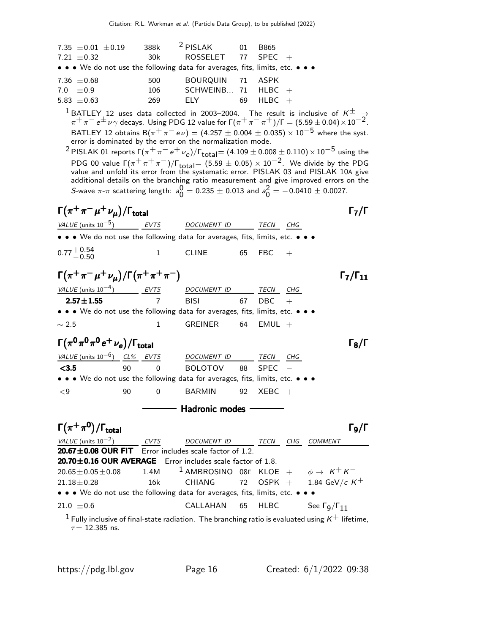| 7.35 $\pm 0.01 \pm 0.19$                                                      | 388k | $2$ PISLAK           | $\Omega$ 1 | B865        |
|-------------------------------------------------------------------------------|------|----------------------|------------|-------------|
| 7.21 $\pm$ 0.32                                                               | 30k  | ROSSELET 77 SPEC $+$ |            |             |
| • • • We do not use the following data for averages, fits, limits, etc. • • • |      |                      |            |             |
| 7.36 $\pm$ 0.68                                                               | 500  | BOURQUIN 71 ASPK     |            |             |
| $7.0 + 0.9$                                                                   | 106  | SCHWEINB 71 HLBC $+$ |            |             |
| 5.83 $\pm$ 0.63                                                               | 269  | FIY -                | 69         | $H L B C +$ |
|                                                                               |      |                      |            |             |

 $1 BATLEY$  12 uses data collected in 2003–2004. The result is inclusive of  $K^{\pm}$   $\rightarrow$  $\pi^+\pi^ e^\pm$   $\nu\gamma$  decays. Using PDG 12 value for  $\Gamma(\pi^+\pi^-\pi^+)/\Gamma=(5.59\pm0.04)\times10^{-2}$ . BATLEY 12 obtains B $(\pi^+ \pi^- e \nu) = (4.257 \pm 0.004 \pm 0.035) \times 10^{-5}$  where the syst.<br>error is dominated by the error on the normalization mode.

 $^2$ PISLAK 01 reports Γ $(\pi^+ \pi^- e^+ \nu_e)/$ Γ $_{\rm total}$ =  $(4.109 \pm 0.008 \pm 0.110) \times 10^{-5}$  using the PDG 00 value  $\Gamma(\pi^+\pi^+\pi^-)/\Gamma_{\rm total}$  = (5.59  $\pm$  0.05)  $\times$  10 $^{-2}$ . We divide by the PDG value and unfold its error from the systematic error. PISLAK 03 and PISLAK 10A give additional details on the branching ratio measurement and give improved errors on the S-wave  $\pi$ - $\pi$  scattering length:  $a_0^0$  $\frac{0}{0} = 0.235 \pm 0.013$  and  $a_0^2$  $\frac{2}{0}$  = -0.0410  $\pm$  0.0027.

 $\Gamma(\pi^+\pi^-\mu^+\nu_\mu)/\Gamma_{\rm total}$ VALUE (units  $10^{-5}$ ) ) EVTS DOCUMENT ID TECN CHG • • • We do not use the following data for averages, fits, limits, etc.  $0.77 + 0.54$ <br>-0.50  $-0.50$  1 CLINE 65 FBC +  $\Gamma(\pi^+ \pi^- \mu^+ \nu_\mu)/\Gamma(\pi^+ \pi^+ \pi^-)$   $\Gamma_7/\Gamma_{11}$ VALUE (units  $10^{-4}$ ) EVTS DOCUMENT ID TECN CHG **2.57** $\pm$ **1.55** 7 BISI 67 DBC • • • We do not use the following data for averages, fits, limits, etc. •  $\sim$  2.5 1 GREINER 64 EMUL + Γ $(\pi^0 \pi^0 \pi^0 e^+ \nu_e)/\Gamma_{\rm total}$ /Γ<sub>total</sub> Γ<sub>8</sub>/Γ VALUE (units  $10^{-6}$ ) CL% EVTS DOCUMENT ID TECN CHG <3.5 90 0 BOLOTOV 88 SPEC − • • • We do not use the following data for averages, fits, limits, etc. •  $\leq$ 9  $\leq$  90 0 BARMIN 92 XEBC  $+$ Hadronic modes Γ $(\pi^+\pi^0)/\Gamma_{\rm total}$  $\Gamma_{9}/\Gamma$ VALUE (units  $10^{-2}$ ) EVTS DOCUMENT ID TECN CHG COMMENT  $20.67\pm0.08$  OUR FIT Error includes scale factor of 1.2.<br>20.70 $\pm$ 0.16 OUR AVERAGE Error includes scale factor **20.70±0.16 OUR AVERAGE** Error includes scale factor of 1.8.<br>20.65±0.05±0.08  $1.4M$   $1$  AMBROSINO 08E KLOE  $20.65 \pm 0.05 \pm 0.08$  1.4M <sup>1</sup> AMBROSINO 08E KLOE +  $\phi \to K^+ K^-$ <br>21.18 $\pm$ 0.28 16k CHIANG 72 OSPK + 1.84 GeV/c K 1.84 GeV/c  $K^{+}$ • • • We do not use the following data for averages, fits, limits, etc. •  $21.0 \pm 0.6$  CALLAHAN 65 HLBC See Γ<sub>9</sub> See  $Γ_q/Γ_{11}$ <sup>1</sup> Fully inclusive of final-state radiation. The branching ratio is evaluated using  $K^+$  lifetime,  $\tau = 12.385$  ns.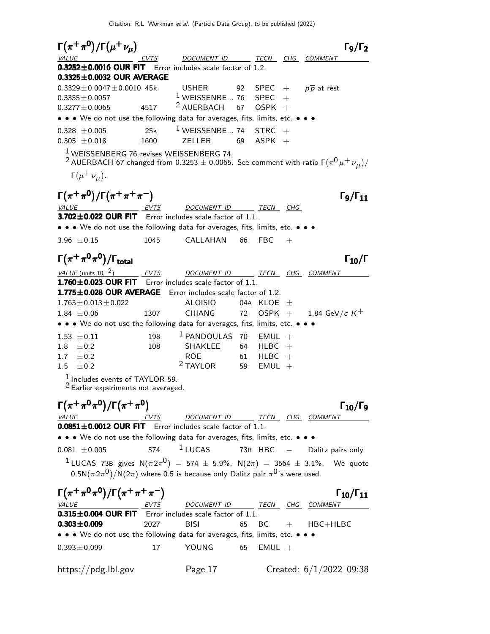$\Gamma(\pi^+\pi^0)/\Gamma(\mu^+\nu_\mu)$  Γ<sub>9</sub>/Γ<sub>2</sub>  $\Gamma_9/\Gamma_2$ DOCUMENT ID TECN CHG COMMENT  $0.3252\pm0.0016$  OUR FIT Error includes scale factor of 1.2.  $0.3325\pm0.0032$  OUR AVERAGE  $0.3329 \pm 0.0047 \pm 0.0010$  45k USHER 92 SPEC + p  $\overline{p}$  at rest 0.3355 $\pm$ 0.0057  $1$  WEISSENBE... 76 SPEC +  $0.3355 \pm 0.0057$   $1 \text{ WEISSENBE... } 76$  SPEC +<br> $0.3277 \pm 0.0065$   $4517$   $2 \text{ AUERBACH } 67$  OSPK +  $2$  AUERBACH • • • We do not use the following data for averages, fits, limits, etc. • • •  $0.328 \pm 0.005$  25k <sup>1</sup> WEISSENBE... 74 STRC +  $0.305 \pm 0.018$  1600 ZELLER 69 ASPK +  $0.305 \pm 0.018$ 1 WEISSENBERG 76 revises WEISSENBERG 74.  $^2$  AUERBACH 67 changed from 0.3253  $\pm$  0.0065. See comment with ratio Γ $(\pi^{\mathsf{0}}\mu^+\nu_{\mu})/2$  $\Gamma(\mu^+ \nu_\mu)$ .  $\Gamma(\pi^+\pi^0)/\Gamma(\pi^+\pi^+\pi^-)$  Γg/Γ<sub>11</sub>  $\Gamma$ <sub>9</sub>/Γ<sub>11</sub> VALUE EVTS DOCUMENT ID TECN CHG  $3.702 \pm 0.022$  OUR FIT Error includes scale factor of 1.1. • • • We do not use the following data for averages, fits, limits, etc. • • •  $3.96 \pm 0.15$  1045 CALLAHAN 66 FBC +  $\Gamma(\pi^+\pi^0\pi^0)/\Gamma_{\rm total}$  Γ<sub>10</sub>/Γ )/Γ<sub>total</sub>Γ $_{10}$ /Γ VALUE (units  $10^{-2}$ ) ) EVTS DOCUMENT ID TECN CHG COMMENT  $1.760\pm0.023$  OUR FIT Error includes scale factor of 1.1. **1.775** $\pm$ **0.028 OUR AVERAGE** Error includes scale factor of 1.2.<br>1.763 $\pm$ 0.013 $\pm$ 0.022 ALOISIO 04A KLOE  $\pm$  $1.763 \pm 0.013 \pm 0.022$ <br>  $1.84 \pm 0.06$ <br>  $1.307$ <br>  $1.84 \pm 0.06$ <br>  $1.307$ <br>  $1.84 \pm 0.06$ <br>  $1.84 \pm 0.06$ <br>  $1.84 \pm 0.06$ 1.84  $GeV/c$  K<sup>+</sup> • • • We do not use the following data for averages, fits, limits, etc. • •  $1.53 \pm 0.11$   $198$  <sup>1</sup> PANDOULAS 70 EMUL +<br> $1.8 \pm 0.2$   $108$  SHAKLEE 64 HLBC +  $1.8 \pm 0.2$  108 SHAKLEE 64 HLBC +  $1.7 \pm 0.2$  ROE 61 HLBC + 1.5  $\pm 0.2$  $2$  TAYLOR 59 EMUL +  $<sup>1</sup>$  Includes events of TAYLOR 59.</sup> 2 Earlier experiments not averaged.  $\Gamma(\pi^+\pi^0\pi^0)/\Gamma(\pi^+\pi^0)$  Γ<sub>10</sub>/Γ<sub>9</sub> ) Γ $_{10}/\Gamma$ VALUE EVTS DOCUMENT ID TECN CHG COMMENT  $0.0851 \pm 0.0012$  OUR FIT Error includes scale factor of 1.1. • • • We do not use the following data for averages, fits, limits, etc. • • •  $0.081 \pm 0.005$  574 <sup>1</sup> LUCAS 73B HBC − Dalitz pairs only  $1 \text{ LUCAS}$  73B gives  $N(\pi 2\pi^0) = 574 \pm 5.9\%$ ,  $N(2\pi) = 3564 \pm 3.1\%$ . We quote 0.5N $(\pi 2\pi^{\text{O}})/$ N $(2\pi)$  where 0.5 is because only Dalitz pair  $\pi^{\text{O}}$ 's were used.  $\Gamma(\pi^+\pi^0\pi^0)/\Gamma(\pi^+\pi^+\pi^-)$  Γ10/Γ11  $\Gamma_{10}/\Gamma_{11}$ VALUE **EVTS** DOCUMENT ID TECN CHG COMMENT  $0.315\pm0.004$  OUR FIT Error includes scale factor of 1.1.<br> $0.303\pm0.009$  2027 BISI 65 BC **0.303** $\pm$ **0.009** 2027 BISI 65 BC + HBC+HLBC • • • We do not use the following data for averages, fits, limits, etc. • • •  $0.393 \pm 0.099$  17 YOUNG 65 EMUL + https://pdg.lbl.gov Page 17 Created: 6/1/2022 09:38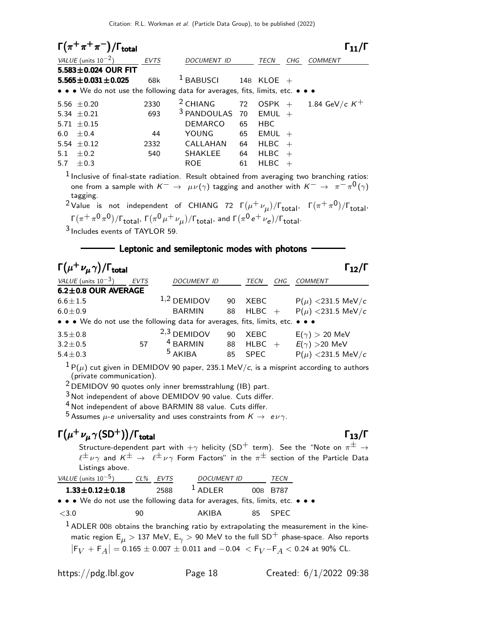| $\Gamma(\pi^+\pi^+\pi^-)/\Gamma_{\text{total}}$                                                                                                                                                                                                                                                                                                                                                                                                                                                                                                                                                    |      |                                              |      |                |     | $\Gamma_{11}/\Gamma$                              |
|----------------------------------------------------------------------------------------------------------------------------------------------------------------------------------------------------------------------------------------------------------------------------------------------------------------------------------------------------------------------------------------------------------------------------------------------------------------------------------------------------------------------------------------------------------------------------------------------------|------|----------------------------------------------|------|----------------|-----|---------------------------------------------------|
| VALUE (units $10^{-2}$ )                                                                                                                                                                                                                                                                                                                                                                                                                                                                                                                                                                           | EVTS | DOCUMENT ID                                  |      | TECN           | CHG | <b>COMMENT</b>                                    |
| 5.583 $\pm$ 0.024 OUR FIT                                                                                                                                                                                                                                                                                                                                                                                                                                                                                                                                                                          |      |                                              |      |                |     |                                                   |
| $5.565 \pm 0.031 \pm 0.025$                                                                                                                                                                                                                                                                                                                                                                                                                                                                                                                                                                        | 68k  | $1$ BABUSCI                                  |      | $14B$ KLOE $+$ |     |                                                   |
| • • • We do not use the following data for averages, fits, limits, etc. • • •                                                                                                                                                                                                                                                                                                                                                                                                                                                                                                                      |      |                                              |      |                |     |                                                   |
| 5.56 $\pm$ 0.20                                                                                                                                                                                                                                                                                                                                                                                                                                                                                                                                                                                    | 2330 | $2$ CHIANG                                   | 72   |                |     | OSPK + 1.84 GeV/c $K^+$                           |
| 5.34 $\pm$ 0.21                                                                                                                                                                                                                                                                                                                                                                                                                                                                                                                                                                                    | 693  | 3 PANDOULAS 70                               |      | $EMUL +$       |     |                                                   |
| 5.71 $\pm$ 0.15                                                                                                                                                                                                                                                                                                                                                                                                                                                                                                                                                                                    |      | DEMARCO                                      | 65   | <b>HBC</b>     |     |                                                   |
| ±0.4<br>6.0                                                                                                                                                                                                                                                                                                                                                                                                                                                                                                                                                                                        | 44   | YOUNG                                        |      | 65 EMUL +      |     |                                                   |
| 5.54 $\pm$ 0.12                                                                                                                                                                                                                                                                                                                                                                                                                                                                                                                                                                                    | 2332 | $CALLAHAN$ 64 $HLBC +$                       |      |                |     |                                                   |
| $\pm 0.2$<br>5.1                                                                                                                                                                                                                                                                                                                                                                                                                                                                                                                                                                                   | 540  | SHAKLEE                                      | 64   | HLBC           | $+$ |                                                   |
| 5.7 $\pm$ 0.3                                                                                                                                                                                                                                                                                                                                                                                                                                                                                                                                                                                      |      | <b>ROE</b>                                   | 61   | <b>HLBC</b>    | $+$ |                                                   |
| $1$ Inclusive of final-state radiation. Result obtained from averaging two branching ratios:<br>one from a sample with $K^ \rightarrow \mu \nu (\gamma)$ tagging and another with $K^ \rightarrow \pi^- \pi^0 (\gamma)$<br>tagging.<br><sup>2</sup> Value is not independent of CHIANG 72 $\Gamma(\mu^+ \nu_\mu)/\Gamma_{\text{total}}$ , $\Gamma(\pi^+ \pi^0)/\Gamma_{\text{total}}$ ,<br>$\Gamma(\pi^+\pi^0\pi^0)/\Gamma_{\text{total}}$ , $\Gamma(\pi^0\mu^+\nu_\mu)/\Gamma_{\text{total}}$ , and $\Gamma(\pi^0e^+\nu_e)/\Gamma_{\text{total}}$ .<br><sup>3</sup> Includes events of TAYLOR 59. |      |                                              |      |                |     |                                                   |
|                                                                                                                                                                                                                                                                                                                                                                                                                                                                                                                                                                                                    |      | Leptonic and semileptonic modes with photons |      |                |     |                                                   |
| $\Gamma(\mu^+\nu_{\mu}\gamma)/\Gamma_{\rm total}$                                                                                                                                                                                                                                                                                                                                                                                                                                                                                                                                                  |      |                                              |      |                |     | $\mathsf{\Gamma}_{\mathbf{12}} / \mathsf{\Gamma}$ |
| VALUE (units $10^{-3}$ ) EVTS                                                                                                                                                                                                                                                                                                                                                                                                                                                                                                                                                                      |      | DOCUMENT ID                                  | TECN | CHG            |     | <b>COMMENT</b>                                    |
| $62+0.8$ OUR AVERAGE                                                                                                                                                                                                                                                                                                                                                                                                                                                                                                                                                                               |      |                                              |      |                |     |                                                   |

| VALUL TUIIILS 10                                                              | ل ل ک ا | <i>D</i> UCUMLIVI ID                                                                                                                           |    | $1$ L CIV<br><b>UID</b> | CUMMLIVI                     |
|-------------------------------------------------------------------------------|---------|------------------------------------------------------------------------------------------------------------------------------------------------|----|-------------------------|------------------------------|
| $6.2 \pm 0.8$ OUR AVERAGE                                                     |         |                                                                                                                                                |    |                         |                              |
| $6.6 \pm 1.5$                                                                 |         | $1,2$ DEMIDOV                                                                                                                                  | 90 | XEBC                    | $P(\mu)$ < 231.5 MeV/c       |
| $6.0 \pm 0.9$                                                                 |         | <b>BARMIN</b>                                                                                                                                  | 88 |                         | HLBC + $P(\mu)$ <231.5 MeV/c |
| • • • We do not use the following data for averages, fits, limits, etc. • • • |         |                                                                                                                                                |    |                         |                              |
| $3.5 \pm 0.8$                                                                 |         | $2,3$ DEMIDOV                                                                                                                                  | 90 | XEBC                    | $E(\gamma) > 20$ MeV         |
| $3.2 \pm 0.5$                                                                 | 57      | <sup>4</sup> BARMIN                                                                                                                            | 88 | $H L B C +$             | $E(\gamma) > 20$ MeV         |
| $5.4 \pm 0.3$                                                                 |         | $5$ AKIBA                                                                                                                                      |    | 85 SPEC                 | $P(\mu)$ < 231.5 MeV/c       |
| $1 - \lambda$                                                                 |         | $\mathbf{r}$ $\mathbf{r}$ $\mathbf{r}$ $\mathbf{r}$ $\mathbf{r}$ $\mathbf{r}$ $\mathbf{r}$ $\mathbf{r}$ $\mathbf{r}$ $\mathbf{r}$ $\mathbf{r}$ |    |                         |                              |

 $1P(\mu)$  cut given in DEMIDOV 90 paper, 235.1 MeV/c, is a misprint according to authors (private communication).

2 DEMIDOV 90 quotes only inner bremsstrahlung (IB) part.

3 Not independent of above DEMIDOV 90 value. Cuts differ.

4 Not independent of above BARMIN 88 value. Cuts differ.

5 Assumes  $\mu$ -e universality and uses constraints from  $K \to e \nu \gamma$ .

### $\Gamma(\mu^+ \nu_{\mu} \gamma(\text{SD}^+)) / \Gamma_{\text{total}}$  Γ<sub>13</sub>/Γ

Structure-dependent part with  $+\gamma$  helicity (SD<sup>+</sup> term). See the "Note on  $\pi^{\pm} \rightarrow$  $l^{\pm} \nu \gamma$  and  $K^{\pm} \rightarrow l^{\pm} \nu \gamma$  Form Factors" in the  $\pi^{\pm}$  section of the Particle Data Listings above.

| VALUE (units $10^{-5}$ )                                                      | $CL\%$ | EVTS | <b>DOCUMENT ID</b> | <i>TECN</i> |  |
|-------------------------------------------------------------------------------|--------|------|--------------------|-------------|--|
| $1.33 \pm 0.12 \pm 0.18$                                                      |        | 2588 | $1$ ADLER          | 00B B787    |  |
| • • • We do not use the following data for averages, fits, limits, etc. • • • |        |      |                    |             |  |
| <3.0                                                                          | 90.    |      | AKIBA              | 85 SPFC     |  |

 $<sup>1</sup>$  ADLER 00B obtains the branching ratio by extrapolating the measurement in the kine-</sup> matic region  $E_{\mu} > 137$  MeV,  $E_{\gamma} > 90$  MeV to the full  $SD^{+}$  phase-space. Also reports  $|{\sf F}_V + {\sf F}_A| =$  0.165  $\pm$  0.007  $\pm$  0.011 and  $-$  0.04  $\lt$   ${\sf F}_V$  −  ${\sf F}_A$   $<$  0.24 at 90% CL.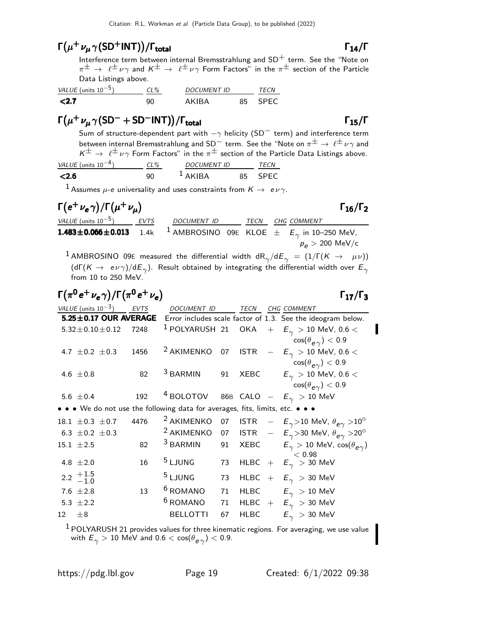### $\Gamma(\mu^+ \nu_{\mu} \gamma(\text{SD}^+\text{INT})) / \Gamma_{\text{total}}$  Γ<sub>14</sub>/Γ

Interference term between internal Bremsstrahlung and  $SD<sup>+</sup>$  term. See the "Note on  $\pi^{\pm}\to \ell^{\pm}\nu\gamma$  and  $K^{\pm}\to \ell^{\pm}\nu\gamma$  Form Factors" in the  $\pi^{\pm}$  section of the Particle Data Listings above.

| VALUE (units $10^{-5}$ ) | CL% | <b>DOCUMENT ID</b> | <i>TFCN</i> |             |
|--------------------------|-----|--------------------|-------------|-------------|
| $\langle 2.7$            |     | AKIRA              |             | <b>SPEC</b> |

### $\Gamma(\mu^+ \nu_\mu \gamma (\text{SD}^- + \text{SD}^- \text{INT})) / \Gamma_{\text{total}}$  Γ<sub>15</sub>/Γ

Sum of structure-dependent part with  $-\gamma$  helicity (SD<sup>-</sup> term) and interference term between internal Bremsstrahlung and SD<sup>-</sup> term. See the "Note on  $\pi^{\pm} \to \ell^{\pm} \nu \gamma$  and  $K^{\pm} \rightarrow \ell^{\pm} \nu \gamma$  Form Factors" in the  $\pi^{\pm}$  section of the Particle Data Listings above.<br>
(units 10<sup>-4</sup>) (1% DOCUMENT ID TECN VALUE (units  $10^{-4}$ )

| VALUL TUIIILO 10 | UL 70 | <i>D</i> UCUMLIVI ID  | 1.5.18 |  |
|------------------|-------|-----------------------|--------|--|
| ∠2 б             |       | $\Delta$ KIR $\Delta$ |        |  |
|                  |       |                       |        |  |

 $1$  Assumes  $\mu$ -e universality and uses constraints from  $K \rightarrow e \nu \gamma$ .

### $\Gamma(e^+ \nu_e \gamma) / \Gamma(\mu^+ \nu_\mu)$   $\Gamma_{16}/\Gamma_2$

 $\Gamma_{16}/\Gamma_2$ 

| <i>VALUE</i> (units $10^{-5}$ )                                                                 | EVTS | DOCUMENT ID |  | TECN CHG COMMENT            |
|-------------------------------------------------------------------------------------------------|------|-------------|--|-----------------------------|
| <b>1.483±0.066±0.013</b> 1.4k <sup>1</sup> AMBROSINO 09E KLOE $\pm$ $E_{\gamma}$ in 10–250 MeV, |      |             |  | $p_e > 200 \; \text{MeV/c}$ |

 $^{\displaystyle 1}$  AMBROSINO 09E measured the differential width dR $_{\gamma}/$ d $E_{\gamma}$   $=$   $(1/\Gamma(K$   $\rightarrow$   $\mu\nu))$ (dГ( $\kappa\to~e\nu\gamma)$ /d $E_\gamma$ ). Result obtained by integrating the differential width over  $E_\gamma$ from 10 to 250 MeV.

|                | $\Gamma(\pi^0 e^+ \nu_e \gamma)/\Gamma(\pi^0 e^+ \nu_e)$ |      |                                                                               |    |             | $\Gamma_{17}/\Gamma_3$                                                                                                   |
|----------------|----------------------------------------------------------|------|-------------------------------------------------------------------------------|----|-------------|--------------------------------------------------------------------------------------------------------------------------|
|                | VALUE (units $10^{-3}$ ) EVTS                            |      | <b>DOCUMENT ID</b>                                                            |    | TECN        | CHG COMMENT                                                                                                              |
|                | $5.25 \pm 0.17$ OUR AVERAGE                              |      |                                                                               |    |             | Error includes scale factor of 1.3. See the ideogram below.                                                              |
|                | $5.32 \pm 0.10 \pm 0.12$                                 | 7248 | <sup>1</sup> POLYARUSH 21 OKA                                                 |    |             | $+$ $E_{\gamma}$ $> 10$ MeV, 0.6 $<$                                                                                     |
|                | 4.7 $\pm$ 0.2 $\pm$ 0.3                                  | 1456 | <sup>2</sup> AKIMENKO                                                         | 07 | <b>ISTR</b> | $\cos(\theta_{\bm{e}\,\gamma}) < 0.9$<br>$ \,$ $E_{\gamma}$ $>$ 10 MeV, 0.6 $<$                                          |
|                | 4.6 $\pm 0.8$                                            | 82   | <sup>3</sup> BARMIN                                                           | 91 |             | $\cos(\theta_{\bm{e}\gamma}) < 0.9$<br>$\text{XEBC}$ $E_{\gamma}$ > 10 MeV, 0.6 <<br>$\cos(\theta_{\bm{e}\gamma}) < 0.9$ |
|                | 5.6 $\pm$ 0.4                                            | 192  | <sup>4</sup> BOLOTOV                                                          |    |             | 86B CALO $ E_{\gamma}$ $> 10$ MeV                                                                                        |
|                |                                                          |      | • • • We do not use the following data for averages, fits, limits, etc. • • • |    |             |                                                                                                                          |
|                | 18.1 $\pm$ 0.3 $\pm$ 0.7                                 | 4476 | <sup>2</sup> AKIMENKO                                                         | 07 |             | ISTR $ E_{\gamma}$ >10 MeV, $\theta_{e\gamma}$ >10 <sup>o</sup>                                                          |
|                | 6.3 $\pm$ 0.2 $\pm$ 0.3                                  |      | <sup>2</sup> AKIMENKO                                                         | 07 |             | ISTR $ E_{\gamma}$ >30 MeV, $\theta_{e\gamma}$ >20 <sup>o</sup>                                                          |
| $15.1 \pm 2.5$ |                                                          | 82   | <sup>3</sup> BARMIN                                                           | 91 | XEBC        | $E_\gamma > 10$ MeV, $\cos(\theta_{e\gamma})$                                                                            |
|                | 4.8 $\pm 2.0$                                            | 16   | <sup>5</sup> LJUNG                                                            | 73 | <b>HLBC</b> | < 0.98<br>$+$ $E_{\gamma}$ $>$ 30 MeV                                                                                    |
|                | 2.2 $+1.5$<br>-1.0                                       |      | <sup>5</sup> LJUNG                                                            | 73 | HLBC        | $+$ $E_\gamma$ $>$ 30 MeV                                                                                                |
|                | 7.6 $\pm 2.8$                                            | 13   | <sup>6</sup> ROMANO                                                           | 71 | <b>HLBC</b> | $E_{\gamma}$ $>$ 10 MeV                                                                                                  |
|                | 5.3 $\pm 2.2$                                            |      | <sup>6</sup> ROMANO                                                           | 71 | <b>HLBC</b> | $+$ $E_{\gamma}$ $>$ 30 MeV                                                                                              |
| 12             | $\pm 8$                                                  |      | <b>BELLOTTI</b>                                                               | 67 | <b>HLBC</b> | $E_\gamma~>$ 30 MeV                                                                                                      |
|                |                                                          |      | $\frac{1}{2}$                                                                 |    |             |                                                                                                                          |

 $<sup>1</sup>$  POLYARUSH 21 provides values for three kinematic regions. For averaging, we use value</sup> with  $\mathsf{E}_{\gamma}>10$  MeV and  $0.6 < \cos(\theta_{\bm{e}\gamma}) < 0.9.$ 

### total and  $14/1$

 $\Gamma_{15}/\Gamma$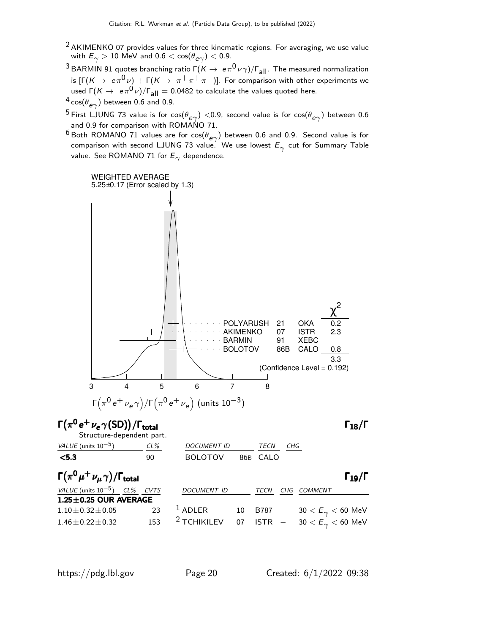- $2$  AKIMENKO 07 provides values for three kinematic regions. For averaging, we use value with  $E_\gamma > 10$  MeV and  $0.6 < \cos(\theta_{\bm{e}\gamma}) < 0.9.$
- <sup>3</sup> BARMIN 91 quotes branching ratio  $\Gamma(K \to e\pi^0 \nu \gamma)/\Gamma_{\text{all}}$ . The measured normalization is  $[\Gamma(K\to~e\pi^0\,\nu] + \Gamma(K\to~\pi^+\,\pi^+\,\pi^-)]$ . For comparison with other experiments we used  $\Gamma(K\to~e\pi^0\nu)/\Gamma_\text{all}=$  0.0482 to calculate the values quoted here.
- $^4$  cos $(\theta_{\bm{e}\gamma})$  between 0.6 and 0.9.
- $^5$ First LJUNG 73 value is for cos $(\theta_{\bm{e}\gamma})<$ 0.9, second value is for cos $(\theta_{\bm{e}\gamma})$  between 0.6 and 0.9 for comparison with ROMANO 71.
- $^6$ Both ROMANO 71 values are for cos $(\theta_{\bm{e}\gamma})$  between 0.6 and 0.9. Second value is for comparison with second LJUNG 73 value. We use lowest  $\mathsf{E}_\gamma$  cut for Summary Table value. See ROMANO 71 for  $\mathsf{E}_\gamma$  dependence.

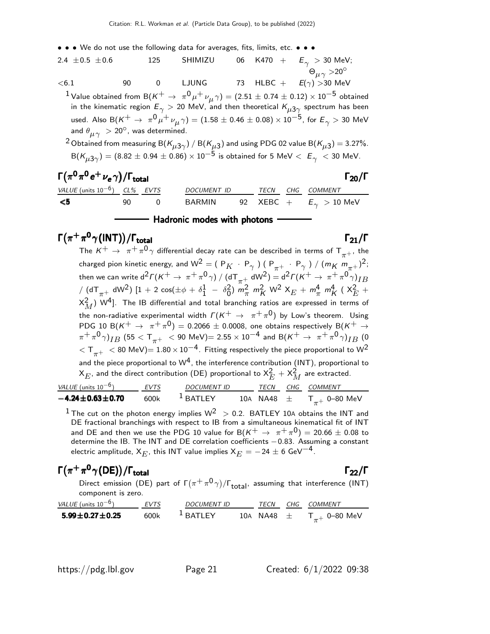- • We do not use the following data for averages, fits, limits, etc. • •
- 2.4  $\pm$ 0.5  $\pm$ 0.6 125 SHIMIZU 06 K470 +  $E_{\gamma} > 30$  MeV;  $Θ$ <sub>*μ* $\gamma$ </sub> >20<sup>°</sup>  $<$ 6.1 90 0 LJUNG 73 HLBC +  $E(\gamma) >$ 30 MeV  $^{\text{1}}$  Value obtained from B $(\kappa^+ \rightarrow \ \pi^0 \mu^+ \nu_\mu \gamma) = (2.51 \pm 0.74 \pm 0.12) \times 10^{-5}$  obtained in the kinematic region  $E_\gamma >$  20 MeV, and then theoretical  $\mathsf{K}_{\mu3\gamma}$  spectrum has been used. Also B $({\sf K}^+ \to~\pi^0\mu^+\nu_\mu\gamma)=(1.58\pm 0.46\pm 0.08)\times 10^{-5}$ , for  ${\sf E}_\gamma>$  30 MeV and  $\theta_{\mu\gamma} > 20^{\circ}$ , was determined.

 $^2$ Obtained from measuring B( $\kappa_{\mu3\gamma})$  / B( $\kappa_{\mu3})$  and using PDG 02 value B( $\kappa_{\mu3})$   $=$  3.27%.  ${\sf B}({\sf K}_{\mu3\gamma})=(8.82\pm0.94\pm0.86)\times10^{-5}$  is obtained for 5 MeV  $< E_{\gamma}~<$  30 MeV.

| $\Gamma(\pi^0\pi^0\,e^+\,\nu_e\,\gamma)/\Gamma_{\rm total}$<br>$\Gamma_{20}/\Gamma$ |     |     |                    |  |  |  |                                             |  |
|-------------------------------------------------------------------------------------|-----|-----|--------------------|--|--|--|---------------------------------------------|--|
| VALUE (units $10^{-6}$ ) CL% EVTS                                                   |     |     | <i>DOCUMENT ID</i> |  |  |  | TECN CHG COMMENT                            |  |
| - <5                                                                                | 90. | - 0 | BARMIN             |  |  |  | 92 $\,$ XEBC + $\,$ $E_{\gamma}$ $>$ 10 MeV |  |
|                                                                                     |     |     |                    |  |  |  |                                             |  |

#### Hadronic modes with photons

### $\Gamma(\pi^+\pi^0\gamma($ INT) $)/\Gamma_{\rm total}$  Γ<sub>21</sub>/Γ

The  $K^+$   $\;\rightarrow$   $\;\pi^+\pi^0\gamma$  differential decay rate can be described in terms of  ${\sf T}_{\pi^+}$ , the charged pion kinetic energy, and W<sup>2</sup> = ( P<sub>K</sub> · P<sub> $\gamma$ </sub> ) ( P<sub> $\pi$ +</sub> · P<sub> $\gamma$ </sub> ) / ( $m_K m_{\pi^+}$ )<sup>2</sup>; then we can write  $d^2\Gamma(K^+ \to\ \pi^+\pi^0\gamma)\ / \ (d\mathsf{T}_{\pi^+}\ d\mathsf{W}^2) = d^2\Gamma(K^+ \to\ \pi^+\pi^0\gamma)_{IB}$  $\frac{1}{2}$  (dT $_{\pi^+}$  dW<sup>2</sup>) [1 + 2 cos( $\pm \phi$  +  $\delta^1_1$  $\frac{1}{1} - \delta_0^2$  $_{0}^{2}$ )  $m_{\pi}^{2}$   $m_{K}^{2}$  W<sup>2</sup>  $X_{E}$  +  $m_{\pi}^{4}$   $m_{K}^{4}$  (  $X_{E}^{2}$  +  $(\mathsf{x}_{M}^{2})$  W<sup>4</sup>]. The IB differential and total branching ratios are expressed in terms of the non-radiative experimental width  $\varGamma(\mathsf{K}^{+}\to~\pi^{+}\pi^{0})$  by Low's theorem. Using PDG 10 B( $K^+$   $\rightarrow \pi^+ \pi^0$ ) = 0.2066  $\pm$  0.0008, one obtains respectively B( $K^+$   $\rightarrow$  $(\pi^+\pi^0\gamma)_{IB}$  (55  $<$  T $_{\pi^+}$   $\,<$  90 MeV)= 2.55  $\times$  10 $^{-4}$  and B( $\kappa^+$   $\,\rightarrow$   $\,\pi^+\pi^0\gamma)_{IB}$  (0)  $1 < T_{\pi^+} < 80$  MeV)=  $1.80 \times 10^{-4}$ . Fitting respectively the piece proportional to W<sup>2</sup> and the piece proportional to  $W^4$ , the interference contribution (INT), proportional to  $\mathsf{X}_E$ , and the direct contribution (DE) proportional to  $\mathsf{X}_E^2 + \mathsf{X}_M^2$  are extracted.

| <i>VALUE</i> (units $10^{-6}$ )   | <b>EVTS</b> | <b>DOCUMENT ID</b>    | <b>TFCN</b>  | CHG COMMENT                |
|-----------------------------------|-------------|-----------------------|--------------|----------------------------|
| $-4.24 \!\pm\! 0.63 \!\pm\! 0.70$ | 600k        | $\frac{1}{2}$ RATI FY | 10A NA48 $+$ | ${\sf T}_{\pi^+}$ 0–80 MeV |

<sup>1</sup> The cut on the photon energy implies  $W^2 > 0.2$ . BATLEY 10A obtains the INT and DE fractional branchings with respect to IB from a simultaneous kinematical fit of INT and DE and then we use the PDG 10 value for  $B(K^+ \rightarrow \pi^+ \pi^0) = 20.66 \pm 0.08$  to determine the IB. The INT and DE correlation coefficients −0.83. Assuming a constant electric amplitude,  $X_{E}$ , this INT value implies  $X_{E} = -24 \pm 6$  GeV $^{-4}$ .

### $\Gamma(\pi^+\pi^0\gamma\mathrm{(DE)})/\Gamma_\mathrm{total}$  Γ<sub>22</sub>/Γ

Direct emission (DE) part of  $\Gamma(\pi^+\pi^0\gamma)/\Gamma_{\rm total}$ , assuming that interference (INT) component is zero.

| <i>VALUE</i> (units $10^{-6}$ ) | <i>FVTS</i> | <b>DOCUMENT ID</b>    | <b>TFCN</b>  | CHG COMMENT                |
|---------------------------------|-------------|-----------------------|--------------|----------------------------|
| $5.99 \pm 0.27 \pm 0.25$        | 600k        | $\frac{1}{2}$ RATI FY | 10A NA48 $+$ | ${\sf T}_{\pi^+}$ 0–80 MeV |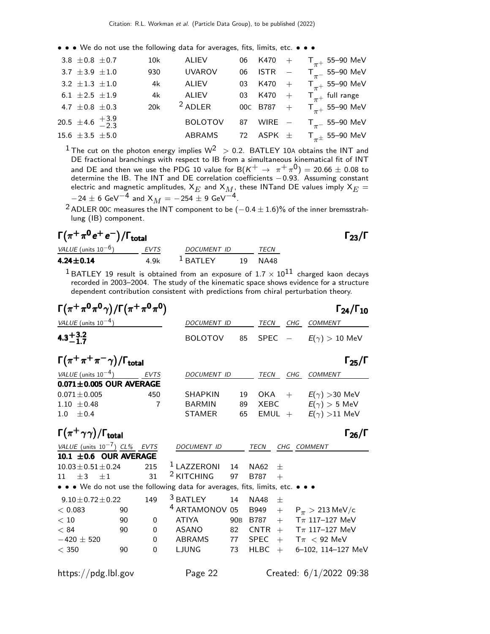• • • We do not use the following data for averages, fits, limits, etc. • • •

| 3.8 $\pm$ 0.8 $\pm$ 0.7  |                               | 10k | ALIEV          |  | 06 K470 + $T_{\pi^+}$ 55-90 MeV                          |
|--------------------------|-------------------------------|-----|----------------|--|----------------------------------------------------------|
| 3.7 $\pm 3.9 \pm 1.0$    |                               | 930 | <b>UVAROV</b>  |  | 06 ISTR $-$ T <sub><math>\pi</math></sub> 55–90 MeV      |
| 3.2 $\pm 1.3 \pm 1.0$    |                               |     | 4k ALIEV       |  | 03 K470 + $T_{\pi+}$ 55-90 MeV                           |
| 6.1 $\pm 2.5$ $\pm 1.9$  |                               | 4k  | ALIEV          |  | 03 K470 + $T_{\pi^+}$ full range                         |
| 4.7 $\pm$ 0.8 $\pm$ 0.3  |                               |     | 20 $k$ 2 ADLER |  | 00c B787 + $T_{\pi^+}$ 55-90 MeV                         |
|                          | 20.5 ±4.6 $\frac{+3.9}{-2.3}$ |     | <b>BOLOTOV</b> |  | 87 WIRE $-$ T <sub><math>\pi</math></sub> 55–90 MeV      |
| 15.6 $\pm 3.5$ $\pm 5.0$ |                               |     | ABRAMS         |  | 72 ASPK $\pm$ T <sub><math>\pi\pm</math></sub> 55–90 MeV |
|                          |                               |     |                |  |                                                          |

<sup>1</sup> The cut on the photon energy implies  $W^2 > 0.2$ . BATLEY 10A obtains the INT and DE fractional branchings with respect to IB from a simultaneous kinematical fit of INT and DE and then we use the PDG 10 value for  $B(K^+ \rightarrow \pi^+ \pi^0) = 20.66 \pm 0.08$  to determine the IB. The INT and DE correlation coefficients −0.93. Assuming constant electric and magnetic amplitudes,  $\mathsf{x}_{E}$  and  $\mathsf{x}_{M},$  these INTand DE values imply  $\mathsf{x}_{E}$   $=$  $-24 \pm 6$  GeV $^{-4}$  and  $X_M = -254 \pm 9$  GeV $^{-4}$ .

<sup>2</sup> ADLER 00C measures the INT component to be  $(-0.4 \pm 1.6)\%$  of the inner bremsstrahlung (IB) component.

#### $\Gamma(\pi^+\pi^0e^+e^-)/\Gamma_{\rm total}$  Γ<sub>23</sub>/Γ /Γ $_{\rm total}$ Γ $_{23}/$ Γ

| VALUE (units $10^{-6}$ ) | EVTS | DOCUMENT ID           |     | TFCN |
|--------------------------|------|-----------------------|-----|------|
| 4.24 $\pm$ 0.14          | 4 9k | $\frac{1}{2}$ RATI FY | 19. | NA48 |

 $^1$ BATLEY 19 result is obtained from an exposure of 1.7  $\times$   $10^{11}$  charged kaon decays recorded in 2003–2004. The study of the kinematic space shows evidence for a structure dependent contribution consistent with predictions from chiral perturbation theory.

| $\Gamma(\pi^+\pi^0\pi^0\gamma)/\Gamma(\pi^+\pi^0\pi^0)$ |    |                |                                                                               |                 |                       |                          | $\Gamma_{24}/\Gamma_{10}$                     |
|---------------------------------------------------------|----|----------------|-------------------------------------------------------------------------------|-----------------|-----------------------|--------------------------|-----------------------------------------------|
| VALUE (units $10^{-4}$ )                                |    |                | DOCUMENT ID                                                                   |                 | TECN                  | CHG                      | <b>COMMENT</b>                                |
| $4.3 + 3.2 - 1.7$                                       |    |                | <b>BOLOTOV</b>                                                                | 85              | <b>SPEC</b>           | $\overline{\phantom{a}}$ | $E(\gamma) > 10$ MeV                          |
| $\Gamma(\pi^+\pi^+\pi^-\gamma)/\Gamma_{\rm total}$      |    |                |                                                                               |                 |                       |                          | $\Gamma_{25}/\Gamma$                          |
| VALUE (units $10^{-4}$ )                                |    | <b>EVTS</b>    | <b>DOCUMENT ID</b>                                                            |                 | <b>TECN</b>           | CHG                      | <b>COMMENT</b>                                |
| $0.071 \pm 0.005$ OUR AVERAGE                           |    |                |                                                                               |                 |                       |                          |                                               |
| $0.071 \pm 0.005$                                       |    | 450            | <b>SHAPKIN</b>                                                                | 19              | OKA                   | $+$                      | $E(\gamma) > 30$ MeV                          |
| $1.10 \pm 0.48$                                         |    | $\overline{7}$ | <b>BARMIN</b>                                                                 | 89              | XEBC                  |                          | $E(\gamma) > 5$ MeV                           |
| ±0.4<br>1.0                                             |    |                | <b>STAMER</b>                                                                 | 65              |                       |                          | EMUL + $E(\gamma) > 11$ MeV                   |
| $\Gamma(\pi^+\gamma\gamma)/\Gamma_{\rm total}$          |    |                |                                                                               |                 |                       |                          | $\Gamma_{26}/\Gamma$                          |
| VALUE (units $10^{-7}$ ) CL% EVTS                       |    |                | DOCUMENT ID                                                                   |                 | <b>TECN</b>           |                          | CHG COMMENT                                   |
| 10.1 $\pm$ 0.6 OUR AVERAGE                              |    |                |                                                                               |                 |                       |                          |                                               |
| $10.03 \pm 0.51 \pm 0.24$                               |    | 215            | <sup>1</sup> LAZZERONI                                                        | 14              | <b>NA62</b><br>$^{+}$ |                          |                                               |
| $+3$<br>$+1$<br>11                                      |    | 31             | <sup>2</sup> KITCHING                                                         | 97              | <b>B787</b><br>$+$    |                          |                                               |
|                                                         |    |                | • • • We do not use the following data for averages, fits, limits, etc. • • • |                 |                       |                          |                                               |
| $9.10 \pm 0.72 \pm 0.22$                                |    | 149            | <sup>3</sup> BATLEY                                                           | 14              | <b>NA48</b><br>$^{+}$ |                          |                                               |
| < 0.083                                                 | 90 |                | <sup>4</sup> ARTAMONOV 05                                                     |                 | B949                  |                          | $+$ P <sub><math>\pi</math></sub> > 213 MeV/c |
| < 10                                                    | 90 | $\Omega$       | <b>ATIYA</b>                                                                  | 90 <sub>B</sub> | B787                  | $+$                      | $T_{\pi}$ 117–127 MeV                         |
| < 84                                                    | 90 | $\Omega$       | <b>ASANO</b>                                                                  | 82              | CNTR                  | $+$                      | $T_{\pi}$ 117–127 MeV                         |

−420 ± 520 0 ABRAMS 77 SPEC + Tπ < 92 MeV

https://pdg.lbl.gov Page 22 Created: 6/1/2022 09:38

6-102, 114-127 MeV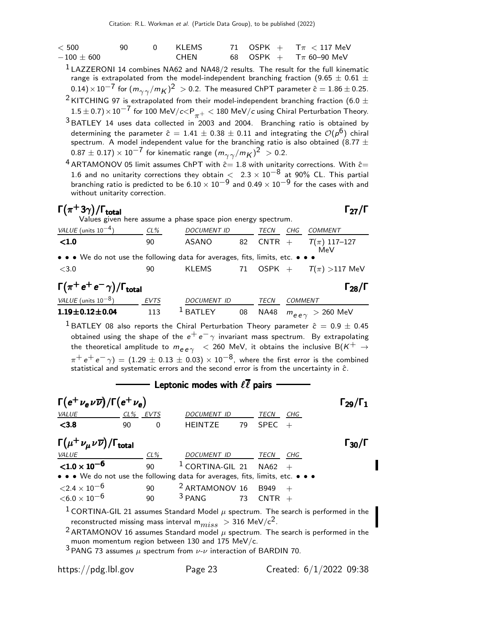| < 500            | 90. | 0 KLEMS |  | 71 OSPK + $T\pi$ < 117 MeV                   |
|------------------|-----|---------|--|----------------------------------------------|
| $-100\,\pm\,600$ |     | CHEN    |  | 68 $\,$ OSPK $+$ $\,$ T $\pi$ 60–90 MeV $\,$ |

 $<sup>1</sup>$  LAZZERONI 14 combines NA62 and NA48/2 results. The result for the full kinematic</sup> range is extrapolated from the model-independent branching fraction (9.65  $\pm$  0.61  $\pm$  $(0.14)\!\times\!10^{-7}$  for  $(m_{\gamma\gamma}/m_K)^2\ >$  0.2. The measured ChPT parameter  $\hat{c}=1.86\pm0.25.$ <sup>2</sup> KITCHING 97 is extrapolated from their model-independent branching fraction (6.0  $\pm$ 

 $1.5\pm0.7)\times10^{-7}$  for  $100$  MeV/ $c$ <P $_{\pi^+}$  < 180 MeV/ $c$  using Chiral Perturbation Theory.  $3$  BATLEY 14 uses data collected in 2003 and 2004. Branching ratio is obtained by determining the parameter  $\hat{c} = 1.41 \pm 0.38 \pm 0.11$  and integrating the  $\mathcal{O}(\rho^6)$  chiral spectrum. A model independent value for the branching ratio is also obtained (8.77  $\pm$  $(0.87\pm0.17)\times10^{-7}$  for kinematic range  $(m_{\gamma\gamma}/m_K)^2~>0.2.5$ 

 $4$  ARTAMONOV 05 limit assumes ChPT with  $\stackrel{\cdot}{c=} 1.8$  with unitarity corrections. With  $\hat{c}=$ 1.6 and no unitarity corrections they obtain  $\langle 2.3 \times 10^{-8}$  at 90% CL. This partial branching ratio is predicted to be  $6.10 \times 10^{-9}$  and  $0.49 \times 10^{-9}$  for the cases with and without unitarity correction.

#### $\Gamma(\pi^+3\gamma)/\Gamma_{\rm total}$  Γ<sub>27</sub>/Γ  $\Gamma$ <sub>total</sub> Γ<sub>27</sub>/Γ

|                                                                                      | Values given here assume a phase space pion energy spectrum. |                                   |    |           |     |                            |  |  |
|--------------------------------------------------------------------------------------|--------------------------------------------------------------|-----------------------------------|----|-----------|-----|----------------------------|--|--|
| VALUE (units $10^{-4}$ )                                                             | CL%                                                          | <i>DOCUMENT ID</i>                |    | TECN      | CHG | <i>COMMENT</i>             |  |  |
| < 1.0                                                                                | 90                                                           | ASANO                             |    |           |     | 82 CNTR + $T(\pi)$ 117-127 |  |  |
| MeV<br>• • • We do not use the following data for averages, fits, limits, etc. • • • |                                                              |                                   |    |           |     |                            |  |  |
| $\sim$ $\sim$                                                                        | $\sim$                                                       | $1/1$ $\Gamma$ $\Lambda$ $\Gamma$ | 71 | $\bigcap$ |     | T(1.117111)                |  |  |

| <3.0                                           | 90          | <b>KLEMS</b>        |      | 71 OSPK + $T(\pi) > 117$ MeV     |
|------------------------------------------------|-------------|---------------------|------|----------------------------------|
| $\Gamma(\pi^+e^+e^-\gamma)/\Gamma_{\rm total}$ |             |                     |      | $\Gamma_{28}/\Gamma$             |
| VALUE (units $10^{-8}$ )                       | <b>EVTS</b> | <b>DOCUMENT ID</b>  | TECN | COMMENT                          |
| $1.19 \pm 0.12 \pm 0.04$                       | 113         | <sup>L</sup> BATLEY |      | 08 NA48 $m_{ee\gamma} >$ 260 MeV |

<sup>1</sup> BATLEY 08 also reports the Chiral Perturbation Theory parameter  $\hat{c} = 0.9 \pm 0.45$ obtained using the shape of the  $e^+e^-\gamma$  invariant mass spectrum. By extrapolating the theoretical amplitude to  $m_{ee\gamma}$  < 260 MeV, it obtains the inclusive B(K<sup>+</sup>  $\rightarrow$  $\pi^+ \, e^+ \, e^- \, \gamma) = (1.29 \, \pm \, 0.13 \, \pm \, 0.03) \times 10^{-8}$ , where the first error is the combined statistical and systematic errors and the second error is from the uncertainty in ĉ.

#### - Leptonic modes with  $\ell \overline{\ell}$  pairs  $\Gamma(e^+ \nu_e \nu \overline{\nu}) / \Gamma(e^+ \nu_e)$  Γ<sub>29</sub>/Γ<sub>1</sub>  $\Gamma_{29}/\Gamma$ VALUE CL<sup>%</sup> EVTS DOCUMENT ID TECN  $\leq$ 3.8 90 0 HEINTZE 79 SPEC +  $\Gamma(\mu^+ \nu_\mu \nu \overline{\nu})/\Gamma_{\rm total}$  Γ<sub>30</sub>/Γ VALUE CL% DOCUMENT ID TECN CHG  ${<}1.0\times10^{-6}$ 90 <sup>1</sup> CORTINA-GIL 21 NA62 • • • We do not use the following data for averages, fits, limits, etc.<br> $\langle 2.4 \times 10^{-6}$  90  $2$  ARTAMONOV 16 B949 +  $\begin{array}{ccc} 90 & \begin{array}{ccc} 2 \ 2 \ 2 \end{array} & 2 \end{array}$  ARTAMONOV 16 B949 +<br> $\begin{array}{ccc} 3 \ 90 & \begin{array}{ccc} 3 \ 2 \end{array} & 3 \end{array}$  $<$ 6.0  $\times$  10 $^{-6}$ <sup>1</sup> CORTINA-GIL 21 assumes Standard Model  $\mu$  spectrum. The search is performed in the reconstructed missing mass interval  $m_{miss} > 316$  MeV/c<sup>2</sup>. <sup>2</sup> ARTAMONOV 16 assumes Standard model  $\mu$  spectrum. The search is performed in the muon momentum region between 130 and 175 MeV/c.  $3$  PANG 73 assumes  $\mu$  spectrum from  $\nu$ - $\nu$  interaction of BARDIN 70.

https://pdg.lbl.gov Page 23 Created: 6/1/2022 09:38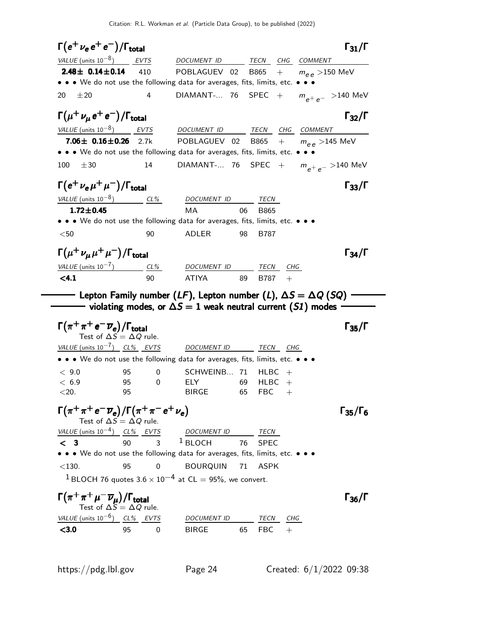Citation: R.L. Workman et al. (Particle Data Group), to be published (2022)

 $\Gamma(e^+ \nu_e e^+ e^-)/\Gamma_{\rm total}$  Γ<sub>31</sub>/Γ VALUE (units  $10^{-8}$ ) EVTS DOCUMENT ID TECN CHG COMMENT **2.48± 0.14±0.14** 410 POBLAGUEV 02 B865 +  $m_{\rho,\rho} > 150$  MeV • • • We do not use the following data for averages, fits, limits, etc. • • • 20  $\pm$ 20 4 DIAMANT-... 76 SPEC +  $m_{e^+e^-} >$ 140 MeV  $\Gamma(\mu^+ \nu_\mu \, e^+ \, e^-)/\Gamma_{\rm total}$  Γ<sub>32</sub>/Γ VALUE  $(\text{units } 10^{-8})$  EVTS DOCUMENT ID TECN CHG COMMENT **7.06** $\pm$  **0.16** $\pm$ **0.26** 2.7k POBLAGUEV 02 B865 +  $m_{e}$  >145 MeV • • • We do not use the following data for averages, fits, limits, etc. • • • 100  $\pm 30$  14 DIAMANT-... 76 SPEC +  $m_{e^+e^-} > 140$  MeV  $\Gamma(e^+ \nu_e \mu^+ \mu^-)/\Gamma_{\rm total}$  Γ<sub>33</sub>/Γ VALUE (units  $10^{-8}$ ) CL% DOCUMENT ID TECN 1.72 $\pm$ 0.45 MA 06 B865 • • • We do not use the following data for averages, fits, limits, etc. • • • <50 90 ADLER 98 B787  $\Gamma(\mu^+ \nu_{\mu} \mu^+ \mu^-)/\Gamma_{\rm total}$  Γ<sub>34</sub>/Γ <u>VALUE (units 10<sup>-7</sup>)</u> CL%<br> **<4.1** 90 ) CL% DOCUMENT ID TECN CHG  $\leq$ 4.1 90 ATIYA 89 B787 +  $\rule{1em}{0.15mm}$  Lepton Family number (LF), Lepton number (L), ∆S = ∆Q (SQ)  $\lnot$  $\longrightarrow$  violating modes, or  $\Delta S=1$  weak neutral current (S1) modes  $\Gamma(\pi^+\pi^+e^-\overline{\nu}_e)/\Gamma_{\rm total}$  Γ<sub>35</sub>/Γ Test of  $\Delta S = \Delta Q$  rule.  $VALUE$  (units  $10^{-7}$ ) CL% EVTS DOCUMENT ID TECN CHG • • • We do not use the following data for averages, fits, limits, etc. • • •  $< 9.0$  95 0 SCHWEINB... 71 HLBC +  $< 6.9$  95 0 ELY 69 HLBC  $+$  $\langle 20.$  95 BIRGE 65 FBC  $+$  $\Gamma(\pi^+ \pi^+ e^- \overline{\nu}_e)/\Gamma(\pi^+ \pi^- e^+ \nu_e)$  Γ<sub>35</sub>/Γ<sub>6</sub>  $\frac{\partial^+ \pi^+ e^- \overline{\nu}_e}{\partial S} = \Delta Q$  rule.<br>Test of  $\Delta S = \Delta Q$  rule.  $VALUE$  (units 10<sup>-4</sup>) CL% EVTS DOCUMENT ID TECN  $\lt$  3  $^{\text{1}}$  BLOCH 76 SPEC • • • We do not use the following data for averages, fits, limits, etc. • • • <130. 95 0 BOURQUIN 71 ASPK <sup>1</sup> BLOCH 76 quotes  $3.6 \times 10^{-4}$  at CL = 95%, we convert.  $\Gamma(\pi^+ \pi^+ \mu^- \overline{\nu}_\mu)/\Gamma_{\rm total}$  Γ<sub>36</sub>/Γ Test of  $\Delta S = \Delta Q$  rule. VALUE (units  $10^{-6}$ ) CL% EVTS DOCUMENT ID TECN CHG  $\leq$ 3.0 95 0 BIRGE 65 FBC +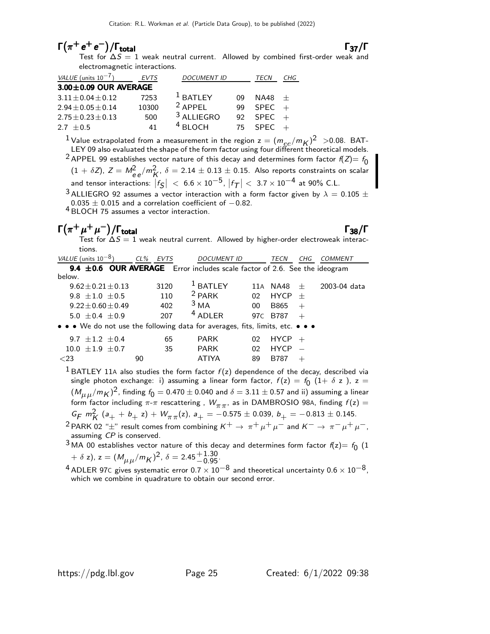### $\Gamma(\pi^+ e^+ e^-)/\Gamma_{\text{total}}$   $\Gamma_{37}/\Gamma$

Test for  $\Delta S = 1$  weak neutral current. Allowed by combined first-order weak and electromagnetic interactions.

| VALUE (units $10^{-7}$ )    | EVTS  | <b>DOCUMENT ID</b>    |     | TECN        | CHG |
|-----------------------------|-------|-----------------------|-----|-------------|-----|
| $3.00 \pm 0.09$ OUR AVERAGE |       |                       |     |             |     |
| $3.11 \pm 0.04 \pm 0.12$    | 7253  | $1$ BATLEY            | ng  | NA48        | $+$ |
| $2.94 \pm 0.05 \pm 0.14$    | 10300 | $2$ APPFI             | qq  | SPEC        | $+$ |
| $2.75 \pm 0.23 \pm 0.13$    | 500   | <sup>3</sup> ALLIEGRO | 92. | SPEC        |     |
| $2.7 + 0.5$                 |       | $4$ BI OCH            | 75. | <b>SPFC</b> |     |

<sup>1</sup> Value extrapolated from a measurement in the region  $z = (m_{ee}/m_K)^2 > 0.08$ . BAT-LEY 09 also evaluated the shape of the form factor using four different theoretical models.

<sup>2</sup> APPEL 99 establishes vector nature of this decay and determines form factor  $f(Z)= f_0$ 

 $(1 + \delta Z)$ ,  $Z = M_{ee}^2/m_K^2$ ,  $\delta = 2.14 \pm 0.13 \pm 0.15$ . Also reports constraints on scalar and tensor interactions:  $\left|f_{\mathcal{S}}\right|~<~6.6\times10^{-5}$ ,  $\left|f_{\mathcal{T}}\right|<~3.7\times10^{-4}$  at 90% C.L.

 $3$  ALLIEGRO 92 assumes a vector interaction with a form factor given by  $\lambda = 0.105 \pm 100$  $0.035 \pm 0.015$  and a correlation coefficient of  $-0.82$ .

4 BLOCH 75 assumes a vector interaction.

### $\Gamma(\pi^+\mu^+\mu^-)/\Gamma_{\rm total}$  Γ<sub>38</sub>/Γ

/Γ<sub>total</sub> Γ<sub>38</sub>/Γ Test for  $\Delta S=1$  weak neutral current. Allowed by higher-order electroweak interactions.

| VALUE (units $10^{-8}$ )                                                       | CL% EVTS | <b>DOCUMENT ID</b> |    | TECN     | CHG | COMMENT      |
|--------------------------------------------------------------------------------|----------|--------------------|----|----------|-----|--------------|
| 9.4 $\pm$ 0.6 OUR AVERAGE Error includes scale factor of 2.6. See the ideogram |          |                    |    |          |     |              |
| below.                                                                         |          |                    |    |          |     |              |
| $9.62 \pm 0.21 \pm 0.13$                                                       | 3120     | $1$ BATLEY         |    | 11A NA48 | $+$ | 2003-04 data |
| $9.8 + 1.0 + 0.5$                                                              | 110      | $2$ PARK           | n2 | $HYCP +$ |     |              |
| $9.22 \pm 0.60 \pm 0.49$                                                       | 402      | 3 <sub>MA</sub>    | 00 | B865     | $+$ |              |
| $5.0 + 0.4 + 0.9$                                                              | 207      | $4$ ADI FR         |    | 97C R787 |     |              |

• • • We do not use the following data for averages, fits, limits, etc. • • •

| 9.7 $\pm$ 1.2 $\pm$ 0.4 |    | 65    | PARK  | $02$ HYCP $+$ |  |
|-------------------------|----|-------|-------|---------------|--|
| $10.0 \pm 1.9 \pm 0.7$  |    | -35 - | PARK  | $02$ HYCP $-$ |  |
| ${<}23$                 | 90 |       | ATIYA | $89$ B787 +   |  |

<sup>1</sup> BATLEY 11A also studies the form factor  $f(z)$  dependence of the decay, described via single photon exchange: i) assuming a linear form factor,  $f(z) = f_0$   $(1+\delta z)$ ,  $z =$  $({M_{\mu}}_\mu/{m_K})^2$ , finding  $f_0=$  0.470  $\pm$  0.040 and  $\delta=$  3.11  $\pm$  0.57 and ii) assuming a linear form factor including  $\pi$ - $\pi$  rescattering,  $W_{\pi\pi}$ , as in DAMBROSIO 98A, finding  $f(z)$  =  $G_F m_K^2$  (a<sub>+</sub> + b<sub>+</sub> z) +  $W_{\pi\pi}$ (z), a<sub>+</sub> = -0.575 ± 0.039, b<sub>+</sub> = -0.813 ± 0.145.

<sup>2</sup> PARK 02 " $\pm$ " result comes from combining  $K^+ \to \pi^+ \mu^+ \mu^-$  and  $K^- \to \pi^- \mu^+ \mu^-$ , assuming CP is conserved.

<sup>3</sup> MA 00 establishes vector nature of this decay and determines form factor  $f(z) = f_0$  (1  $+\delta z$ ),  $z = (M_{\mu\mu}/m_K)^2$ ,  $\delta = 2.45^{+1.30}_{-0.95}$ .

<sup>&</sup>lt;sup>4</sup> ADLER 97C gives systematic error 0.7  $\times$  10<sup>-8</sup> and theoretical uncertainty 0.6  $\times$  10<sup>-8</sup>, which we combine in quadrature to obtain our second error.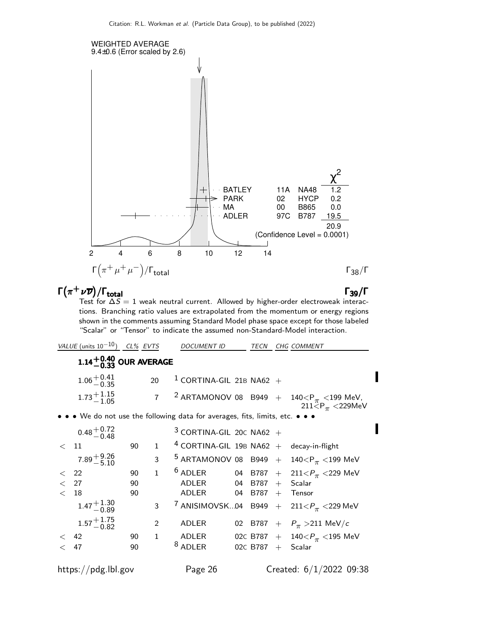

### $\Gamma(\pi^+ \nu \overline{\nu})/\Gamma_{\rm total}$  Γ<sub>39</sub>/Γ

I

total and the set of the set of the set of the set of the set of the set of the set of the set of the set of t Test for  $\Delta S = 1$  weak neutral current. Allowed by higher-order electroweak interactions. Branching ratio values are extrapolated from the momentum or energy regions shown in the comments assuming Standard Model phase space except for those labeled "Scalar" or "Tensor" to indicate the assumed non-Standard-Model interaction.

VALUE (units  $10^{-10}$ ) CL% EVTS DOCUMENT ID TECN CHG COMMENT

## $1.14^{+0.40}_{-0.33}$  OUR AVERAGE

| $1.06 + 0.41$<br>$-0.35$ | 20 $1$ CORTINA-GIL 21B NA62 + |
|--------------------------|-------------------------------|
| $1.73 + 1.15$<br>$-1.05$ |                               |

• • • We do not use the following data for averages, fits, limits, etc. • • •

|              | $0.48 + 0.72$<br>$-0.48$ |    |              | $3$ CORTINA-GIL 20C NA62 +                 |                     |                                                                                  |
|--------------|--------------------------|----|--------------|--------------------------------------------|---------------------|----------------------------------------------------------------------------------|
| $<$ 11       |                          | 90 | $\mathbf{1}$ | $4$ CORTINA-GIL 19B NA62 + decay-in-flight |                     |                                                                                  |
|              | $7.89 + 9.26$<br>-5.10   |    | 3            |                                            |                     | <sup>5</sup> ARTAMONOV 08 B949 + 140 <p<sub><math>\pi</math> &lt;199 MeV</p<sub> |
| < 22         |                          | 90 | $\mathbf{1}$ |                                            |                     | <sup>6</sup> ADLER 04 B787 + 211 < $P_{\pi}$ < 229 MeV                           |
| $\langle$ 27 |                          | 90 |              | $ADLER$ 04 B787 + Scalar                   |                     |                                                                                  |
| $<$ 18       |                          | 90 |              | $ADLER$ 04 B787 + Tensor                   |                     |                                                                                  |
|              | $1.47^{+1.30}_{-0.89}$   |    |              |                                            |                     | 3 7 ANISIMOVSK04 B949 + $211 < P_{\pi}$ < 229 MeV                                |
|              | $1.57 + 1.75$<br>-0.82   |    | 2            | ADLER                                      |                     | 02 B787 + $P_{\pi} > 211 \text{ MeV}/c$                                          |
| $\lt$ 42     |                          | 90 |              | 1 ADLER                                    |                     | 02c B787 + $140 < P_{\pi}$ < 195 MeV                                             |
| < 47         |                          | 90 |              | $8$ ADLER                                  | 02C B787 $+$ Scalar |                                                                                  |
|              |                          |    |              |                                            |                     |                                                                                  |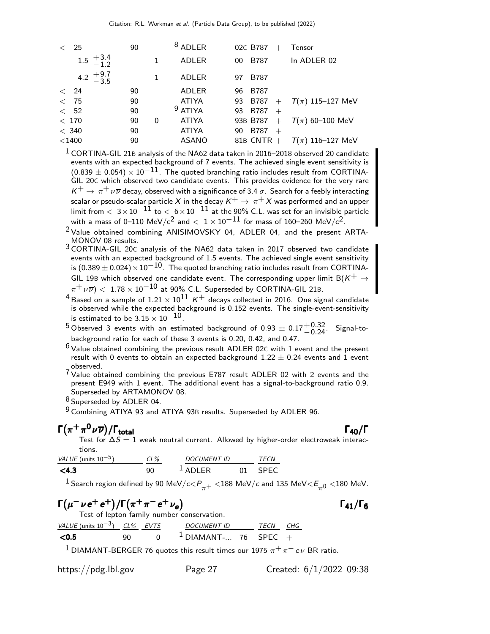|              | 25                                              | 90 |   | $8$ ADLER    |    | 02C B787     | $+$ | <b>Tensor</b>        |
|--------------|-------------------------------------------------|----|---|--------------|----|--------------|-----|----------------------|
|              | $1.5 \begin{array}{c} +3.4 \\ -1.2 \end{array}$ |    |   | <b>ADLER</b> | 00 | <b>B787</b>  |     | In ADLER 02          |
|              | 4.2 $+9.7$<br>-3.5                              |    |   | ADLER        | 97 | <b>B787</b>  |     |                      |
| $\langle$ 24 |                                                 | 90 |   | ADLER        | 96 | <b>B787</b>  |     |                      |
| $\lt$        | -75                                             | 90 |   | <b>ATIYA</b> | 93 | B787         | $+$ | $T(\pi)$ 115–127 MeV |
| < 52         |                                                 | 90 |   | $9$ ATIYA    | 93 | B787         | $+$ |                      |
| < 170        |                                                 | 90 | 0 | <b>ATIYA</b> |    | 93B B787     | $+$ | $T(\pi)$ 60–100 MeV  |
| $<$ 340      |                                                 | 90 |   | <b>ATIYA</b> | 90 | B787         | $+$ |                      |
| $<$ 1400     |                                                 | 90 |   | <b>ASANO</b> |    | 81B CNTR $+$ |     | $T(\pi)$ 116–127 MeV |

 $1$  CORTINA-GIL 21B analysis of the NA62 data taken in 2016–2018 observed 20 candidate events with an expected background of 7 events. The achieved single event sensitivity is  $(0.839 \pm 0.054) \times 10^{-11}$ . The quoted branching ratio includes result from CORTINA-GIL 20C which observed two candidate events. This provides evidence for the very rare  $K^+ \to \pi^+ \nu \overline{\nu}$  decay, observed with a significance of 3.4  $\sigma$  . Search for a feebly interacting scalar or pseudo-scalar particle X in the decay  $K^+ \rightarrow \pi^+ X$  was performed and an upper limit from  $< 3 \times 10^{-11}$  to  $< 6 \times 10^{-11}$  at the 90% C.L. was set for an invisible particle with a mass of 0–110 MeV/c<sup>2</sup> and  $< 1 \times 10^{-11}$  for mass of 160–260 MeV/c<sup>2</sup>.

<sup>2</sup> Value obtained combining ANISIMOVSKY 04, ADLER 04, and the present ARTA-MONOV 08 results.

3 CORTINA-GIL 20<sup>C</sup> analysis of the NA62 data taken in 2017 observed two candidate events with an expected background of 1.5 events. The achieved single event sensitivity is (0.389  $\pm$  0.024) × 10<sup>-10</sup>. The quoted branching ratio includes result from CORTINA-GIL 19B which observed one candidate event. The corresponding upper limit  $B(K^+ \rightarrow$  $\pi^+ \nu \overline{\nu}) <~1.78 \times 10^{-10}$  at 90% C.L. Superseded by CORTINA-GIL 21B.

<sup>4</sup> Based on a sample of  $1.21 \times 10^{11}$  K<sup>+</sup> decays collected in 2016. One signal candidate is observed while the expected background is 0.152 events. The single-event-sensitivity is estimated to be  $3.15 \times 10^{-10}$ .

<sup>5</sup> Observed 3 events with an estimated background of 0.93  $\pm$  0.17 $^{+0.32}_{-0.24}$ . Signal-tobackground ratio for each of these 3 events is 0.20, 0.42, and 0.47.

 $6$  Value obtained combining the previous result ADLER 02C with 1 event and the present result with 0 events to obtain an expected background  $1.22 \pm 0.24$  events and 1 event observed.

7 Value obtained combining the previous E787 result ADLER 02 with 2 events and the present E949 with 1 event. The additional event has a signal-to-background ratio 0.9. Superseded by ARTAMONOV 08.

8 Superseded by ADLER 04.

9 Combining ATIYA 93 and ATIYA 93B results. Superseded by ADLER 96.

### $\Gamma(\pi^+\pi^0\nu\overline{\nu})/\Gamma_{\rm total}$

/Γ<sub>total</sub>Γ<sub>40</sub>/Γ Test for  $\Delta S=1$  weak neutral current. Allowed by higher-order electroweak interactions.

| VALUE (units $10^{-5}$ ) | $CL\%$ | <b>DOCUMENT ID</b> | <i>TFCN</i> |
|--------------------------|--------|--------------------|-------------|
| $<$ 4.3                  |        | $1$ ADI FR         | <b>SPFC</b> |

 $^1$ Search region defined by 90 MeV/c $<\!\!P_{\pi^+}<$ 188 MeV/c and 135 MeV $<\!\!E_{\pi^0}<$ 180 MeV.

### $\Gamma(\mu^-\nu e^+e^+)/\Gamma(\pi^+\pi^-e^+\nu_e)$  Γ<sub>41</sub>/Γ<sub>6</sub>

Test of lepton family number conservation.

| VALUE (units $10^{-3}$ ) CL% EVTS |     | DOCUMENT ID            | TECN CHG |  |
|-----------------------------------|-----|------------------------|----------|--|
| < 0.5                             | 90. | $1$ DIAMANT- 76 SPEC + |          |  |

<sup>1</sup> DIAMANT-BERGER 76 quotes this result times our 1975  $\pi^+ \pi^- e \nu$  BR ratio.

https://pdg.lbl.gov Page 27 Created: 6/1/2022 09:38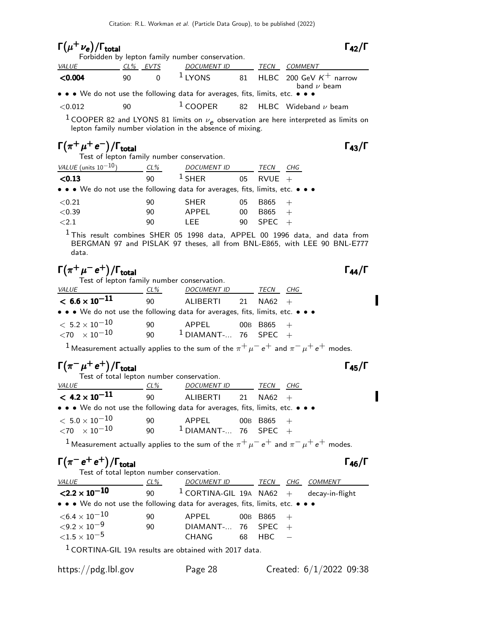### $\Gamma(\mu^+ \nu_e)/\Gamma_{\rm total}$  Γ<sub>42</sub>/Γ

Forbidden by lepton family number conservation.

|              |          |          | Forbidden by lepton family number conservation.                                                                       |      |                                                           |  |
|--------------|----------|----------|-----------------------------------------------------------------------------------------------------------------------|------|-----------------------------------------------------------|--|
| <b>VALUE</b> | CL% EVTS |          | <i>DOCUMENT ID</i>                                                                                                    | TECN | COMMENT                                                   |  |
| < 0.004      | 90.      | $\Omega$ |                                                                                                                       |      | $1$ LYONS 81 HLBC 200 GeV $K^+$ narrow<br>band $\nu$ beam |  |
|              |          |          | $\bullet \bullet \bullet$ We do not use the following data for averages, fits, limits, etc. $\bullet \bullet \bullet$ |      |                                                           |  |
| $<$ 0.012    | 90       |          |                                                                                                                       |      | $1$ COOPER 82 HLBC Wideband $\nu$ beam                    |  |

<sup>1</sup> COOPER 82 and LYONS 81 limits on  $\nu_e$  observation are here interpreted as limits on lepton family number violation in the absence of mixing.

### $\Gamma(\pi^+\mu^+e^-)/\Gamma_{\rm total}$  Γ<sub>43</sub>/Γ

|                           |        | Test of lepton family number conservation. |             |     |
|---------------------------|--------|--------------------------------------------|-------------|-----|
| VALUE (units $10^{-10}$ ) | $CL\%$ | <b>DOCUMENT ID</b>                         | <b>TFCN</b> | CHG |

| < 0.13                                                                                                                | 90 | $1$ SHER    | 05 | $RVUE +$    |
|-----------------------------------------------------------------------------------------------------------------------|----|-------------|----|-------------|
| $\bullet \bullet \bullet$ We do not use the following data for averages, fits, limits, etc. $\bullet \bullet \bullet$ |    |             |    |             |
| ${<}0.21$                                                                                                             | 90 | <b>SHER</b> | 05 | B865<br>$+$ |
| < 0.39                                                                                                                | 90 | APPFI       | 00 | B865        |
| $\leq 2.1$                                                                                                            | 90 | I FF.       | 90 | $SPEC +$    |

 $1$ This result combines SHER 05 1998 data, APPEL 00 1996 data, and data from BERGMAN 97 and PISLAK 97 theses, all from BNL-E865, with LEE 90 BNL-E777 data.

### $\Gamma(\pi^+\mu^-e^+) / \Gamma_{\rm total}$   $\Gamma_{\rm 44}/\Gamma$

Π

I

|                                                                               | Test of lepton family number conservation. |                                 |  |              |     |  |  |  |  |
|-------------------------------------------------------------------------------|--------------------------------------------|---------------------------------|--|--------------|-----|--|--|--|--|
| <i>VALUE</i>                                                                  | $CL\%$                                     | <b>DOCUMENT ID</b>              |  | TECN         | CHG |  |  |  |  |
| $< 6.6 \times 10^{-11}$                                                       | 90                                         | ALIBERTI 21                     |  | $NA62 +$     |     |  |  |  |  |
| • • • We do not use the following data for averages, fits, limits, etc. • • • |                                            |                                 |  |              |     |  |  |  |  |
| $<\,5.2\times10^{-10}$<br>$\langle 70 \times 10^{-10} \rangle$                | 90<br>90                                   | APPEL<br>$1$ DIAMANT- 76 SPEC + |  | 00B B865 $+$ |     |  |  |  |  |

<sup>1</sup> Measurement actually applies to the sum of the  $\pi^+ \mu^- e^+$  and  $\pi^- \mu^+ e^+$  modes.

### $\Gamma(\pi^-\mu^+e^+) / \Gamma_{\text{total}}$   $\Gamma_{\text{45}} / \Gamma$

| Test of total lepton number conservation.                                     |          |                                 |              |     |
|-------------------------------------------------------------------------------|----------|---------------------------------|--------------|-----|
| <i>VALUE</i>                                                                  | $CL\%$   | <b>DOCUMENT ID</b>              | TECN         | CHG |
| $< 4.2 \times 10^{-11}$                                                       | 90       | ALIBERTI 21                     | $NA62 +$     |     |
| • • • We do not use the following data for averages, fits, limits, etc. • • • |          |                                 |              |     |
| $<\,5.0\times 10^{-10}$<br>$\langle 70 \times 10^{-10} \rangle$               | 90<br>90 | APPEL<br>$1$ DIAMANT- 76 SPEC + | 00B B865 $+$ |     |

 $^1$  Measurement actually applies to the sum of the  $\pi^+ \mu^- \, e^+$  and  $\pi^- \mu^+ \, e^+$  modes.

### $\Gamma(\pi^- e^+ e^+) / \Gamma_{\text{total}}$

| Test of total lepton number conservation.                                     |     |                                            |              |     |                |
|-------------------------------------------------------------------------------|-----|--------------------------------------------|--------------|-----|----------------|
| <i>VALUE</i>                                                                  | CL% | DOCUMENT ID TECN                           |              | CHG | <i>COMMENT</i> |
| $\langle 2.2 \times 10^{-10} \rangle$                                         | 90  | $1$ CORTINA-GIL 19A NA62 + decay-in-flight |              |     |                |
| • • • We do not use the following data for averages, fits, limits, etc. • • • |     |                                            |              |     |                |
| ${<}6.4\times10^{-10}$                                                        | 90  | APPEL                                      | 00B B865 $+$ |     |                |
| ${<}9.2\times10^{-9}$                                                         | 90  | DIAMANT- $\ldots$ 76 SPEC +                |              |     |                |
| ${<}1.5\times10^{-5}$                                                         |     | CHANG                                      | $68$ HBC $-$ |     |                |
|                                                                               |     |                                            |              |     |                |

1 CORTINA-GIL 19<sup>A</sup> results are obtained with 2017 data.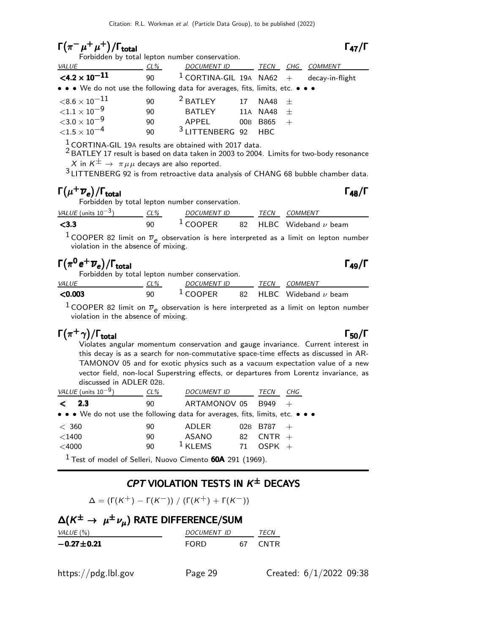### $\Gamma(\pi^-\mu^+\mu^+)/\Gamma_{\rm total}$   $\Gamma_{\rm 47}/\Gamma$

Forbidden by total lepton number conservation.

| <b>VALUE</b>                                                                  | CL%                                             | DOCUMENT ID TECN                           |    |                | CHG | COMMENT |
|-------------------------------------------------------------------------------|-------------------------------------------------|--------------------------------------------|----|----------------|-----|---------|
| $\langle 4.2 \times 10^{-11} \rangle$                                         | 90                                              | $1$ CORTINA-GIL 19A NA62 + decay-in-flight |    |                |     |         |
| • • • We do not use the following data for averages, fits, limits, etc. • • • |                                                 |                                            |    |                |     |         |
| ${<}8.6\times10^{-11}$                                                        | 90                                              | <sup>2</sup> BATLEY                        | 17 | $NA48 +$       |     |         |
| ${<}1.1 \times 10^{-9}$                                                       | 90                                              | BATLEY                                     |    | 11a NA48 $\pm$ |     |         |
| ${<}3.0\times10^{-9}$                                                         | 90                                              | APPFI                                      |    | 00B B865       |     |         |
| ${<}1.5\times10^{-4}$                                                         | 90                                              | <sup>3</sup> LITTENBERG 92 HBC             |    |                |     |         |
| $1.000 \pm 0.000$ $-0.000$                                                    | the contract of the contract of the contract of |                                            |    |                |     |         |

 $\frac{1}{6}$  CORTINA-GIL 19A results are obtained with 2017 data.

<sup>2</sup> BATLEY 17 result is based on data taken in 2003 to 2004. Limits for two-body resonance X in  $K^{\pm} \rightarrow \pi \mu \mu$  decays are also reported.

3 LITTENBERG 92 is from retroactive data analysis of CHANG 68 bubble chamber data.

### $\Gamma(\mu^+\overline{\nu}_e)/\Gamma_{\rm total}$  Γ<sub>48</sub>/Γ

total and the set of the set of the set of the set of the set of the set of the set of the set of the set of t Forbidden by total lepton number conservation.

| VALUE (units $10^{-3}$ ) | CL% | <i>DOCUMENT ID</i> | TFCN | <i>COMMENT</i>                        |
|--------------------------|-----|--------------------|------|---------------------------------------|
| $<$ 3.3                  | 90  | $1$ COOPER         |      | 82 $\,$ HLBC $\,$ Wideband $\nu$ beam |

<sup>1</sup> COOPER 82 limit on  $\overline{\nu}_e$  observation is here interpreted as a limit on lepton number violation in the absence of mixing.

### $\Gamma(\pi^0 e^+ \overline{\nu}_e)/\Gamma_{\rm total}$  Γ<sub>49</sub>/Γ

|              |        | Forbidden by total lepton number conservation. |      |                                       |
|--------------|--------|------------------------------------------------|------|---------------------------------------|
| <i>VALUE</i> | $CL\%$ | <i>DOCUMENT ID</i>                             | TECN | COMMENT                               |
| < 0.003      | 90     | $\frac{1}{2}$ COOPER                           |      | 82 $\,$ HLBC $\,$ Wideband $\nu$ beam |

<sup>1</sup> COOPER 82 limit on  $\overline{\nu}_e$  observation is here interpreted as a limit on lepton number violation in the absence of mixing.

### $\Gamma(\pi^+ \gamma)/\Gamma_{\text{total}}$  Γ<sub>50</sub>/Γ

Violates angular momentum conservation and gauge invariance. Current interest in this decay is as a search for non-commutative space-time effects as discussed in AR-TAMONOV 05 and for exotic physics such as a vacuum expectation value of a new vector field, non-local Superstring effects, or departures from Lorentz invariance, as discussed in ADLER 02B.

| VALUE (units $10^{-9}$ )                                                      | $CL\%$ | <b>DOCUMENT ID</b> |    | TECN        | CHG |
|-------------------------------------------------------------------------------|--------|--------------------|----|-------------|-----|
| 2.3<br>✓                                                                      | 90     | ARTAMONOV 05       |    | <b>B949</b> |     |
| • • • We do not use the following data for averages, fits, limits, etc. • • • |        |                    |    |             |     |
| < 360                                                                         | 90     | ADLER              |    | 02B B787    | $+$ |
| $<$ 1400                                                                      | 90     | ASANO              | 82 | $CNTR +$    |     |
| $<$ 4000                                                                      | 90     | $1$ KLEMS          | 71 | $OSPK +$    |     |
| $\sim$                                                                        |        |                    |    |             |     |

 $1$  Test of model of Selleri, Nuovo Cimento 60A 291 (1969).

#### CPT VIOLATION TESTS IN  $K^{\pm}$  DECAYS

 $\Delta = (\Gamma(K^+) - \Gamma(K^-)) / (\Gamma(K^+) + \Gamma(K^-))$ 

| $\Delta(K^{\pm} \to \mu^{\pm} \nu_{\mu})$ RATE DIFFERENCE/SUM |             |  |         |  |  |  |
|---------------------------------------------------------------|-------------|--|---------|--|--|--|
| VALUE (%)                                                     | DOCUMENT ID |  | TECN    |  |  |  |
| $-0.27 \pm 0.21$                                              | FORD.       |  | 67 CNTR |  |  |  |
|                                                               |             |  |         |  |  |  |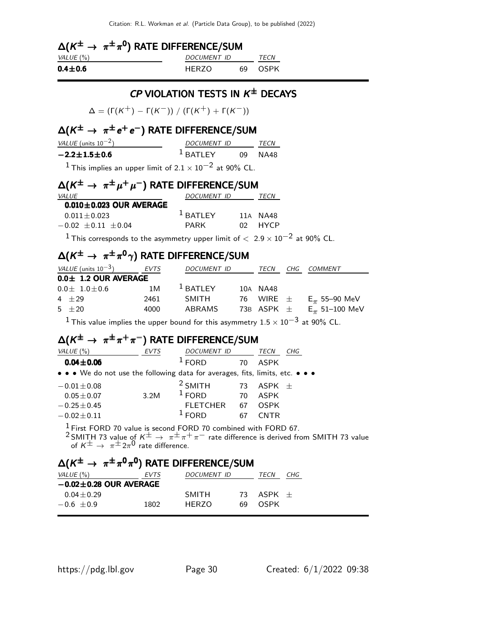|               | $\Delta(K^{\pm} \to \pi^{\pm} \pi^{0})$ RATE DIFFERENCE/SUM |                    |  |             |  |  |  |
|---------------|-------------------------------------------------------------|--------------------|--|-------------|--|--|--|
| VALUE (%)     |                                                             | <i>DOCUMENT ID</i> |  | <i>TECN</i> |  |  |  |
| $0.4 \pm 0.6$ |                                                             | HFR70              |  | 69 OSPK     |  |  |  |

#### CP VIOLATION TESTS IN  $K^{\pm}$  DECAYS

 $Δ = (Γ(K<sup>+</sup>) – Γ(K<sup>-</sup>)) / (Γ(K<sup>+</sup>) + Γ(K<sup>-</sup>))$ 

#### $\Delta(\mathsf{K}^{\pm}\rightarrow\ \pi^{\pm}\,e^+\,e^-)$  RATE DIFFERENCE/SUM

| VALUE (units $10^{-2}$ )                                                    | DOCUMENT ID        | <b>TFCN</b> |  |
|-----------------------------------------------------------------------------|--------------------|-------------|--|
| $-2.2 \pm 1.5 \pm 0.6$                                                      | $1$ BATLEY 09 NA48 |             |  |
| <sup>1</sup> This implies an upper limit of $2.1 \times 10^{-2}$ at 90% CL. |                    |             |  |

### $\Delta(\mathsf{K}^{\pm}\rightarrow~\pi^{\pm}\mu^+\mu^-)$  rate difference/sum

| <i>VALUE</i>                  | DOCUMENT ID |     | TECN        |
|-------------------------------|-------------|-----|-------------|
| $0.010 \pm 0.023$ OUR AVERAGE |             |     |             |
| $0.011 + 0.023$               | $1$ BATI FY |     | 11A NA48    |
| $-0.02 + 0.11 + 0.04$         | PARK        | በ2. | <b>HYCP</b> |

 $^1$ This corresponds to the asymmetry upper limit of  $<~2.9\times10^{-2}$  at  $90\%$  CL.

### $\Delta(\mathsf{K}^{\pm}\rightarrow\ \pi^{\pm}\pi^{0}\gamma)$  rate difference/sum

| VALUE (units $10^{-3}$ ) | EVTS | <b>DOCUMENT ID</b>        |            | TECN | CHG      | <i>COMMENT</i>                  |
|--------------------------|------|---------------------------|------------|------|----------|---------------------------------|
|                          |      |                           |            |      |          |                                 |
| $0.0 \pm 1.0 \pm 0.6$    | 1M   |                           |            |      |          |                                 |
| $4 + 29$                 | 2461 | <b>SMITH</b>              |            |      |          | $E_{\pi}$ 55–90 MeV             |
| $5 + 20$                 | 4000 | ABRAMS                    |            |      |          | $E_{\pi}$ 51–100 MeV            |
|                          |      | $0.0 \pm 1.2$ OUR AVERAGE | $1$ BATLEY |      | 10A NA48 | 76 WIRE $\pm$<br>73B ASPK $\pm$ |

 $^1$ This value implies the upper bound for this asymmetry  $1.5\times 10^{-3}$  at 90% CL.

### $\Delta(\mathsf{K}^{\pm}\rightarrow~\pi^{\pm}\pi^+\pi^-)$  rate difference/sum

| VALUE $(\%)$                                                                  | <b>EVTS</b> | <b>DOCUMENT ID</b> |    | TECN        | CHG |
|-------------------------------------------------------------------------------|-------------|--------------------|----|-------------|-----|
| $0.04 \pm 0.06$                                                               |             | $1$ FORD           | 70 | <b>ASPK</b> |     |
| • • • We do not use the following data for averages, fits, limits, etc. • • • |             |                    |    |             |     |
| $-0.01 \pm 0.08$                                                              |             | $2$ SMITH          | 73 | $ASPK +$    |     |
| $0.05 \pm 0.07$                                                               | 3.2M        | $1$ FORD           | 70 | <b>ASPK</b> |     |
| $-0.25 \pm 0.45$                                                              |             | <b>FLETCHER</b>    | 67 | <b>OSPK</b> |     |
| $-0.02 \pm 0.11$                                                              |             | <b>FORD</b>        |    | <b>CNTR</b> |     |
|                                                                               |             |                    |    |             |     |

 $\frac{1}{6}$  First FORD 70 value is second FORD 70 combined with FORD 67. <sup>2</sup> SMITH 73 value of  $K^{\pm} \rightarrow \pi^{\pm} \pi^+ \pi^-$  rate difference is derived from SMITH 73 value of  $K^{\pm} \rightarrow \pi^{\pm} 2\pi^{0}$  rate difference.

#### $\Delta(\mathcal{K}^\pm \rightarrow \pi^\pm \pi^0 \pi^0)$  RATE DIFFERENCE/SUM

| VALUE (%)                    | <i>EVTS</i> | <i>DOCUMENT ID</i> |     | <i>TFCN</i> | CHG |
|------------------------------|-------------|--------------------|-----|-------------|-----|
| $-0.02 \pm 0.28$ OUR AVERAGE |             |                    |     |             |     |
| $0.04 + 0.29$                |             | SMITH              | 73. | $ASPK +$    |     |
| $-0.6 + 0.9$                 | 1802        | HFR70              | 69  | OSPK        |     |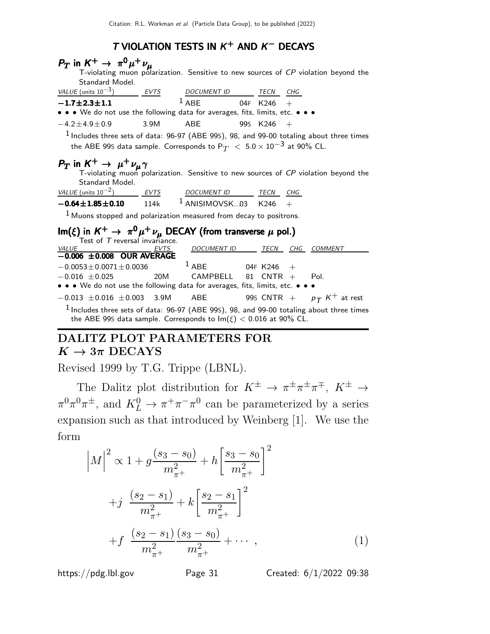#### T VIOLATION TESTS IN  $K^+$  and  $K^-$  decays

| $P_T$ in $K^+ \rightarrow \pi^0 \mu^+ \nu_\mu$<br>T-violating muon polarization. Sensitive to new sources of CP violation beyond the<br>Standard Model.                       |             |                              |    |          |          |      |  |  |
|-------------------------------------------------------------------------------------------------------------------------------------------------------------------------------|-------------|------------------------------|----|----------|----------|------|--|--|
| VALUE (units $10^{-3}$ ) EVTS                                                                                                                                                 |             | DOCUMENT ID TECN CHG         |    |          |          |      |  |  |
| $-1.7 \pm 2.3 \pm 1.1$<br>• • • We do not use the following data for averages, fits, limits, etc. • • •                                                                       |             | $1$ ABE 04F K246 +           |    |          |          |      |  |  |
| $-4.2 + 4.9 + 0.9$                                                                                                                                                            | 3.9M        | ABE                          |    | 995 K246 | $+$      |      |  |  |
| $1$ Includes three sets of data: $96-97$ (ABE 99S), 98, and 99-00 totaling about three times<br>the ABE 99S data sample. Corresponds to P $_T~<~5.0\times 10^{-3}$ at 90% CL. |             |                              |    |          |          |      |  |  |
| $P_T$ in $K^+ \rightarrow \mu^+ \nu_\mu \gamma$<br>T-violating muon polarization. Sensitive to new sources of CP violation beyond the<br>Standard Model.                      |             |                              |    |          |          |      |  |  |
| $VALU E (units 10-2)$ EVTS DOCUMENT ID TECN CHG                                                                                                                               |             |                              |    |          |          |      |  |  |
| $-0.64 \pm 1.85 \pm 0.10$ 114k 1 ANISIMOVSK03 K246 +                                                                                                                          |             |                              |    |          |          |      |  |  |
| $1$ Muons stopped and polarization measured from decay to positrons.                                                                                                          |             |                              |    |          |          |      |  |  |
| $\mathsf{Im}(\xi)$ in $K^+ \to \pi^0 \mu^+ \nu_\mu$ DECAY (from transverse $\mu$ pol.)<br>Test of <i>T</i> reversal invariance.                                               |             |                              |    |          |          |      |  |  |
| <i>VALUE</i>                                                                                                                                                                  | <i>EVTS</i> | DOCUMENT ID TECN CHG COMMENT |    |          |          |      |  |  |
| $-0.006$ $\pm 0.008$ OUR AVERAGE                                                                                                                                              |             |                              |    |          |          |      |  |  |
| $-0.0053 \pm 0.0071 \pm 0.0036$ $1$ ABE 04F K246                                                                                                                              |             |                              |    |          |          |      |  |  |
| $-0.016 \pm 0.025$ 20M CAMPBELL<br>• • • We do not use the following data for averages, fits, limits, etc. • • •                                                              |             |                              | 81 |          | $CNTR +$ | Pol. |  |  |
| $-0.013 \pm 0.016 \pm 0.003$ 3.9M ABE 99S CNTR + $p_T K^+$ at rest                                                                                                            |             |                              |    |          |          |      |  |  |
| $1$ Includes three sets of data: 96-97 (ABE 99S), 98, and 99-00 totaling about three times<br>the ABE 99S data sample. Corresponds to $Im(\xi) < 0.016$ at 90% CL.            |             |                              |    |          |          |      |  |  |

### DALITZ PLOT PARAMETERS FOR  $K \to 3\pi$  DECAYS

Revised 1999 by T.G. Trippe (LBNL).

The Dalitz plot distribution for  $K^{\pm} \to \pi^{\pm} \pi^{\pm} \pi^{\mp}$ ,  $K^{\pm} \to$  $\pi^0 \pi^0 \pi^{\pm}$ , and  $K^0_L \to \pi^+ \pi^- \pi^0$  can be parameterized by a series expansion such as that introduced by Weinberg [1]. We use the form

$$
\left|M\right|^2 \propto 1 + g \frac{(s_3 - s_0)}{m_{\pi^+}^2} + h \left[\frac{s_3 - s_0}{m_{\pi^+}^2}\right]^2
$$
  
+
$$
j \frac{(s_2 - s_1)}{m_{\pi^+}^2} + k \left[\frac{s_2 - s_1}{m_{\pi^+}^2}\right]^2
$$
  
+
$$
f \frac{(s_2 - s_1)}{m_{\pi^+}^2} \frac{(s_3 - s_0)}{m_{\pi^+}^2} + \cdots , \qquad (1)
$$

https://pdg.lbl.gov Page 31 Created: 6/1/2022 09:38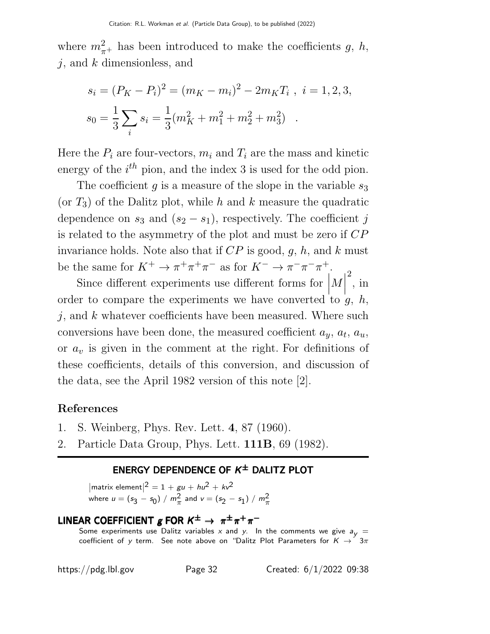where  $m_{\pi^+}^2$  has been introduced to make the coefficients g, h,  $j$ , and  $k$  dimensionless, and

$$
s_i = (P_K - P_i)^2 = (m_K - m_i)^2 - 2m_K T_i , i = 1, 2, 3,
$$
  

$$
s_0 = \frac{1}{3} \sum_i s_i = \frac{1}{3} (m_K^2 + m_1^2 + m_2^2 + m_3^2) .
$$

Here the  $P_i$  are four-vectors,  $m_i$  and  $T_i$  are the mass and kinetic energy of the  $i^{th}$  pion, and the index 3 is used for the odd pion.

The coefficient q is a measure of the slope in the variable  $s_3$ (or  $T_3$ ) of the Dalitz plot, while h and k measure the quadratic dependence on  $s_3$  and  $(s_2 - s_1)$ , respectively. The coefficient j is related to the asymmetry of the plot and must be zero if CP invariance holds. Note also that if  $CP$  is good, g, h, and k must be the same for  $K^+ \to \pi^+ \pi^+ \pi^-$  as for  $K^- \to \pi^- \pi^- \pi^+$ .

Since different experiments use different forms for  $|M|$  $\frac{1}{4}$  $\overline{\phantom{a}}$ 2 , in order to compare the experiments we have converted to  $g, h$ ,  $j$ , and k whatever coefficients have been measured. Where such conversions have been done, the measured coefficient  $a_y$ ,  $a_t$ ,  $a_u$ , or  $a_v$  is given in the comment at the right. For definitions of these coefficients, details of this conversion, and discussion of the data, see the April 1982 version of this note [2].

#### References

- 1. S. Weinberg, Phys. Rev. Lett. 4, 87 (1960).
- 2. Particle Data Group, Phys. Lett. 111B, 69 (1982).

#### ENERGY DEPENDENCE OF  $K^{\pm}$  DALITZ PLOT

 $|\text{matrix element}|^2 = 1 + gu + hu^2 + kv^2$ where  $u = (s_3 - s_0) / m_{\pi}^2$  and  $v = (s_2 - s_1) / m_{\pi}^2$ 

### LINEAR COEFFICIENT  $g$  FOR  $K^{\pm} \rightarrow \pi^{\pm} \pi^+ \pi^-$

Some experiments use Dalitz variables x and y. In the comments we give  $a<sub>V</sub> =$ coefficient of y term. See note above on "Dalitz Plot Parameters for  $K \rightarrow 3\pi$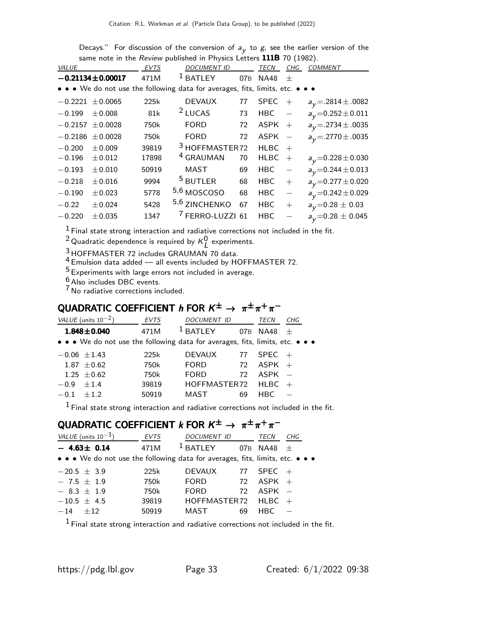|           |                        |       | Same note in the <i>Neview</i> published in Filipsics Letters <b>IIID</b> TO (1902). |                 |             |                                   |                           |
|-----------|------------------------|-------|--------------------------------------------------------------------------------------|-----------------|-------------|-----------------------------------|---------------------------|
| VALUE     |                        | EVTS  | <b>DOCUMENT ID</b>                                                                   |                 | <b>TECN</b> | CHG                               | <b>COMMENT</b>            |
|           | $-0.21134 \pm 0.00017$ | 471M  | <sup>1</sup> BATLEY                                                                  | 07 <sub>B</sub> | <b>NA48</b> | $^{+}$                            |                           |
|           |                        |       | • • • We do not use the following data for averages, fits, limits, etc. • • •        |                 |             |                                   |                           |
|           | $-0.2221 \pm 0.0065$   | 225k  | <b>DEVAUX</b>                                                                        | 77              | <b>SPEC</b> | $+$                               | $a_V = 0.2814 \pm 0.0082$ |
| $-0.199$  | $\pm 0.008$            | 81k   | $2$ LUCAS                                                                            | 73              | HBC         | $\hspace{0.1cm}$ $\hspace{0.1cm}$ | $a_V = 0.252 \pm 0.011$   |
| $-0.2157$ | ± 0.0028               | 750k  | <b>FORD</b>                                                                          | 72              | $ASPK +$    |                                   | $a_V = 0.2734 \pm 0.0035$ |
|           | $-0.2186 \pm 0.0028$   | 750k  | <b>FORD</b>                                                                          | 72              | $ASPK -$    |                                   | $a_V = 2770 \pm 0.0035$   |
| $-0.200$  | $\pm 0.009$            | 39819 | <sup>3</sup> HOFFMASTER72                                                            |                 | <b>HLBC</b> |                                   |                           |
| $-0.196$  | $\pm 0.012$            | 17898 | <sup>4</sup> GRAUMAN                                                                 | 70              | <b>HLBC</b> | $+$                               | $a_y=0.228\pm0.030$       |
| $-0.193$  | $\pm 0.010$            | 50919 | MAST                                                                                 | 69              | <b>HBC</b>  | $\overline{\phantom{0}}$          | $a_V = 0.244 \pm 0.013$   |
| $-0.218$  | $\pm 0.016$            | 9994  | <sup>5</sup> BUTLER                                                                  | 68              | <b>HBC</b>  | $^{+}$                            | $a_V = 0.277 \pm 0.020$   |
| $-0.190$  | $\pm 0.023$            | 5778  | 5,6 MOSCOSO                                                                          | 68              | <b>HBC</b>  | $\overline{\phantom{0}}$          | $a_V = 0.242 \pm 0.029$   |
| $-0.22$   | ± 0.024                | 5428  | 5,6 ZINCHENKO                                                                        | 67              | <b>HBC</b>  | $+$                               | $a_y=0.28 \pm 0.03$       |
| $-0.220$  | $\pm 0.035$            | 1347  | <sup>7</sup> FERRO-LUZZI 61                                                          |                 | <b>HBC</b>  |                                   | $a_V = 0.28 \pm 0.045$    |
|           |                        |       |                                                                                      |                 |             |                                   |                           |

Decays." For discussion of the conversion of  $a_{\mathsf{y}}$  to  $\mathsf{g},$  see the earlier version of the same note in the *Review* published in Physics Letters  $\textbf{111B}$  70 (1982).

1 Final state strong interaction and radiative corrections not included in the fit.

<sup>2</sup> Quadratic dependence is required by  $\kappa_{L}^{0}$  experiments.

 $3$  HOFFMASTER 72 includes GRAUMAN 70 data.

 $4$  Emulsion data added  $-$  all events included by HOFFMASTER 72.

 $^5$  Experiments with large errors not included in average.

 $6$  Also includes DBC events.

7 No radiative corrections included.

### QUADRATIC COEFFICIENT  $h$  for  $K^{\pm} \rightarrow \pi^{\pm} \pi^+ \pi^-$

|        | VALUE (units $10^{-2}$ )                                                      | <b>EVTS</b> | DOCUMENT ID   |     | TECN     | CHG |
|--------|-------------------------------------------------------------------------------|-------------|---------------|-----|----------|-----|
|        | $1.848 \pm 0.040$                                                             | 471M        | <b>BATLEY</b> | 07B | NA48     | $+$ |
|        | • • • We do not use the following data for averages, fits, limits, etc. • • • |             |               |     |          |     |
|        | $-0.06 \pm 1.43$                                                              | 225k        | <b>DEVAUX</b> | 77  | SPEC     | $+$ |
|        | $1.87 + 0.62$                                                                 | 750k        | <b>FORD</b>   | 72  | $ASPK +$ |     |
|        | $1.25 + 0.62$                                                                 | 750k        | <b>FORD</b>   | 72  | $ASPK -$ |     |
| $-0.9$ | $+1.4$                                                                        | 39819       | HOFFMASTER72  |     | HLBC     |     |
| $-0.1$ | $+12$                                                                         | 50919       | MAST          | 69  | HBC.     |     |

 $<sup>1</sup>$  Final state strong interaction and radiative corrections not included in the fit.</sup>

#### QUADRATIC COEFFICIENT  $k$  for  $K^{\pm} \rightarrow \pi^{\pm} \pi^+ \pi^-$

|                 | VALUE (units $10^{-3}$ )                                                      | <b>EVTS</b> | DOCUMENT ID       |     | TECN     | CHG |
|-----------------|-------------------------------------------------------------------------------|-------------|-------------------|-----|----------|-----|
|                 | $-4.63 \pm 0.14$                                                              | 471M        | $1$ BATLEY        | 07B | NA48     | $+$ |
|                 | • • • We do not use the following data for averages, fits, limits, etc. • • • |             |                   |     |          |     |
| $-20.5 \pm 3.9$ |                                                                               | 225k        | <b>DEVAUX</b>     | 77  | $SPEC +$ |     |
| $-7.5 \pm 1.9$  |                                                                               | 750k        | <b>FORD</b>       | 72  | $ASPK +$ |     |
| $-8.3 \pm 1.9$  |                                                                               | 750k        | <b>FORD</b>       | 72  | $ASPK -$ |     |
|                 | $-10.5 \pm 4.5$                                                               | 39819       | HOFFMASTER72 HLBC |     |          |     |
| $-14 + 12$      |                                                                               | 50919       | MAST              | 69  | HBC.     |     |

 $^1$  Final state strong interaction and radiative corrections not included in the fit.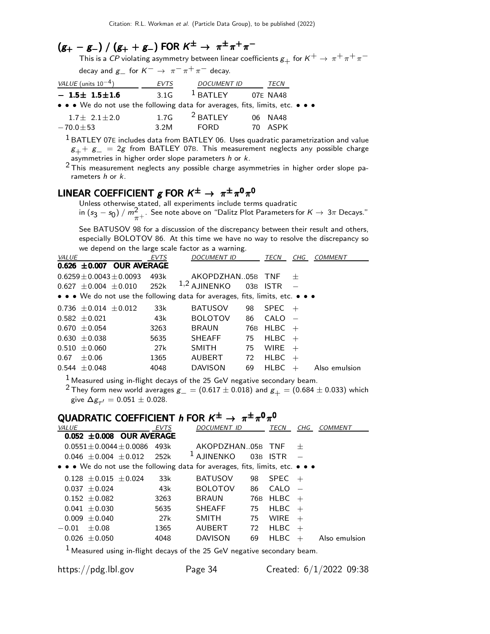### $(g_{+} - g_{-}) / (g_{+} + g_{-})$  FOR  $K^{\pm} \rightarrow \pi^{\pm} \pi^+ \pi^-$

This is a CP violating asymmetry between linear coefficients  $g_+$  for  $K^+ \to \pi^+ \pi^+ \pi^-$ 

decay and  $g_{-}$  for  $K^{-} \rightarrow \pi^{-} \pi^{+} \pi^{-}$  decay.

| VALUE (units $10^{-4}$ )                                                      | EVTS | <b>DOCUMENT ID</b>  | TECN    |  |
|-------------------------------------------------------------------------------|------|---------------------|---------|--|
| $-1.5\pm 1.5\pm 1.6$                                                          | 3.1G | $1$ BATLEY 07E NA48 |         |  |
| • • • We do not use the following data for averages, fits, limits, etc. • • • |      |                     |         |  |
| $1.7 \pm 2.1 \pm 2.0$                                                         | 1.7G | $^2$ BATLEY         | 06 NA48 |  |
| $-70.0 \pm 53$                                                                | 3.2M | FORD.               | ASPK    |  |

 $1$  BATLEY 07E includes data from BATLEY 06. Uses quadratic parametrization and value  $g_{+}+g_{-}=2g$  from BATLEY 07B. This measurement neglects any possible charge asymmetries in higher order slope parameters h or k.

<sup>2</sup> This measurement neglects any possible charge asymmetries in higher order slope parameters  $h$  or  $k$ .

### LINEAR COEFFICIENT  $g$  FOR  $K^{\pm} \rightarrow \pi^{\pm} \pi^0 \pi^0$

Unless otherwise stated, all experiments include terms quadratic in (s $_3$   $-$  s<sub>0</sub>) /  $m_{\pi^+}^2$ . See note above on "Dalitz Plot Parameters for  $K \to 3\pi$  Decays."

See BATUSOV 98 for a discussion of the discrepancy between their result and others, especially BOLOTOV 86. At this time we have no way to resolve the discrepancy so we depend on the large scale factor as a warning.

| <i>VALUE</i>                                                                                                          | <b>EVTS</b> | <b>DOCUMENT ID</b> |     | TECN        | CHG    | COMMENT       |
|-----------------------------------------------------------------------------------------------------------------------|-------------|--------------------|-----|-------------|--------|---------------|
| $0.626 \pm 0.007$ OUR AVERAGE                                                                                         |             |                    |     |             |        |               |
| $0.6259 \pm 0.0043 \pm 0.0093$                                                                                        | 493k        | AKOPDZHAN05B TNF   |     |             | $^{+}$ |               |
| $0.627 \pm 0.004 \pm 0.010$ 252k                                                                                      |             | $1,2$ AJINENKO     |     | 03B ISTR    |        |               |
| $\bullet \bullet \bullet$ We do not use the following data for averages, fits, limits, etc. $\bullet \bullet \bullet$ |             |                    |     |             |        |               |
| $0.736 \pm 0.014 \pm 0.012$                                                                                           | 33k         | <b>BATUSOV</b>     | 98  | <b>SPEC</b> | $+$    |               |
| $0.582 \pm 0.021$                                                                                                     | 43k         | <b>BOLOTOV</b>     | 86  | CALO        |        |               |
| $0.670 + 0.054$                                                                                                       | 3263        | <b>BRAUN</b>       | 76B | $H L B C +$ |        |               |
| $0.630 + 0.038$                                                                                                       | 5635        | <b>SHEAFF</b>      | 75  | <b>HLBC</b> | $+$    |               |
| $0.510 \pm 0.060$                                                                                                     | 27k         | <b>SMITH</b>       | 75  | <b>WIRE</b> | $+$    |               |
| $\pm 0.06$<br>0.67                                                                                                    | 1365        | AUBERT             | 72  | HLBC        | $+$    |               |
| $0.544 \pm 0.048$                                                                                                     | 4048        | <b>DAVISON</b>     | 69  | <b>HLBC</b> |        | Also emulsion |
|                                                                                                                       |             |                    |     |             |        |               |

 $1$  Measured using in-flight decays of the 25 GeV negative secondary beam.

<sup>2</sup> They form new world averages  $g_{-} = (0.617 \pm 0.018)$  and  $g_{+} = (0.684 \pm 0.033)$  which give  $\Delta g_{\tau'}^{}=0.051\pm0.028.$ 

### QUADRATIC COEFFICIENT  $h$  FOR  $K^{\pm} \rightarrow \pi^{\pm} \pi^0 \pi^0$

| <i>VALUE</i>                                                                                                          | <b>EVTS</b> | DOCUMENT ID           |    | TECN         | CHG    | <b>COMMENT</b> |
|-----------------------------------------------------------------------------------------------------------------------|-------------|-----------------------|----|--------------|--------|----------------|
| $0.052 \pm 0.008$ OUR AVERAGE                                                                                         |             |                       |    |              |        |                |
| $0.0551 + 0.0044 + 0.0086$                                                                                            | 493k        | AKOPDZHAN05B TNF      |    |              | $^{+}$ |                |
| $0.046 + 0.004 + 0.012$                                                                                               | 252k        | <sup>1</sup> AJINENKO |    | 03B ISTR     |        |                |
| $\bullet \bullet \bullet$ We do not use the following data for averages, fits, limits, etc. $\bullet \bullet \bullet$ |             |                       |    |              |        |                |
| $0.128 \pm 0.015 \pm 0.024$                                                                                           | 33k         | <b>BATUSOV</b>        |    | 98 SPEC $+$  |        |                |
| $0.037 \pm 0.024$                                                                                                     | 43k         | <b>BOLOTOV</b>        | 86 | $CALO =$     |        |                |
| $0.152 \pm 0.082$                                                                                                     | 3263        | BRAUN                 |    | 76B HLBC $+$ |        |                |
| $0.041 \pm 0.030$                                                                                                     | 5635        | SHEAFF                | 75 | $H L B C +$  |        |                |
| $0.009 + 0.040$                                                                                                       | 27k         | SMITH                 | 75 | WIRE $+$     |        |                |
| $-0.01 \pm 0.08$                                                                                                      | 1365        | AUBERT                |    | 72 HLBC      | $+$    |                |
| $0.026 \pm 0.050$                                                                                                     | 4048        | <b>DAVISON</b>        | 69 | <b>HLBC</b>  | $+$    | Also emulsion  |
|                                                                                                                       |             |                       |    |              |        |                |

1 Measured using in-flight decays of the 25 GeV negative secondary beam.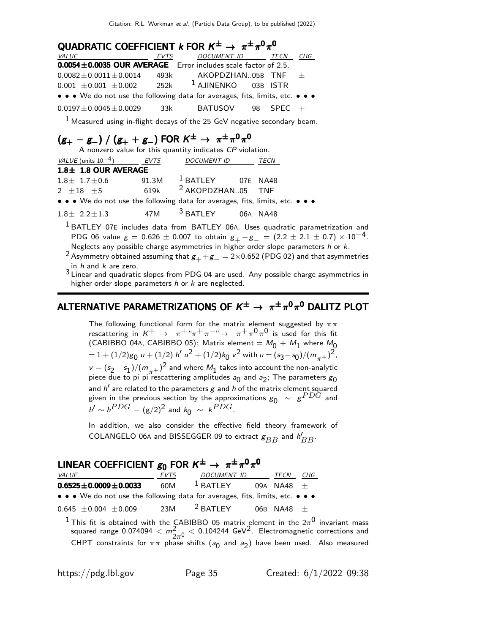| QUADRATIC COEFFICIENT k FOR $K^{\pm} \rightarrow \pi^{\pm} \pi^{0} \pi^{0}$   |      |                       |  |             |     |  |  |  |
|-------------------------------------------------------------------------------|------|-----------------------|--|-------------|-----|--|--|--|
| <i>VALUE</i>                                                                  | EVTS | DOCUMENT ID TECN      |  |             | CHG |  |  |  |
| 0.0054±0.0035 OUR AVERAGE Error includes scale factor of 2.5.                 |      |                       |  |             |     |  |  |  |
| $0.0082 \pm 0.0011 \pm 0.0014$                                                |      | 493k AKOPDZHAN05B TNF |  |             | $+$ |  |  |  |
| $0.001 \pm 0.001 \pm 0.002$                                                   | 252k | $1$ AJINENKO 03B ISTR |  |             |     |  |  |  |
| • • • We do not use the following data for averages, fits, limits, etc. • • • |      |                       |  |             |     |  |  |  |
| $0.0197 \pm 0.0045 \pm 0.0029$                                                | 33k  | BATUSOV               |  | 98 SPEC $+$ |     |  |  |  |

 $1$  Measured using in-flight decays of the 25 GeV negative secondary beam.

# $(g_{+} - g_{-}) / (g_{+} + g_{-})$  FOR  $K^{\pm} \rightarrow \pi^{\pm} \pi^{0} \pi^{0}$ <br>A nonzero value for this quantity indicates *CP* violation.

| VALUE (units $10^{-4}$ )                                                      | <b>EVTS</b> | <b>DOCUMENT ID</b>           | TECN     |
|-------------------------------------------------------------------------------|-------------|------------------------------|----------|
| $1.8 \pm 1.8$ OUR AVERAGE                                                     |             |                              |          |
| $1.8 \pm 1.7 \pm 0.6$                                                         | 91.3M       | <sup>1</sup> BATLEY 07E NA48 |          |
| $2 + 18 + 5$                                                                  | 619k        | <sup>2</sup> AKOPDZHAN05 TNF |          |
| • • • We do not use the following data for averages, fits, limits, etc. • • • |             |                              |          |
| $1.8 \pm 2.2 \pm 1.3$                                                         | 47M         | $3$ BATLEY                   | 06A NA48 |

<sup>1</sup> BATLEY 07E includes data from BATLEY 06A. Uses quadratic parametrization and PDG 06 value  $g = 0.626 \pm 0.007$  to obtain  $g_{+} - g_{-} = (2.2 \pm 2.1 \pm 0.7) \times 10^{-4}$ . Neglects any possible charge asymmetries in higher order slope parameters  $h$  or  $k$ .

2 Asymmetry obtained assuming that  $g_+ + g_- = 2 \times 0.652$  (PDG 02) and that asymmetries

 $^3$ Linear and  $k$  are zero.<br> $^3$ Linear and quadratic slopes from PDG 04 are used. Any possible charge asymmetries in higher order slope parameters  $h$  or  $k$  are neglected.

### ALTERNATIVE PARAMETRIZATIONS OF  $\mathsf{K}^{\pm}\rightarrow\pi^{\pm}\pi^{0}\pi^{0}$  dalitz plot

The following functional form for the matrix element suggested by  $\pi\pi$ rescattering in  $K^+$   $\rightarrow \pi^+ \pi^+ \pi^ \rightarrow \pi^+ \pi^0 \pi^0$  is used for this fit (CABIBBO 04A, CABIBBO 05): Matrix element  $=M_0 + M_1$  where  $M_0$  $= 1 + (1/2)g_0 u + (1/2) h' u^2 + (1/2)k_0 v^2$  with  $u = (s_3 - s_0)/(m_{\pi^+})^2$ ,  $v = (s_2 - s_1)/(m_{\pi^+})^2$  and where  $M_1$  takes into account the non-analytic piece due to pi pi rescattering amplitudes  $a_0$  and  $a_2$ ; The parameters  ${\rm g}_0$ and  $h^\prime$  are related to the parameters  $g$  and  $h$  of the matrix element squared given in the previous section by the approximations  $g_0$   $\sim$   $g^{PDG}$  and  $h' \sim h^{PDG} - (\mathrm{g}/2)^2$  and  $k_0 \sim k^{PDG}$ .

In addition, we also consider the effective field theory framework of COLANGELO 06A and BISSEGGER 09 to extract  $\mathcal{g}_{BB}$  and  $\mathcal{h}_{BB}'$ .

### LINEAR COEFFICIENT  $g_0$  FOR  $K^{\pm} \rightarrow \pi^{\pm} \pi^0 \pi^0$

| <i>VALUE</i>                                                                  | <b>EVTS</b> | <b>DOCUMENT ID</b>  | TECN           | CHG |
|-------------------------------------------------------------------------------|-------------|---------------------|----------------|-----|
| $0.6525 \pm 0.0009 \pm 0.0033$                                                | 60M         | $1$ BATLEY          | 09A NA48 $\pm$ |     |
| • • • We do not use the following data for averages, fits, limits, etc. • • • |             |                     |                |     |
| $0.645 \pm 0.004 \pm 0.009$                                                   | 23M         | <sup>2</sup> BATLEY | 06B NA48 $\pm$ |     |

 $^1$ This fit is obtained with the CABIBBO 05 matrix element in the  $2\pi^0$  invariant mass squared range  $0.074094 < m_{2\pi^0}^2 < 0.104244 \,\,{\rm GeV}^2$ . Electromagnetic corrections and CHPT constraints for  $\pi\pi$  phase shifts ( $a_0$  and  $a_2$ ) have been used. Also measured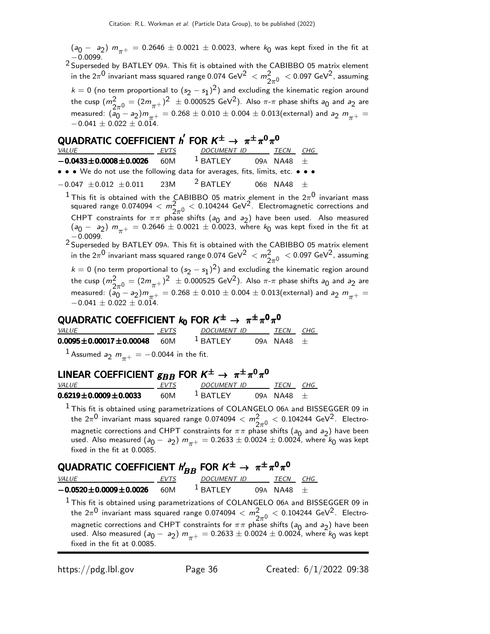$(a_0 - a_2)$   $m_{\pi^+} = 0.2646 \pm 0.0021 \pm 0.0023$ , where  $k_0$  was kept fixed in the fit at

−0.0099. 2 Superseded by BATLEY 09A. This fit is obtained with the CABIBBO 05 matrix element in the 2 $\pi^0$  invariant mass squared range 0.074 GeV $^2~< m_{2\pi^0}^2~<$  0.097 GeV $^2$ , assuming  $k = 0$  (no term proportional to  $(s_2 - s_1)^2$ ) and excluding the kinematic region around the cusp  $(m_{2\pi^0}^2 = (2m_{\pi^+})^2 \pm 0.000525 \text{ GeV}^2)$ . Also  $\pi$ - $\pi$  phase shifts  $a_0$  and  $a_2$  are measured:  $(a_0 - a_2)m_{\pi^+} = 0.268 \pm 0.010 \pm 0.004 \pm 0.013$  (external) and  $a_2 m_{\pi^+} =$  $-0.041 \pm 0.022 \pm 0.014.$ 

### QUADRATIC COEFFICIENT  ${\sf h}^{'}$  FOR  ${\sf K}^{\pm} \rightarrow~\pi^{\pm}\pi^0\pi^0$

| <i>VALUE</i>                                                                  | <b>EVTS</b> | <b>DOCUMENT ID</b>  | TECN           | CHG |
|-------------------------------------------------------------------------------|-------------|---------------------|----------------|-----|
| $-0.0433 \pm 0.0008 \pm 0.0026$                                               | 60M         | $1$ BATLEY          | 09A NA48 $\pm$ |     |
| • • • We do not use the following data for averages, fits, limits, etc. • • • |             |                     |                |     |
| $-0.047 \pm 0.012 \pm 0.011$                                                  | 23M         | <sup>2</sup> BATLEY | 06B NA48 $+$   |     |

 $^1$ This fit is obtained with the CABIBBO 05 matrix element in the  $2\pi^0$  invariant mass squared range  $0.074094 < m_{2\pi^0}^2 < 0.104244 \,\,{\rm GeV}^2$ . Electromagnetic corrections and CHPT constraints for  $\pi \pi$  phase shifts (a<sub>0</sub> and a<sub>2</sub>) have been used. Also measured  $(a_0 - a_2)$   $m_{\pi^+} = 0.2646 \pm 0.0021 \pm 0.0023$ , where  $k_0$  was kept fixed in the fit at

−0.0099.<br><sup>2</sup> Superseded by BATLEY 09A. This fit is obtained with the CABIBBO 05 matrix element in the 2 $\pi^0$  invariant mass squared range 0.074 GeV $^2~< m_{2\pi^0}^2~<$  0.097 GeV $^2$ , assuming  $k = 0$  (no term proportional to  $(s_2 - s_1)^2$ ) and excluding the kinematic region around the cusp  $(m_{2\pi^0}^2 = (2m_{\pi^+})^2 \pm 0.000525 \text{ GeV}^2)$ . Also  $\pi$ - $\pi$  phase shifts  $a_0$  and  $a_2$  are measured:  $(a_0 - a_2)m_{\pi^+} = 0.268 \pm 0.010 \pm 0.004 \pm 0.013$  (external) and  $a_2 m_{\pi^+} =$  $-0.041 \pm 0.022 \pm 0.014.$ 

### QUADRATIC COEFFICIENT  $k_0$  FOR  $K^{\pm} \rightarrow \pi^{\pm} \pi^0 \pi^0$

| <i>VALUE</i>                                    | <i>EVTS</i> | <i>DOCUMENT ID</i> | TECN           | CHG |
|-------------------------------------------------|-------------|--------------------|----------------|-----|
| $0.0095 \pm 0.00017 \pm 0.00048$ 60M            |             | $1$ BATI FY        | 09A NA48 $\pm$ |     |
| $\frac{1}{2}$ A counsel s sec 0.0044 in the fit |             |                    |                |     |

Assumed  $a_2 m_{\pi^+} = -0.0044$  in the fit.

### LINEAR COEFFICIENT  $g_{BB}$  FOR  $K^{\pm} \rightarrow \pi^{\pm} \pi^{0} \pi^{0}$

| <i>VALUE</i>                   | -----<br><b>FVTS</b> | DOCUMENT ID           | <b>TFCN</b>    | CHG. |
|--------------------------------|----------------------|-----------------------|----------------|------|
| $0.6219 \pm 0.0009 \pm 0.0033$ | 60M                  | $\frac{1}{2}$ RATI FY | $09A$ NA48 $+$ |      |

 $<sup>1</sup>$  This fit is obtained using parametrizations of COLANGELO 06A and BISSEGGER 09 in</sup> the 2 $\pi^0$  invariant mass squared range 0.074094  $< m_{2\pi^0}^2 < 0.104244 \text{ GeV}^2$ . Electromagnetic corrections and CHPT constraints for  $\pi \pi$  phase shifts (a<sub>0</sub> and a<sub>2</sub>) have been used. Also measured  $(a_0 - a_2)$   $m_{\pi^+} = 0.2633 \pm 0.0024 \pm 0.0024$ , where  $k_0$  was kept fixed in the fit at 0.0085.

### QUADRATIC COEFFICIENT  $h_{BB}'$  FOR  $K^\pm \rightarrow~\pi^\pm \pi^0 \pi^0$

|                                 |             | ----                  |                |     |
|---------------------------------|-------------|-----------------------|----------------|-----|
| <i>VALUE</i>                    | <b>FVTS</b> | DOCUMENT ID           | <b>TFCN</b>    | CHG |
| $-0.0520 \pm 0.0009 \pm 0.0026$ | 60M         | $\frac{1}{2}$ RATI FY | $09A$ NA48 $+$ |     |

<sup>1</sup> This fit is obtained using parametrizations of COLANGELO 06A and BISSEGGER 09 in the 2 $\pi^0$  invariant mass squared range 0.074094  $< m_{2\pi^0}^2 < 0.104244 \text{ GeV}^2$ . Electromagnetic corrections and CHPT constraints for  $\pi \pi$  phase shifts (a<sub>0</sub> and a<sub>2</sub>) have been used. Also measured  $(a_0 - a_2)$   $m_{\pi^+} = 0.2633 \pm 0.0024 \pm 0.0024$ , where  $k_0$  was kept fixed in the fit at 0.0085.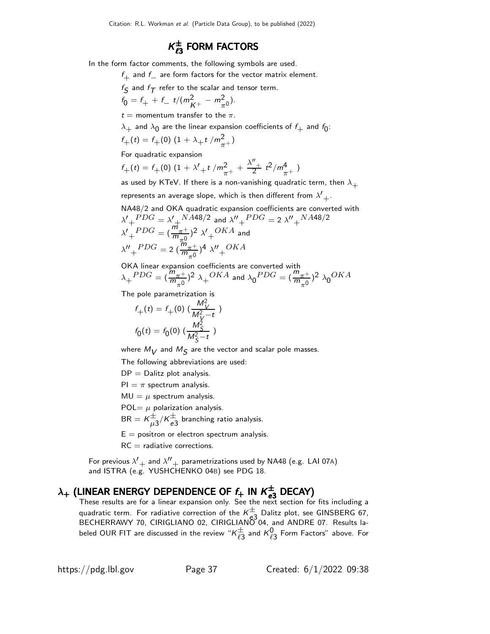### $K_{\ell 3}^{\pm}$  form factors

In the form factor comments, the following symbols are used.

 $f_{\perp}$  and  $f_{\perp}$  are form factors for the vector matrix element.

 $f_{\mathcal{S}}$  and  $f_{\mathcal{T}}$  refer to the scalar and tensor term.

$$
f_0 = f_+ + f_- t/(m_{K^+}^2 - m_{\pi^0}^2).
$$

 $t =$  momentum transfer to the  $\pi$ .

 $\lambda_{+}$  and  $\lambda_{0}$  are the linear expansion coefficients of  $f_{+}$  and  $f_{0}$ :

$$
f_{+}(t) = f_{+}(0) \left(1 + \lambda_{+} t / m_{\pi^{+}}^{2}\right)
$$

For quadratic expansion

 $f_+(t) = f_+(0) \left(1 + \lambda'_{+} t / m_{\pi^+}^2 + \frac{\lambda''_{+}}{2} t^2 / m_{\pi^+}^4 \right)$ 

as used by KTeV. If there is a non-vanishing quadratic term, then  $\lambda_+$ represents an average slope, which is then different from  $\lambda'+\lambda'$ 

NA48/2 and OKA quadratic expansion coefficients are converted with  $\lambda' + ^{PDG} = \lambda' + ^{NA48/2}$  and  $\lambda'' + ^{PDG} =$  2  $\lambda'' + ^{NA48/2}$  $\lambda' + PDG = (\frac{m_{\pi^+}}{m_{-0}})$  $(\frac{m_{\pi^+}}{m_{\pi^0}})^2$   $\lambda'_{+}^{OKA}$  and  $\lambda'' + ^{PDG} = 2 \left( \frac{\overline{m}_{\pi}^{2}}{m_{\pi}^{2}} \right)$  $\frac{m_{\pi^+}}{m_{\pi^0}}$ <sup>4</sup>  $\lambda''$ <sub>+</sub>OKA

OKA linear expansion coefficients are converted with  $\lambda_+{}^{PDG} = (\frac{m_{\pi^+}}{m_{-0}})$  $\frac{m_{\pi^+}}{m_{\pi^0}}$ )<sup>2</sup>  $\lambda_+^{OKA}$  and  $\lambda_0^{PDG} = (\frac{m_{\pi^+}}{m_{\pi^0}})$  $\frac{m_{\pi^+}}{m_{\pi^0}}$ <sup>2</sup>  $\lambda_0^{OKA}$ 

The pole parametrization is

$$
f_{+}(t) = f_{+}(0) \left( \frac{M_{V}^{2}}{M_{V}^{2} - t} \right)
$$

$$
f_{0}(t) = f_{0}(0) \left( \frac{M_{S}^{2}}{M_{S}^{2} - t} \right)
$$

where  $M_V$  and  $M_S$  are the vector and scalar pole masses.

The following abbreviations are used:

 $DP = Dalitz plot analysis.$ 

 $PI = \pi$  spectrum analysis.

 $MU = \mu$  spectrum analysis.

POL=  $\mu$  polarization analysis.

 $BR = K \frac{1}{\mu 3} / K \frac{1}{e3}$  branching ratio analysis.

 $E =$  positron or electron spectrum analysis.

 $RC =$  radiative corrections.

For previous  $\lambda'$  and  $\lambda''$  parametrizations used by NA48 (e.g. LAI 07A) and ISTRA (e.g. YUSHCHENKO 04B) see PDG 18.

# $\lambda_+$  (LINEAR ENERGY DEPENDENCE OF  $f_+$  IN  $K_{e3}^{\pm}$  DECAY)<br>These results are for a linear expansion only. See the next section for fits including a

quadratic term. For radiative correction of the  $K^{\pm}_{3}$  Dalitz plot, see GINSBERG 67, BECHERRAWY 70, CIRIGLIANO 02, CIRIGLIANO 04, and ANDRE 07. Results labeled OUR FIT are discussed in the review " $\kappa^{\pm}_{\ell 3}$  and  $\kappa^0_{\ell 3}$  Form Factors" above. For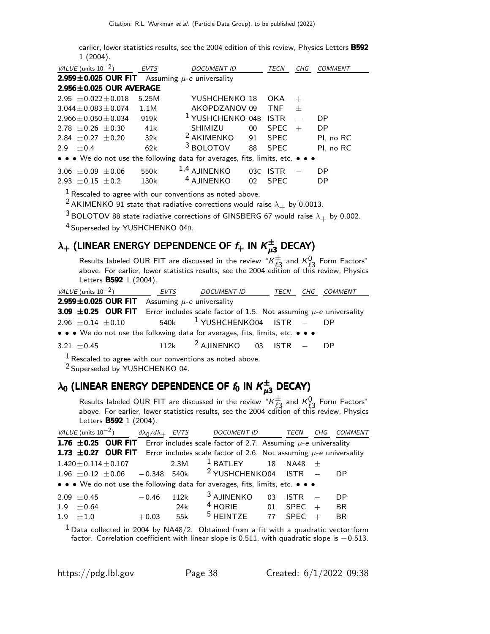earlier, lower statistics results, see the 2004 edition of this review, Physics Letters B592 1 (2004).

| VALUE (units $10^{-2}$ )                                                      | <b>EVTS</b> | <b>DOCUMENT ID</b>                      |                 | TECN        | CHG           | <i>COMMENT</i> |
|-------------------------------------------------------------------------------|-------------|-----------------------------------------|-----------------|-------------|---------------|----------------|
| $2.959 \pm 0.025$ OUR FIT                                                     |             | Assuming $\mu$ -e universality          |                 |             |               |                |
| 2.956±0.025 OUR AVERAGE                                                       |             |                                         |                 |             |               |                |
| $2.95 + 0.022 + 0.018$                                                        | 5.25M       | YUSHCHENKO 18                           |                 | OKA         | $^{+}$        |                |
| $3.044 + 0.083 + 0.074$                                                       | 1.1M        | AKOPDZANOV09                            |                 | <b>TNF</b>  | $^{+}$        |                |
| $2.966 + 0.050 + 0.034$                                                       | 919k        | <sup>1</sup> YUSHCHENKO 04B             |                 | <b>ISTR</b> | $\frac{1}{2}$ | D <sub>P</sub> |
| $2.78 + 0.26 + 0.30$                                                          | 41k         | SHIMIZU                                 | $00\,$          | <b>SPEC</b> | $+$           | DP.            |
| $2.84 + 0.27 + 0.20$                                                          | 32k         | <sup>2</sup> AKIMENKO                   | 91              | <b>SPEC</b> |               | PI, no RC      |
| $+0.4$<br>2.9                                                                 | 62k         | <sup>3</sup> BOLOTOV                    | 88              | <b>SPEC</b> |               | PI, no RC      |
| • • • We do not use the following data for averages, fits, limits, etc. • • • |             |                                         |                 |             |               |                |
| 3.06 $\pm$ 0.09 $\pm$ 0.06                                                    | 550k        | $1,4$ AJINENKO<br><sup>4</sup> AJINENKO |                 | 03C ISTR    |               | DP             |
| $2.93 + 0.15 + 0.2$                                                           | 130k        |                                         | 02 <sub>o</sub> | <b>SPEC</b> |               | DP             |

 $\frac{1}{1}$  Rescaled to agree with our conventions as noted above.

<sup>2</sup> AKIMENKO 91 state that radiative corrections would raise  $\lambda_+$  by 0.0013.

 $3$  BOLOTOV 88 state radiative corrections of GINSBERG 67 would raise  $\lambda_+$  by 0.002.

4 Superseded by YUSHCHENKO 04B.

### $\lambda_+$  (LINEAR ENERGY DEPENDENCE OF  $f_+$  in  $\mathcal{K}^\pm_{\mu3}$  DECAY)

Results labeled OUR FIT are discussed in the review " $\kappa_{3}^{\pm}$  and  $\kappa_{\ell3}^{0}$  Form Factors" above. For earlier, lower statistics results, see the 2004 edition of this review, Physics Letters **B592** 1 (2004).

| VALUE (units $10^{-2}$ )                                                                                              | EVTS | <i>DOCUMENT ID</i>                       | TECN | CHG COMMENT |
|-----------------------------------------------------------------------------------------------------------------------|------|------------------------------------------|------|-------------|
| 2.959 $\pm$ 0.025 OUR FIT Assuming $\mu$ -e universality                                                              |      |                                          |      |             |
| <b>3.09 <math>\pm</math>0.25 OUR FIT</b> Error includes scale factor of 1.5. Not assuming $\mu$ -e universality       |      |                                          |      |             |
| $2.96 \pm 0.14 \pm 0.10$                                                                                              |      | 540k <sup>1</sup> YUSHCHENKO04 ISTR - DP |      |             |
| $\bullet \bullet \bullet$ We do not use the following data for averages, fits, limits, etc. $\bullet \bullet \bullet$ |      |                                          |      |             |
| 3.21 $\pm$ 0.45                                                                                                       |      | 112k $^2$ AJINENKO 03 ISTR - DP          |      |             |
| <b>I</b> Describility same with you conventions as useful share                                                       |      |                                          |      |             |

Rescaled to agree with our conventions as noted above.

2 Superseded by YUSHCHENKO 04.

### $\lambda_{\mathbf{0}}$  (LINEAR ENERGY DEPENDENCE OF  $\mathit{f}_{\mathbf{0}}$  in  $\mathcal{K}_{\mu\mathbf{3}}^{\pm}$  DECAY)

Results labeled OUR FIT are discussed in the review " $\kappa_{3}^{\pm}$  and  $\kappa_{2}^{0}$  Form Factors" above. For earlier, lower statistics results, see the 2004 edition of this review, Physics Letters **B592** 1 (2004).

|     | <i>VALUE</i> (units $10^{-2}$ ) |                             |         | $d\lambda_0/d\lambda_+$ EVTS | DOCUMENT ID                                                                                      |                | TECN            | CHG | <b>COMMENT</b> |
|-----|---------------------------------|-----------------------------|---------|------------------------------|--------------------------------------------------------------------------------------------------|----------------|-----------------|-----|----------------|
|     |                                 |                             |         |                              | <b>1.76 ±0.25 OUR FIT</b> Error includes scale factor of 2.7. Assuming $\mu$ -e universality     |                |                 |     |                |
|     |                                 |                             |         |                              | <b>1.73 ±0.27 OUR FIT</b> Error includes scale factor of 2.6. Not assuming $\mu$ -e universality |                |                 |     |                |
|     |                                 | $1.420 \pm 0.114 \pm 0.107$ |         | 2.3M                         | $^1$ BATLEY                                                                                      |                | $18$ NA48 $\pm$ |     |                |
|     |                                 |                             |         |                              | 1.96 $\pm$ 0.12 $\pm$ 0.06 - 0.348 540k <sup>2</sup> YUSHCHENKO04 ISTR -                         |                |                 |     | <b>DP</b>      |
|     |                                 |                             |         |                              | • • • We do not use the following data for averages, fits, limits, etc. • • •                    |                |                 |     |                |
|     | $2.09 \pm 0.45$                 |                             | $-0.46$ | 112k                         | <sup>3</sup> AJINENKO                                                                            | 0 <sup>3</sup> | <b>ISTR</b>     |     | DP             |
| 1.9 | $+0.64$                         |                             |         | 24k                          | $4$ HORIE 01                                                                                     |                | SPEC            | $+$ | <b>BR</b>      |
| 1.9 | $+1.0$                          |                             | $+0.03$ | 55k                          | $5$ HEINTZE 77                                                                                   |                | <b>SPEC</b>     |     | <b>BR</b>      |

 $1$  Data collected in 2004 by NA48/2. Obtained from a fit with a quadratic vector form factor. Correlation coefficient with linear slope is 0.511, with quadratic slope is −0.513.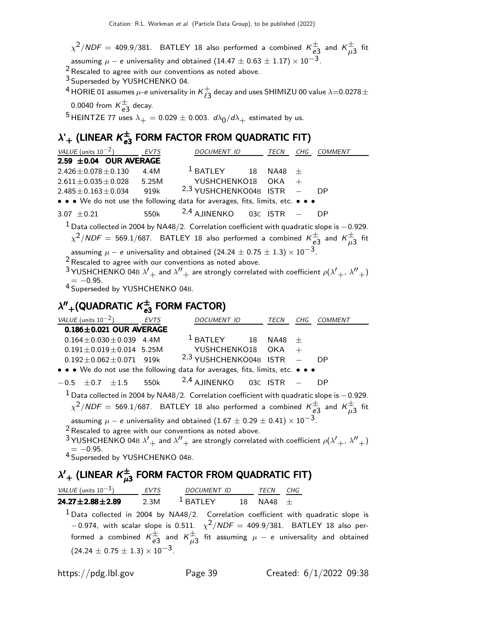$\chi^2/\mathsf{NDF}=$  409.9/381. <code>BATLEY</code> 18 also performed a combined  $\mathsf{K}^\pm_{\mathsf{e}3}$  and  $\mathsf{K}^\pm_{\mu3}$  fit assuming  $\mu - e$  universality and obtained (14.47  $\pm$  0.63  $\pm$  1.17)  $\times$  10<sup>-3</sup>.

<sup>2</sup> Rescaled to agree with our conventions as noted above.

3 Superseded by YUSHCHENKO 04.

<sup>4</sup> HORIE 01 assumes  $\mu$ -e universality in  $\kappa_{\varrho_{3}}^{+}$  $_{\ell 3}^+$  decay and uses SHIMIZU 00 value  $\lambda$ =0.0278 $\pm$ 

0.0040 from  $K_{e3}^{\pm}$  decay.

<sup>5</sup> HEINTZE 77 uses  $\lambda_+ = 0.029 \pm 0.003$ .  $d\lambda_0/d\lambda_+$  estimated by us.

### $\lambda'+$  (LINEAR  $\kappa_{e3}^\pm$  FORM FACTOR FROM QUADRATIC FIT)

| VALUE (units $10^{-2}$ )                                 | <b>EVTS</b> | DOCUMENT ID                                                                                                                                                                                                                                                                                           | TECN        | CHG | COMMENT |
|----------------------------------------------------------|-------------|-------------------------------------------------------------------------------------------------------------------------------------------------------------------------------------------------------------------------------------------------------------------------------------------------------|-------------|-----|---------|
| 2.59 $\pm$ 0.04 OUR AVERAGE                              |             |                                                                                                                                                                                                                                                                                                       |             |     |         |
| $2.426 \pm 0.078 \pm 0.130$                              | 4.4M        | $^1$ BATLEY<br>18                                                                                                                                                                                                                                                                                     | <b>NA48</b> | 士   |         |
| $2.611 \pm 0.035 \pm 0.028$                              | 5.25M       | YUSHCHENKO18                                                                                                                                                                                                                                                                                          | <b>OKA</b>  | $+$ |         |
| $2.485 \pm 0.163 \pm 0.034$                              | 919k        | <sup>2,3</sup> YUSHCHENKO04B ISTR                                                                                                                                                                                                                                                                     |             |     | DP.     |
|                                                          |             | • • • We do not use the following data for averages, fits, limits, etc. • • •                                                                                                                                                                                                                         |             |     |         |
| 3.07 $\pm$ 0.21                                          | 550k        | $2,4$ AJINENKO                                                                                                                                                                                                                                                                                        | 03C ISTR    |     | DP      |
|                                                          |             | $1$ Data collected in 2004 by NA48/2. Correlation coefficient with quadratic slope is $-0.929$ .<br>$\chi^2/NDF = 569.1/687$ . BATLEY 18 also performed a combined $K_{e3}^{\pm}$ and $K_{u3}^{\pm}$ fit                                                                                              |             |     |         |
| $=-0.95$ .<br><sup>4</sup> Superseded by YUSHCHENKO 04B. |             | assuming $\mu - e$ universality and obtained $(24.24 \pm 0.75 \pm 1.3) \times 10^{-3}$ .<br>$2$ Rescaled to agree with our conventions as noted above.<br><sup>3</sup> YUSHCHENKO 04B $\lambda'_{+}$ and $\lambda''_{+}$ are strongly correlated with coefficient $\rho(\lambda'_{+}, \lambda''_{+})$ |             |     |         |
| $\lambda'' +$ (QUADRATIC $K_{e3}^{\pm}$ FORM FACTOR)     |             |                                                                                                                                                                                                                                                                                                       |             |     |         |
| VALUE (units $10^{-2}$ )                                 | EVTS        | DOCUMENT ID                                                                                                                                                                                                                                                                                           | TECN CHG    |     | COMMENT |
| $0.186 \pm 0.021$ OUR AVERAGE                            |             |                                                                                                                                                                                                                                                                                                       |             |     |         |
| $0.164 \pm 0.030 \pm 0.039$ 4.4M                         |             | $1$ BATLEY 18                                                                                                                                                                                                                                                                                         | <b>NA48</b> | 士   |         |
| $0.191 \pm 0.019 \pm 0.014$ 5.25M                        |             | YUSHCHENKO18                                                                                                                                                                                                                                                                                          | <b>OKA</b>  | $+$ |         |
|                                                          |             | $0.192 \pm 0.062 \pm 0.071$ 919k $2,3$ YUSHCHENKO04B ISTR                                                                                                                                                                                                                                             |             |     | DP      |
|                                                          |             | • • • We do not use the following data for averages, fits, limits, etc. • • •                                                                                                                                                                                                                         |             |     |         |
| $\pm 0.7$ $\pm 1.5$<br>$-0.5$                            | 550k        | $2,4$ AJINENKO                                                                                                                                                                                                                                                                                        | 03C ISTR    |     | DP      |
|                                                          |             | $^1$ Data collected in 2004 by NA48/2. Correlation coefficient with quadratic slope is $-$ 0.929.<br>$\chi^2/NDF = 569.1/687$ . BATLEY 18 also performed a combined $K_{e3}^{\pm}$ and $K_{\mu3}^{\pm}$ fit                                                                                           |             |     |         |
|                                                          |             | assuming $\mu - e$ universality and obtained $(1.67 \pm 0.29 \pm 0.41) \times 10^{-3}$ .<br>$2$ Rescaled to agree with our conventions as noted above.<br><sup>3</sup> YUSHCHENKO 04B $\lambda'_{+}$ and $\lambda''_{+}$ are strongly correlated with coefficient $\rho(\lambda'_{+},\lambda''_{+})$  |             |     |         |

 $4 = -0.95$ .<br><sup>4</sup> Superseded by YUSHCHENKO 04B.

### $\lambda'+$  (LINEAR  $\kappa^{\pm}_{\mu3}$  FORM FACTOR FROM QUADRATIC FIT)

| VALUE (units $10^{-3}$ )  | <b>FVTS</b> | <i>DOCUMENT ID</i>    |    | <b>TFCN</b> | CHG |
|---------------------------|-------------|-----------------------|----|-------------|-----|
| $24.27 \pm 2.88 \pm 2.89$ | 2.3M        | $\frac{1}{2}$ RATI FY | 18 | $NA48 +$    |     |

 $^1$  Data collected in 2004 by NA48/2. Correlation coefficient with quadratic slope is  $-0.974$ , with scalar slope is 0.511.  $\chi^2/NDF = 409.9/381$ . BATLEY 18 also performed a combined  $\kappa_{e3}^{\pm}$  and  $\kappa_{\mu3}^{\pm}$  fit assuming  $\mu$  —  $e$  universality and obtained  $(24.24 \pm 0.75 \pm 1.3) \times 10^{-3}$ .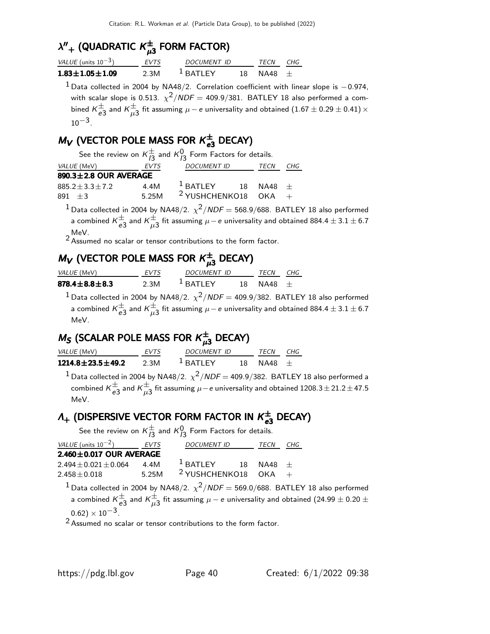## $\lambda''_{+}$  (QUADRATIC  $\kappa_{\mu 3}^{\pm}$  FORM FACTOR)

| VALUE (units $10^{-3}$ ) | <b>FVTS</b> | DOCUMENT ID           |     | <b>TFCN</b> | CHG |
|--------------------------|-------------|-----------------------|-----|-------------|-----|
| $1.83 \pm 1.05 \pm 1.09$ | 2.3M        | $\frac{1}{2}$ RATI FY | 18. | $NA48 +$    |     |

 $1$  Data collected in 2004 by NA48/2. Correlation coefficient with linear slope is  $-0.974$ , with scalar slope is 0.513.  $\chi^2/\mathit{NDF} =$  409.9/381. <code>BATLEY</code> 18 also performed a combined  $\kappa_{e3}^{\pm}$  and  $\kappa_{\mu3}^{\pm}$  fit assuming  $\mu-e$  universality and obtained  $(1.67\pm0.29\pm0.41)\times$  $10^{-3}$ 

### $M_V$  (VECTOR POLE MASS FOR  $K_{e3}^{\pm}$  DECAY)

| See the review on $K_{13}^{\pm}$ and $K_{13}^{0}$ Form Factors for details. |       |                                 |  |     |  |  |  |  |  |
|-----------------------------------------------------------------------------|-------|---------------------------------|--|-----|--|--|--|--|--|
| <i>VALUE</i> (MeV)                                                          | EVTS  | DOCUMENT ID TECN                |  | CHG |  |  |  |  |  |
| $890.3 \pm 2.8$ OUR AVERAGE                                                 |       |                                 |  |     |  |  |  |  |  |
| $885.2 \pm 3.3 \pm 7.2$                                                     | 4.4M  | $1$ BATLEY 18 NA48 $\pm$        |  |     |  |  |  |  |  |
| $891 + 3$                                                                   | 5.25M | <sup>2</sup> YUSHCHENKO18 OKA + |  |     |  |  |  |  |  |
|                                                                             |       |                                 |  |     |  |  |  |  |  |

 $^{\text{1}}$  Data collected in 2004 by NA48/2.  $\chi^{\text{2}}$ /NDF = 568.9/688. BATLEY 18 also performed a combined  $\kappa_{e3}^\pm$  and  $\kappa_{\mu3}^\pm$  fit assuming  $\mu-$  e universality and obtained 884.4  $\pm$  3.1  $\pm$  6.7

MeV.<br><sup>2</sup> Assumed no scalar or tensor contributions to the form factor.

### $M_{\boldsymbol{V}}$  (VECTOR POLE MASS FOR  $\kappa_{\mu 3}^{\pm}$  DECAY)

| <i>VALUE</i> (MeV)      | <b>FVTS</b> | DOCUMENT ID           |     | TFCN     | CHG |
|-------------------------|-------------|-----------------------|-----|----------|-----|
| $878.4 \pm 8.8 \pm 8.3$ | 2.3M        | $\frac{1}{2}$ RATI FY | 18. | $NA48 +$ |     |

 $^{\text{1}}$ Data collected in 2004 by NA48/2.  $\chi^{\text{2}}$ /NDF = 409.9/382. BATLEY 18 also performed a combined  $\mathcal{K}_{e3}^\pm$  and  $\mathcal{K}_{\mu3}^\pm$  fit assuming  $\mu-e$  universality and obtained 884.4  $\pm$  3.1  $\pm$  6.7 MeV.

### $\mathit{M}_\mathcal{S}$  (SCALAR POLE MASS FOR  $\mathcal{K}^\pm_{\mu3}$  DECAY)

| <i>VALUE</i> (MeV)<br><b>FVTS</b> |      | DOCUMENT ID           | <b>TFCN</b>   | CHG |
|-----------------------------------|------|-----------------------|---------------|-----|
| $1214.8 \pm 23.5 \pm 49.2$        | 2.3M | $\frac{1}{2}$ RATI FY | $18$ NA48 $+$ |     |

 $^{\text{1}}$  Data collected in 2004 by NA48/2.  $\chi^{\text{2}}$ /NDF = 409.9/382. BATLEY 18 also performed a combined  $\mathcal{K}_{e3}^\pm$  and  $\mathcal{K}_{\mu3}^\pm$  fit assuming  $\mu-$ e universality and obtained 1208.3  $\pm$  21.2  $\pm$  47.5 MeV.

# **Λ<sub>+</sub> (DISPERSIVE VECTOR FORM FACTOR IN**  $K_{e3}^{\pm}$  **DECAY)**<br>See the review on  $K_{12}^{\pm}$  and  $K_{12}^{0}$  Form Factors for details.

| DOCUMENT ID TECN<br>CHG                                                                                                                                                                    |  |
|--------------------------------------------------------------------------------------------------------------------------------------------------------------------------------------------|--|
|                                                                                                                                                                                            |  |
| $2.460 \pm 0.017$ OUR AVERAGE                                                                                                                                                              |  |
| $1$ BATLEY 18 NA48 $\pm$<br>$2.494 \pm 0.021 \pm 0.064$ 4.4M                                                                                                                               |  |
| 5.25M $2$ YUSHCHENKO18 OKA +<br>$2.458 \pm 0.018$                                                                                                                                          |  |
| <sup>1</sup> Data collected in 2004 by NA48/2. $\chi^2/NDF = 569.0/688$ . BATLEY 18 also<br>$\pm$ continued $\nu^{\pm}$ and $\nu^{\pm}$ fit committee and internal internal channel (24.6) |  |

o performed a combined  $\kappa_{e3}^{\pm}$  and  $\kappa_{\mu3}^{\pm}$  fit assuming  $\mu-e$  universality and obtained (24.99  $\pm$  0.20  $\pm$  $(0.62) \times 10^{-3}$ .

 $2$  Assumed no scalar or tensor contributions to the form factor.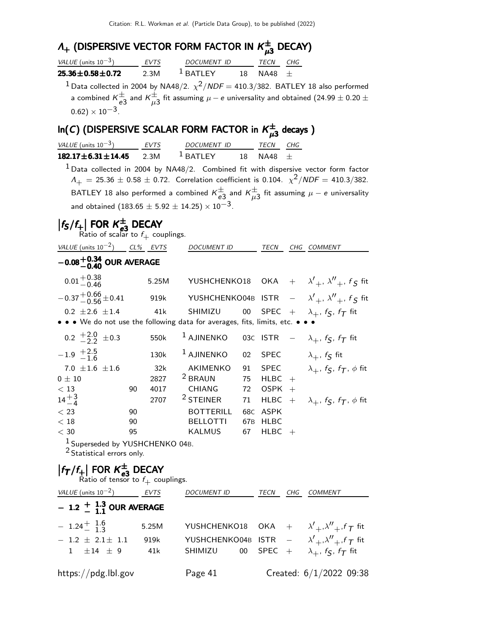### $\Lambda_{+}$  (DISPERSIVE VECTOR FORM FACTOR IN  $\kappa_{\mu 3}^{\pm}$  DECAY)

| VALUE (units $10^{-3}$ )  | <b>FVTS</b><br>DOCUMENT ID |             | <b>TFCN</b> | CHG |
|---------------------------|----------------------------|-------------|-------------|-----|
| $25.36 \pm 0.58 \pm 0.72$ | 2.3M                       | $1$ BATI FY | 18 NA48 +   |     |

 $^{\text{1}}$  Data collected in 2004 by NA48/2.  $\chi^{\text{2}}$ /NDF = 410.3/382. BATLEY 18 also performed a combined  $\kappa_{e3}^{\pm}$  and  $\kappa_{\mu3}^{\pm}$  fit assuming  $\mu-e$  universality and obtained (24.99  $\pm$  0.20  $\pm$  $(0.62)\times 10^{-3}$ .

### $\mathsf{In}(C)$  (DISPERSIVE SCALAR FORM FACTOR in  $\mathcal{K}^\pm_{\mu3}$  decays )

| $m(x)$ (bisi ENSIVE SCALAR FONW FACTON III $N_{\mu}$ 3 decays J                                   |             |       |                                                                          |                 |             |        |                                                                                                             |
|---------------------------------------------------------------------------------------------------|-------------|-------|--------------------------------------------------------------------------|-----------------|-------------|--------|-------------------------------------------------------------------------------------------------------------|
| VALUE (units $10^{-3}$ )                                                                          | <b>EVTS</b> |       | DOCUMENT ID                                                              |                 | TECN        | CHG    |                                                                                                             |
| $182.17 \pm 6.31 \pm 14.45$                                                                       |             | 2.3M  | $1$ BATLEY                                                               | 18              | <b>NA48</b> | $+$    |                                                                                                             |
|                                                                                                   |             |       |                                                                          |                 |             |        | $1$ Data collected in 2004 by NA48/2. Combined fit with dispersive vector form factor                       |
|                                                                                                   |             |       |                                                                          |                 |             |        | $\Lambda_{+}$ = 25.36 $\pm$ 0.58 $\pm$ 0.72. Correlation coefficient is 0.104. $\chi^{2}/NDF = 410.3/382$ . |
|                                                                                                   |             |       |                                                                          |                 |             |        | BATLEY 18 also performed a combined $K_{e3}^{\pm}$ and $K_{\mu3}^{\pm}$ fit assuming $\mu - e$ universality |
|                                                                                                   |             |       | and obtained (183.65 $\pm$ 5.92 $\pm$ 14.25) $\times$ 10 <sup>-3</sup> . |                 |             |        |                                                                                                             |
|                                                                                                   |             |       |                                                                          |                 |             |        |                                                                                                             |
| $ f_{\mathsf{S}}/f_{+} $ FOR $\mathsf{K}_{e3}^{\pm}$ DECAY<br>Ratio of scalar to $f_+$ couplings. |             |       |                                                                          |                 |             |        |                                                                                                             |
| VALUE (units $10^{-2}$ ) CL% EVTS                                                                 |             |       | DOCUMENT ID                                                              |                 | TECN        |        | CHG COMMENT                                                                                                 |
| $-0.08^{+0.34}_{-0.40}$ OUR AVERAGE                                                               |             |       |                                                                          |                 |             |        |                                                                                                             |
| $0.01 + 0.38$<br>0.01 - 0.46                                                                      |             | 5.25M | YUSHCHENKO18                                                             |                 |             |        | OKA + $\lambda'_{+}$ , $\lambda''_{+}$ , $f_S$ fit                                                          |
| $-0.37 + 0.66 + 0.41$                                                                             |             | 919k  | YUSHCHENKO04B                                                            |                 | <b>ISTR</b> |        | $ \lambda'_{+}$ , $\lambda''_{+}$ , $f_S$ fit                                                               |
| $0.2 \pm 2.6 \pm 1.4$                                                                             |             | 41k   | SHIMIZU                                                                  | 00              | <b>SPEC</b> |        | + $\lambda_+$ , $f_S$ , $f_T$ fit                                                                           |
| • • • We do not use the following data for averages, fits, limits, etc. •                         |             |       |                                                                          |                 |             |        |                                                                                                             |
| $0.2 \begin{array}{l} +2.0 \\ -2.2 \end{array} \pm 0.3$                                           |             | 550k  | <sup>1</sup> AJINENKO                                                    | 03C             | <b>ISTR</b> |        | $ \lambda_+$ , $f_S$ , $f_T$ fit                                                                            |
| $-1.9$ $+2.5$<br>$-1.6$                                                                           |             | 130k  | <sup>1</sup> AJINENKO                                                    | 02              | <b>SPEC</b> |        | $\lambda_+$ , $f_{\mathcal{S}}$ fit                                                                         |
| 7.0 $\pm 1.6$ $\pm 1.6$                                                                           |             | 32k   | AKIMENKO                                                                 | 91              | <b>SPEC</b> |        | $\lambda_+$ , $f_S$ , $f_T$ , $\phi$ fit                                                                    |
| $0 \pm 10$                                                                                        |             | 2827  | <sup>2</sup> BRAUN                                                       | 75              | <b>HLBC</b> | $^{+}$ |                                                                                                             |
| < 13                                                                                              | 90          | 4017  | CHIANG                                                                   | 72              | <b>OSPK</b> | $^{+}$ |                                                                                                             |
| $14^{+3}_{-4}$                                                                                    |             | 2707  | <sup>2</sup> STEINER                                                     | 71              | <b>HLBC</b> | $+$    | $\lambda_+$ , $f_S$ , $f_T$ , $\phi$ fit                                                                    |
| $<$ 23                                                                                            | 90          |       | <b>BOTTERILL</b>                                                         | 68C             | <b>ASPK</b> |        |                                                                                                             |
| < 18                                                                                              | 90          |       | <b>BELLOTTI</b>                                                          | 67 <sub>B</sub> | <b>HLBC</b> |        |                                                                                                             |
| $<$ 30                                                                                            | 95          |       | KALMUS                                                                   | 67              | HLBC        | $^{+}$ |                                                                                                             |
| <sup>1</sup> Superseded by YUSHCHENKO 04B.<br><sup>2</sup> Statistical errors only.               |             |       |                                                                          |                 |             |        |                                                                                                             |
| $ f_T/f_+ $ FOR $K_{e3}^{\pm}$ DECAY<br>Ratio of tensor to $f_+$ couplings.                       |             |       |                                                                          |                 |             |        |                                                                                                             |

| VALUE (units $10^{-2}$ ) EVTS |       | <b>DOCUMENT ID</b>                                                           | TECN<br>CHG | COMMENT                 |
|-------------------------------|-------|------------------------------------------------------------------------------|-------------|-------------------------|
| $-$ 1.2 $+$ $1.3$ OUR AVERAGE |       |                                                                              |             |                         |
| $-1.24 \frac{+}{-} 1.6$       | 5.25M | YUSHCHENKO18 OKA + $\lambda'_{+}$ , $\lambda''_{+}$ , $f_{\mathcal{T}}$ fit  |             |                         |
| $-1.2 \pm 2.1 \pm 1.1$        | 919k  | YUSHCHENKO04B ISTR $-\lambda'_{+}$ , $\lambda''_{+}$ , $f_{\mathcal{T}}$ fit |             |                         |
| $1 \pm 14 \pm 9$              | 41k   | SHIMIZU 00 SPEC + $\lambda_+$ , $f_S$ , $f_T$ fit                            |             |                         |
| https://pdg.lbl.gov           |       | Page 41                                                                      |             | Created: 6/1/2022 09:38 |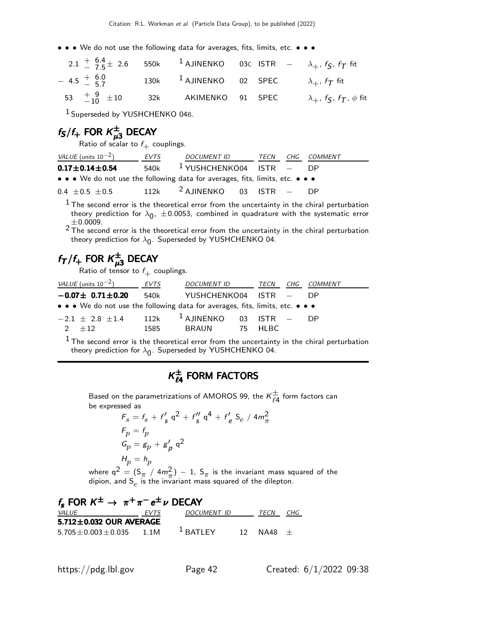• • • We do not use the following data for averages, fits, limits, etc. • • •

|                                                                                                          |  |  | 2.1 $\frac{6.4}{7.5}$ + 2.6 550k 1 AJINENKO 03C ISTR $-\lambda_+$ , f <sub>S</sub> , f <sub>T</sub> fit |
|----------------------------------------------------------------------------------------------------------|--|--|---------------------------------------------------------------------------------------------------------|
| $-4.5\text{ }^{+\text{ }6.0}_{-\text{ }5.7}$ 130k 1 AJINENKO 02 SPEC $\lambda_+$ , $f_{\mathcal{T}}$ fit |  |  |                                                                                                         |
| 53 $\frac{+}{-10}$ $\pm 10$ 32k AKIMENKO 91 SPEC                                                         |  |  | $\lambda_+$ , $f_S$ , $f_T$ , $\phi$ fit                                                                |

1 Superseded by YUSHCHENKO 04B.

### $f_{\mathsf{S}}/f_{+}$  for  $\kappa_{\mu 3}^{\pm}$  decay

Ratio of scalar to  $f_+$  couplings.

| VALUE (units $10^{-2}$ )                                                                                              | <b>EVTS</b> | DOCUMENT ID                              | TECN | CHG COMMENT |
|-----------------------------------------------------------------------------------------------------------------------|-------------|------------------------------------------|------|-------------|
| $0.17\pm0.14\pm0.54$                                                                                                  |             | 540k <sup>1</sup> YUSHCHENKO04 ISTR - DP |      |             |
| $\bullet \bullet \bullet$ We do not use the following data for averages, fits, limits, etc. $\bullet \bullet \bullet$ |             |                                          |      |             |
| $0.4 + 0.5 + 0.5$                                                                                                     |             | 112k $^2$ AJINENKO 03 ISTR - DP          |      |             |

 $<sup>1</sup>$  The second error is the theoretical error from the uncertainty in the chiral perturbation</sup> theory prediction for  $\lambda_0$ ,  $\pm$  0.0053, combined in quadrature with the systematic error

 $\pm$ 0.0009.<br> $^2$ The second error is the theoretical error from the uncertainty in the chiral perturbation theory prediction for  $\lambda_{\mathbf{0}}$ . Superseded by YUSHCHENKO 04.

### $f_{\mathcal{T}}/f_+$  for  $\mathsf{K}^\pm_{\mu3}$  decay

Ratio of tensor to  $f_+$  couplings.

| VALUE (units $10^{-2}$ )                                                      | EVTS | DOCUMENT ID                        | TECN      | CHG COMMENT |
|-------------------------------------------------------------------------------|------|------------------------------------|-----------|-------------|
| $-0.07 \pm 0.71 \pm 0.20$                                                     | 540k | YUSHCHENKO04 ISTR - DP             |           |             |
| • • • We do not use the following data for averages, fits, limits, etc. • • • |      |                                    |           |             |
| $-2.1 + 2.8 + 1.4$                                                            |      | $112$ k $^{-1}$ AJINENKO 03 ISTR – |           | - DP        |
| $2 + 12$                                                                      | 1585 | BRAUN                              | - 75 HIBC |             |
|                                                                               |      |                                    |           |             |

 $<sup>1</sup>$  The second error is the theoretical error from the uncertainty in the chiral perturbation</sup> theory prediction for  $\lambda_{\mathbf{0}}$ . Superseded by YUSHCHENKO 04.

### $K_{\ell 4}^{\pm}$  FORM FACTORS

Based on the parametrizations of AMOROS 99, the  $\kappa_{\ell4}^{\pm}$  form factors can be expressed as

$$
F_s = f_s + f'_s q^2 + f''_s q^4 + f'_e S_e / 4m_{\pi}^2
$$
  
\n
$$
F_p = f_p
$$
  
\n
$$
G_p = g_p + g'_p q^2
$$
  
\n
$$
H_p = h_p
$$
  
\nwhere  $q^2 = (S_{\pi} / 4m_{\pi}^2) - 1$ ,  $S_{\pi}$  is the invariant mass squared of the  
\ndipion, and  $S_e$  is the invariant mass squared of the dilepton.

| $f_s$ FOR $K^{\pm} \rightarrow \pi^{+} \pi^{-} e^{\pm} \nu$ DECAY |      |             |  |               |  |  |  |  |  |  |  |
|-------------------------------------------------------------------|------|-------------|--|---------------|--|--|--|--|--|--|--|
| <i>VALUE</i>                                                      | EVTS | DOCUMENT ID |  | TECN CHG      |  |  |  |  |  |  |  |
| $5.712 \pm 0.032$ OUR AVERAGE                                     |      |             |  |               |  |  |  |  |  |  |  |
| $5.705 + 0.003 + 0.035$ 1.1M                                      |      | $^1$ BATLEY |  | $12$ NA48 $+$ |  |  |  |  |  |  |  |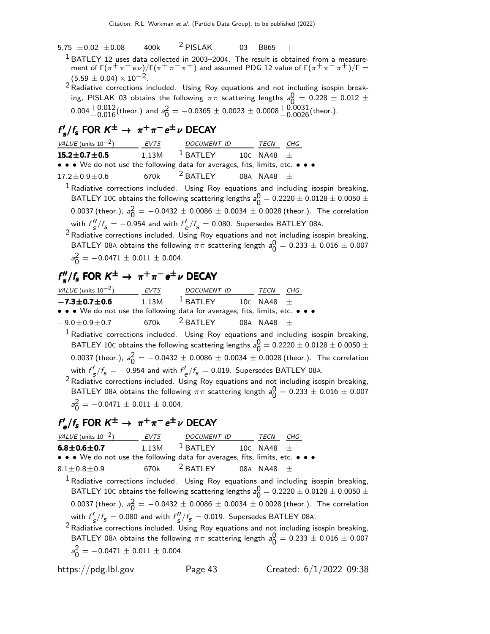- 5.75  $\pm$ 0.02  $\pm$ 0.08 + 400k  $^2$  PISLAK + 03 + B865
	- $1$  BATLEY 12 uses data collected in 2003–2004. The result is obtained from a measurement of Γ $(\pi^+\pi^-e\nu)/$ Γ $(\pi^+\pi^-\pi^+)$  and assumed PDG 12 value of Γ $(\pi^+\pi^-\pi^+)/$ Γ $=$  $(5.59 \pm 0.04) \times 10^{-2}$ .
	- $2$  Radiative corrections included. Using Roy equations and not including isospin breaking, PISLAK 03 obtains the following  $\pi\pi$  scattering lengths  $a^{\mathsf{O}}_0$  $0 = 0.228 \pm 0.012 \pm 0.022$  $0.004 + 0.012$  (theor.) and  $a_0^2$  $\frac{2}{0}$  = -0.0365  $\pm$  0.0023  $\pm$  0.0008 $\frac{+0.0031}{-0.0026}$ (theor.).

### $f'_{s}/f_{s}$  FOR  $K^{\pm}$  →  $π^{+}π^{-}e^{\pm}$ ν DECAY

| VALUE (units $10^{-2}$ ) EVTS DOCUMENT ID TECN CHG                                  |                                                                          |  |                                                                                                       |
|-------------------------------------------------------------------------------------|--------------------------------------------------------------------------|--|-------------------------------------------------------------------------------------------------------|
| $15.2 \pm 0.7 \pm 0.5$                                                              | $1.13\text{M}$ $^{\text{1}}$ BATLEY $^{\text{10C}}$ NA48 $^{\text{\pm}}$ |  |                                                                                                       |
| • • • We do not use the following data for averages, fits, limits, etc. • • •       |                                                                          |  |                                                                                                       |
| $17.2 \pm 0.9 \pm 0.6$ 670k <sup>2</sup> BATLEY 08A NA48 $\pm$                      |                                                                          |  |                                                                                                       |
|                                                                                     |                                                                          |  | <sup>1</sup> Radiative corrections included. Using Roy equations and including isospin breaking,      |
|                                                                                     |                                                                          |  | BATLEY 10C obtains the following scattering lengths $a_0^0 = 0.2220 \pm 0.0128 \pm 0.0050 \pm 0.0050$ |
|                                                                                     |                                                                          |  | 0.0037 (theor.), $a_0^2 = -0.0432 \pm 0.0086 \pm 0.0034 \pm 0.0028$ (theor.). The correlation         |
| with $f''_s/f_s = -0.954$ and with $f'_{\rho}/f_s = 0.080$ . Supersedes BATLEY 08A. |                                                                          |  |                                                                                                       |

 $2$  Radiative corrections included. Using Roy equations and not including isospin breaking, BATLEY 08A obtains the following  $\pi\pi$  scattering length  $a_0^0$  $\frac{0}{0} = 0.233 \pm 0.016 \pm 0.007$  $a<sub>0</sub>^2$  $\frac{2}{0}$  = -0.0471  $\pm$  0.011  $\pm$  0.004.

### $f''_{s}/f_{s}$  FOR  $K^{\pm} \rightarrow \pi^{+}\pi^{-}e^{\pm}\nu$  DECAY

| VALUE (units $10^{-2}$ )                                                      | EVTS                                                                                    | <i>DOCUMENT ID</i>                                          | <i>TECN</i> | CHG |  |
|-------------------------------------------------------------------------------|-----------------------------------------------------------------------------------------|-------------------------------------------------------------|-------------|-----|--|
| $-7.3 \pm 0.7 \pm 0.6$                                                        |                                                                                         | $1.13$ M $^{\text{1}}$ BATLEY $^{\text{10C}}$ NA48 $^{\pm}$ |             |     |  |
| • • • We do not use the following data for averages, fits, limits, etc. • • • |                                                                                         |                                                             |             |     |  |
| $-9.0 \pm 0.9 \pm 0.7$ 670k $^2$ BATLEY 08A NA48 $\pm$                        |                                                                                         |                                                             |             |     |  |
|                                                                               | $1$ Radiative corrections included. Using Roy equations and including isospin breaking, |                                                             |             |     |  |

BATLEY 10C obtains the following scattering lengths  $a_0^0$  $\frac{0}{0}$  = 0.2220  $\pm$  0.0128  $\pm$  0.0050  $\pm$ 0.0037 (theor.),  $a_0^2$  $\frac{2}{0}$  =  $-0.0432 \pm 0.0086 \pm 0.0034 \pm 0.0028$  (theor.). The correlation with  $f'_{\mathcal{S}}/f_{\mathcal{S}} = -0.954$  and with  $f'_{\mathcal{C}}/f_{\mathcal{S}} = 0.019$ . Supersedes BATLEY 08A.

 $2$  Radiative corrections included. Using Roy equations and not including isospin breaking, BATLEY 08A obtains the following  $\pi\pi$  scattering length  $a_0^0$  $\frac{0}{0} = 0.233 \pm 0.016 \pm 0.007$  $a<sub>0</sub>^2$  $\frac{2}{0}$  = -0.0471  $\pm$  0.011  $\pm$  0.004.

### $f'_e/f_s$  FOR  $K^{\pm} \rightarrow \pi^+\pi^-e^{\pm}\nu$  DECAY

| VALUE (units $10^{-2}$ ) EVTS DOCUMENT ID TECN CHG                                                                                                                                                                                                                                                                                                                             |  |  |  |  |
|--------------------------------------------------------------------------------------------------------------------------------------------------------------------------------------------------------------------------------------------------------------------------------------------------------------------------------------------------------------------------------|--|--|--|--|
| 6.8 $\pm$ 0.6 $\pm$ 0.7 1.13M $^1$ batley 10C na48 $\pm$                                                                                                                                                                                                                                                                                                                       |  |  |  |  |
| • • • We do not use the following data for averages, fits, limits, etc. • • •                                                                                                                                                                                                                                                                                                  |  |  |  |  |
| $8.1 \pm 0.8 \pm 0.9$ 670k $^2$ BATLEY 08A NA48 $\pm$                                                                                                                                                                                                                                                                                                                          |  |  |  |  |
| $1$ Radiative corrections included. Using Roy equations and including isospin breaking,<br>BATLEY 10C obtains the following scattering lengths $a_0^0 = 0.2220 \pm 0.0128 \pm 0.0050 \pm 0.0050$<br>0.0037 (theor.), $a_0^2 = -0.0432 \pm 0.0086 \pm 0.0034 \pm 0.0028$ (theor.). The correlation                                                                              |  |  |  |  |
| with $f'_{\mathbf{s}}/f_{\mathbf{s}} = 0.080$ and with $f''_{\mathbf{s}}/f_{\mathbf{s}} = 0.019$ . Supersedes BATLEY 08A.<br><sup>2</sup> Radiative corrections included. Using Roy equations and not including isospin breaking,<br>BATLEY 08A obtains the following $\pi\pi$ scattering length $a_0^0 = 0.233 \pm 0.016 \pm 0.007$<br>$a_0^2 = -0.0471 \pm 0.011 \pm 0.004.$ |  |  |  |  |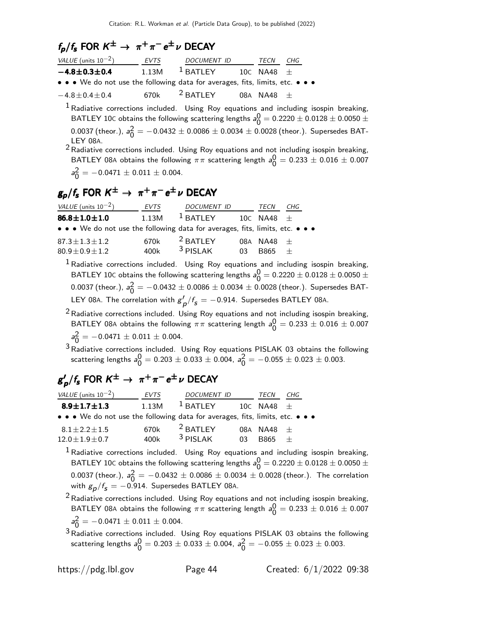### $f_p/f_s$  FOR  $K^{\pm} \rightarrow \pi^+\pi^-e^{\pm}\nu$  DECAY

| VALUE (units $10^{-2}$ )                                                      | <b>EVTS</b> | DOCUMENT ID |                | TECN           | CHG |  |
|-------------------------------------------------------------------------------|-------------|-------------|----------------|----------------|-----|--|
| $-4.8 \pm 0.3 \pm 0.4$                                                        | 1.13M       | $1$ BATLEY  | 10c NA48 $\pm$ |                |     |  |
| • • • We do not use the following data for averages, fits, limits, etc. • • • |             |             |                |                |     |  |
| $-4.8 \pm 0.4 \pm 0.4$                                                        | 670k        | $2$ BATLEY  |                | 08A NA48 $\pm$ |     |  |

 $1$  Radiative corrections included. Using Roy equations and including isospin breaking, BATLEY 10C obtains the following scattering lengths  $a_0^0$  $\frac{0}{0}$  = 0.2220  $\pm$  0.0128  $\pm$  0.0050  $\pm$ 0.0037 (theor.),  $a_0^2$  $\frac{2}{0}$   $=$   $-0.0432 \pm 0.0086 \pm 0.0034 \pm 0.0028$  (theor.). Supersedes BAT-LEY 08A.

2 Radiative corrections included. Using Roy equations and not including isospin breaking, BATLEY 08A obtains the following  $\pi\pi$  scattering length  $a_0^0$  $\frac{0}{0} = 0.233 \pm 0.016 \pm 0.007$  $a<sub>0</sub>^2$  $\frac{2}{0}$  = -0.0471  $\pm$  0.011  $\pm$  0.004.

### $\rm g_p/\rm f_s$  FOR  $\rm \rm K^{\pm} \rightarrow~\rm \pi^{+} \rm \pi^{-} e^{\pm} \rm \nu$  DECAY

| VALUE (units $10^{-2}$ )                                                      | <b>EVTS</b> | <b>DOCUMENT ID</b>  |     | TECN           | CHG |  |
|-------------------------------------------------------------------------------|-------------|---------------------|-----|----------------|-----|--|
| $86.8 \pm 1.0 \pm 1.0$                                                        | 1.13M       | $^1$ BATLEY         |     | 10c NA48 $\pm$ |     |  |
| • • • We do not use the following data for averages, fits, limits, etc. • • • |             |                     |     |                |     |  |
| $87.3 \pm 1.3 \pm 1.2$                                                        | 670k        | <sup>2</sup> BATLEY |     | 08A NA48 $\pm$ |     |  |
| $80.9 \pm 0.9 \pm 1.2$                                                        | 400k        | $3$ PISI AK         | 03. | <b>B865</b>    | $+$ |  |

 $1$  Radiative corrections included. Using Roy equations and including isospin breaking, BATLEY 10C obtains the following scattering lengths  $a_0^0$  $\frac{0}{0}$  = 0.2220  $\pm$  0.0128  $\pm$  0.0050  $\pm$ 0.0037 (theor.),  $a_0^2$  $\frac{2}{0}$   $=$   $-0.0432 \pm 0.0086 \pm 0.0034 \pm 0.0028$  (theor.). Supersedes BAT-LEY 08A. The correlation with  $g'_p/f_{\mathsf{s}}=-0.914$ . Supersedes BATLEY 08A.

 $2$ Radiative corrections included. Using Roy equations and not including isospin breaking, BATLEY 08A obtains the following  $\pi\pi$  scattering length  $a_0^0$  $\frac{0}{0} = 0.233 \pm 0.016 \pm 0.007$  $a<sub>0</sub>^2$  $\frac{2}{0}$  = -0.0471  $\pm$  0.011  $\pm$  0.004.

 $3$  Radiative corrections included. Using Roy equations PISLAK 03 obtains the following scattering lengths  $a^0_0$  $0\overline{0} = 0.203 \pm 0.033 \pm 0.004$ , a $\overline{0}$  $\frac{2}{0}$  = -0.055  $\pm$  0.023  $\pm$  0.003.

### $\mathsf{g}'_{\bm\rho}/\mathsf{f}_\mathsf{S}$  FOR  $\mathsf{K}^\pm \to~\pi^+\pi^-$ e $^{\pm}$ ν DECAY

| VALUE (units $10^{-2}$ )                                                      | <b>EVTS</b> | <b>DOCUMENT ID</b>  |    | TECN           | CHG |  |
|-------------------------------------------------------------------------------|-------------|---------------------|----|----------------|-----|--|
| $8.9 \pm 1.7 \pm 1.3$                                                         | 1.13M       | $1$ BATLEY          |    | 10C NA48 $\pm$ |     |  |
| • • • We do not use the following data for averages, fits, limits, etc. • • • |             |                     |    |                |     |  |
| $8.1 + 2.2 + 1.5$                                                             | 670k        | <sup>2</sup> BATLEY |    | 08A NA48 $+$   |     |  |
| $12.0 + 1.9 + 0.7$                                                            | 400k        | $3$ PISI AK         | 03 | <b>B865</b>    | $+$ |  |

 $<sup>1</sup>$  Radiative corrections included. Using Roy equations and including isospin breaking,</sup> BATLEY 10C obtains the following scattering lengths  $a_0^0$  $\frac{0}{0}$  = 0.2220  $\pm$  0.0128  $\pm$  0.0050  $\pm$ 0.0037 (theor.),  $a_0^2$  $\frac{2}{0} = -0.0432 \pm 0.0086 \pm 0.0034 \pm 0.0028$  (theor.). The correlation with  $g_{\boldsymbol{p}}/f_{\boldsymbol{s}}=-$  0.914. Supersedes BATLEY 08A.

 $2$  Radiative corrections included. Using Roy equations and not including isospin breaking, BATLEY 08A obtains the following  $\pi\pi$  scattering length  $a_0^0$  $\frac{0}{0} = 0.233 \pm 0.016 \pm 0.007$  $a<sub>0</sub>^2$  $\frac{2}{0}$  = -0.0471  $\pm$  0.011  $\pm$  0.004.

3Radiative corrections included. Using Roy equations PISLAK 03 obtains the following scattering lengths  $a^{\rm O}_{\rm O}$  $0\overline{0} = 0.203 \pm 0.033 \pm 0.004$ , a $\overline{0}$  $\frac{2}{0}$  = -0.055  $\pm$  0.023  $\pm$  0.003.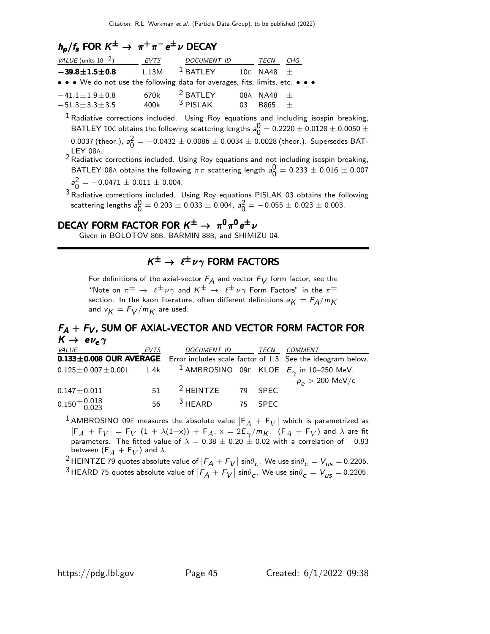### $h_p/f_s$  FOR  $K^{\pm} \rightarrow \pi^{+}\pi^{-}e^{\pm}\nu$  DECAY

| VALUE (units $10^{-2}$ )                                                      | <b>EVTS</b> | <b>DOCUMENT ID</b>  |    | TECN         | CHG |  |
|-------------------------------------------------------------------------------|-------------|---------------------|----|--------------|-----|--|
| $-39.8 \pm 1.5 \pm 0.8$                                                       | 1.13M       | $1$ BATLEY          |    | 10C NA48 $+$ |     |  |
| • • • We do not use the following data for averages, fits, limits, etc. • • • |             |                     |    |              |     |  |
| $-41.1 \pm 1.9 \pm 0.8$                                                       | 670k        | <sup>2</sup> BATLEY |    | 08A NA48 $+$ |     |  |
| $-51.3 \pm 3.3 \pm 3.5$                                                       | 400k        | $3$ PISI AK         | 03 | <b>B865</b>  | $+$ |  |

<sup>1</sup> Radiative corrections included. Using Roy equations and including isospin breaking, BATLEY 10C obtains the following scattering lengths  $a_0^0$  $\frac{0}{0} = 0.2220 \pm 0.0128 \pm 0.0050 \pm$ 0.0037 (theor.),  $a_0^2$  $\frac{2}{0}$   $=$   $-0.0432 \pm 0.0086 \pm 0.0034 \pm 0.0028$  (theor.). Supersedes BAT-LEY 08A.

 $2$ Radiative corrections included. Using Roy equations and not including isospin breaking, BATLEY 08A obtains the following  $\pi\pi$  scattering length  $a_0^0$  $\frac{0}{0} = 0.233 \pm 0.016 \pm 0.007$  $a<sub>0</sub>^2$ 

 $\frac{2}{0}$  = -0.0471  $\pm$  0.011  $\pm$  0.004.

 $3$  Radiative corrections included. Using Roy equations PISLAK 03 obtains the following scattering lengths  $a^0_0$  $\frac{0}{0} = 0.203 \pm 0.033 \pm 0.004$ , a $\frac{2}{0}$  $\frac{2}{0}$  = -0.055  $\pm$  0.023  $\pm$  0.003.

### DECAY FORM FACTOR FOR  $K^{\pm} \rightarrow \pi^0 \pi^0 e^{\pm} \nu$

Given in BOLOTOV 86B, BARMIN 88B, and SHIMIZU 04.

### $K^{\pm} \rightarrow \ell^{\pm} \nu \gamma$  form factors

For definitions of the axial-vector  $F_A$  and vector  $F_V$  form factor, see the "Note on  $\pi^{\pm} \to \ell^{\pm} \nu \gamma$  and  $K^{\pm} \to \ell^{\pm} \nu \gamma$  Form Factors" in the  $\pi^{\pm}$ section. In the kaon literature, often different definitions  $a_K = F_A/m_K$ and  $v_K = F_V/m_K$  are used.

#### $F_{\mathsf{A}} + F_{\mathsf{V}}$ , SUM OF AXIAL-VECTOR AND VECTOR FORM FACTOR FOR<br> $K \to e \nu_e \gamma$  $K \rightarrow e \nu_e \gamma$

| <i>VALUE</i>                                                                                 | <i>EVTS</i> | DOCUMENT ID TECN             |  | <i>COMMENT</i>                                                                      |
|----------------------------------------------------------------------------------------------|-------------|------------------------------|--|-------------------------------------------------------------------------------------|
|                                                                                              |             |                              |  | 0.133±0.008 OUR AVERAGE Error includes scale factor of 1.3. See the ideogram below. |
| $0.125 \pm 0.007 \pm 0.001$ 1.4k <sup>1</sup> AMBROSINO 09E KLOE $E_{\gamma}$ in 10-250 MeV, |             |                              |  |                                                                                     |
|                                                                                              |             |                              |  | $p_e > 200$ MeV/c                                                                   |
| $0.147 \pm 0.011$                                                                            | 51          | <sup>2</sup> HEINTZE 79 SPEC |  |                                                                                     |
| $0.150 + 0.018$<br>$-0.023$                                                                  | 56          | $3$ HEARD $3$ 75 SPEC        |  |                                                                                     |
|                                                                                              |             |                              |  |                                                                                     |

1 AMBROSINO 09E measures the absolute value  $\left| \mathsf{F}_A + \mathsf{F}_V \right|$  which is parametrized as  $|F_A + F_V| = F_V (1 + \lambda(1-x)) + F_A$ ,  $x = 2E_V/m_K$ .  $(F_A + F_V)$  and  $\lambda$  are fit parameters. The fitted value of  $\lambda = 0.38 \pm 0.20 \pm 0.02$  with a correlation of  $-0.93$ between  $(\mathsf{F}_A+\mathsf{F}_V)$  and  $\lambda.$ 

<sup>2</sup> HEINTZE 79 quotes absolute value of  $|F_A + F_V| \sin\theta_c$ . We use  $\sin\theta_c = V_{US} = 0.2205$ . <sup>3</sup>HEARD 75 quotes absolute value of  $|F_A + F_V| \sin\theta_c$ . We use  $\sin\theta_c = V_{US} = 0.2205$ .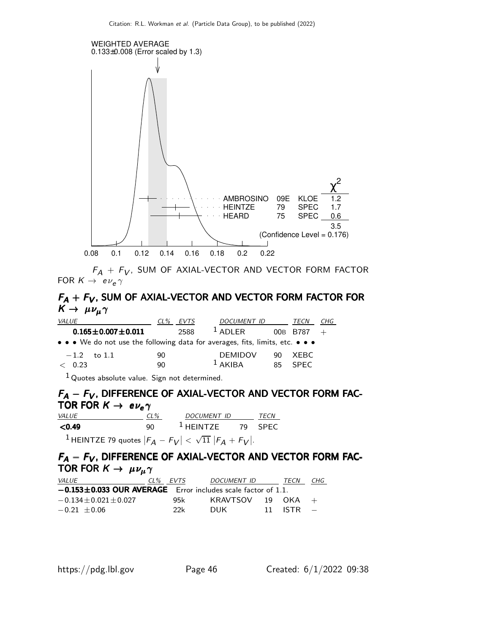

 $F_A + F_V$ , SUM OF AXIAL-VECTOR AND VECTOR FORM FACTOR FOR  $\mathsf{K}\to\;$  e $\nu_{\bm{e}}\gamma$ 

#### $F_{\mathcal{A}} + F_{\mathcal{V}}$ , SUM OF AXIAL-VECTOR AND VECTOR FORM FACTOR FOR<br> $K \rightarrow \mu \nu_{\mu} \gamma$  $K \to \mu \nu_\mu \gamma$

| <i>VALUE</i>                                                                  | $CL\%$<br>EVTS                                          | DOCUMENT ID    |     | TECN         | CHG |
|-------------------------------------------------------------------------------|---------------------------------------------------------|----------------|-----|--------------|-----|
| $0.165 \pm 0.007 \pm 0.011$                                                   | 2588                                                    | $1$ ADLER      |     | 00B B787 $+$ |     |
| • • • We do not use the following data for averages, fits, limits, etc. • • • |                                                         |                |     |              |     |
| $-1.2$ to 1.1                                                                 | 90                                                      | <b>DEMIDOV</b> | 90. | XEBC         |     |
| < 0.23                                                                        | 90                                                      | $1$ AKIBA      |     | 85 SPEC      |     |
| 1.                                                                            | $\sim$ $\sim$ $\sim$ $\sim$ $\sim$ $\sim$ $\sim$ $\sim$ |                |     |              |     |

<sup>1</sup> Quotes absolute value. Sign not determined.

#### $F_A - F_V$ , DIFFERENCE OF AXIAL-VECTOR AND VECTOR FORM FAC- $\frac{\textsf{r}_\mathsf{A}-\textsf{r}_\mathsf{V}}{\textsf{TOR K}} \to \frac{\textsf{e}_\mathsf{V}}{\textsf{e}_\mathsf{V}}$ <u>VALUE CL% DOCUMENT ID TECN</u>

 $\leq$ 0.49 90 <sup>1</sup> HEINTZE 79 SPEC  $^1$ HEINTZE 79 quotes  $\left|F_A-F_V\right|<\sqrt{11}\left|F_A+F_V\right|.$ 

### $F_A - F_V$ , DIFFERENCE OF AXIAL-VECTOR AND VECTOR FORM FAC-<br>TOR FOR  $K \to \mu \nu_\mu \gamma$ TOR FOR  $K \to \mu \nu_{\mu} \gamma$

| <i>VALUE</i>                                                       | CL% EVTS | DOCUMENT ID | TECN          | CHG |
|--------------------------------------------------------------------|----------|-------------|---------------|-----|
| $-0.153 \pm 0.033$ OUR AVERAGE Error includes scale factor of 1.1. |          |             |               |     |
| $-0.134 + 0.021 + 0.027$                                           | 95k      | KRAVTSOV    | 19 OKA        |     |
| $-0.21 + 0.06$                                                     | 22k      | DUK.        | $11$ ISTR $-$ |     |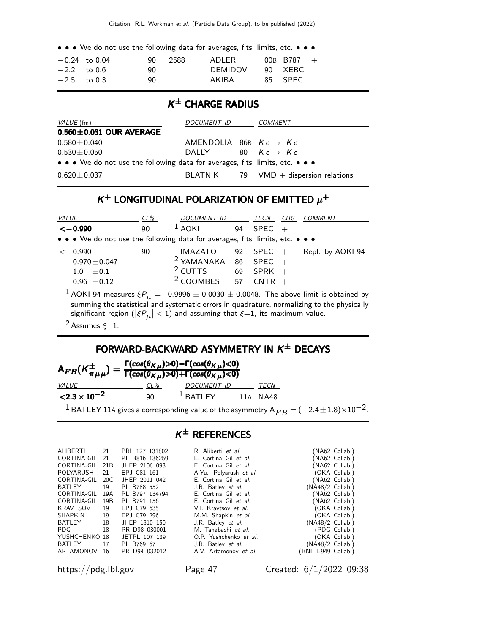• • • We do not use the following data for averages, fits, limits, etc. • • •

|               | $-0.24$ to $0.04$ | 90. | - 2588 | ADLER          | 00B B787 $+$ |  |
|---------------|-------------------|-----|--------|----------------|--------------|--|
| $-2.2$ to 0.6 |                   | 90. |        | <b>DEMIDOV</b> | 90 XEBC      |  |
| $-2.5$ to 0.3 |                   | 90. |        | AKIBA          | 85 SPEC      |  |

#### K ± CHARGE RADIUS

| VALUE (fm)                                                                    | DOCUMENT ID                       | COMMENT                                 |
|-------------------------------------------------------------------------------|-----------------------------------|-----------------------------------------|
| $0.560 \pm 0.031$ OUR AVERAGE                                                 |                                   |                                         |
| $0.580 \pm 0.040$                                                             | AMENDOLIA 86B $Ke \rightarrow Ke$ |                                         |
| $0.530 \pm 0.050$                                                             | DALLY                             | 80 $Ke \rightarrow Ke$                  |
| • • • We do not use the following data for averages, fits, limits, etc. • • • |                                   |                                         |
| $0.620 \pm 0.037$                                                             |                                   | $BLATNIK$ 79 VMD + dispersion relations |

#### $K^+$  LONGITUDINAL POLARIZATION OF EMITTED  $\mu^+$

| <b>VALUE</b>                                                                  | $CL\%$ | DOCUMENT ID                                                                                 |    | TECN        | CHG | <b>COMMENT</b>                                                                                           |
|-------------------------------------------------------------------------------|--------|---------------------------------------------------------------------------------------------|----|-------------|-----|----------------------------------------------------------------------------------------------------------|
| $\leftarrow$ 0.990                                                            | 90     | $1$ AOKI                                                                                    | 94 | <b>SPEC</b> |     |                                                                                                          |
| • • • We do not use the following data for averages, fits, limits, etc. • • • |        |                                                                                             |    |             |     |                                                                                                          |
| $<-0.990$                                                                     | 90     | IMAZATO                                                                                     |    | 92 SPEC $+$ |     | Repl. by AOKI 94                                                                                         |
| $-0.970 \pm 0.047$                                                            |        | $2$ YAMANAKA 86                                                                             |    | $SPEC +$    |     |                                                                                                          |
| $-1.0 \pm 0.1$                                                                |        | $2$ CUTTS 69 SPRK +                                                                         |    |             |     |                                                                                                          |
| $-0.96 \pm 0.12$                                                              |        | $2$ COOMBES 57 CNTR +                                                                       |    |             |     |                                                                                                          |
|                                                                               |        |                                                                                             |    |             |     | $^1$ AOKI 94 measures $\xi P_\mu =$ $-$ 0.9996 $\pm$ 0.0030 $\pm$ 0.0048. The above limit is obtained by |
|                                                                               |        |                                                                                             |    |             |     | summing the statistical and systematic errors in quadrature, normalizing to the physically               |
|                                                                               |        | significant region ( $ \xi P_{\mu}  < 1$ ) and assuming that $\xi = 1$ , its maximum value. |    |             |     |                                                                                                          |

<sup>2</sup> Assumes  $\xi = 1$ .

#### FORWARD-BACKWARD ASYMMETRY IN  $K^{\pm}$  DECAYS

| $\mathsf{A}_{FB}(\mathsf{K}_{\pi\,\mu\,\mu}^{\pm})=\frac{\Gamma(cos(\theta_{\mathsf{K}\,\mu})>0)-\Gamma(cos(\theta_{\mathsf{K}\,\mu})<0)}{\Gamma(cos(\theta_{\mathsf{K}\,\mu})>0)+\Gamma(cos(\theta_{\mathsf{K}\,\mu})<0)}$ |     |                    |             |
|-----------------------------------------------------------------------------------------------------------------------------------------------------------------------------------------------------------------------------|-----|--------------------|-------------|
| <i>VALUE</i>                                                                                                                                                                                                                | CL% | <i>DOCUMENT ID</i> | <i>TECN</i> |
| $\langle 2.3 \times 10^{-2} \rangle$                                                                                                                                                                                        | 90  | $1$ BATLEY         | 11A NA48    |

<sup>1</sup> BATLEY 11A gives a corresponding value of the asymmetry  $A_{FB} = (-2.4 \pm 1.8) \times 10^{-2}$ .

#### $K^{\pm}$  References

| ALIBERTI       | 21   | PRL 127 131802 | R. Aliberti et al.     |                    | (NA62 Collab.) |
|----------------|------|----------------|------------------------|--------------------|----------------|
| CORTINA-GIL 21 |      | PL B816 136259 | E. Cortina Gil et al.  |                    | (NA62 Collab.) |
| CORTINA-GIL    | 21B  | JHEP 2106 093  | E. Cortina Gil et al.  |                    | (NA62 Collab.) |
| POLYARUSH      | - 21 | EPJ C81 161    | A.Yu. Polyarush et al. |                    | (OKA Collab.)  |
| CORTINA-GIL    | 20C  | JHEP 2011 042  | E. Cortina Gil et al.  |                    | (NA62 Collab.) |
| BATLEY         | 19   | PL B788 552    | J.R. Batley et al.     | (NA48/2 Collab.)   |                |
| CORTINA-GIL    | 19A  | PL B797 134794 | E. Cortina Gil et al.  |                    | (NA62 Collab.) |
| CORTINA-GIL    | 19B  | PL B791 156    | E. Cortina Gil et al.  |                    | (NA62 Collab.) |
| KRAVTSOV       | 19   | EPJ C79 635    | V.I. Kravtsov et al.   |                    | (OKA Collab.)  |
| <b>SHAPKIN</b> | 19   | EPJ C79 296    | M.M. Shapkin et al.    |                    | (OKA Collab.)  |
| BATLEY         | 18   | JHEP 1810 150  | J.R. Batley et al.     | $(NA48/2$ Collab.) |                |
| PDG.           | 18   | PR D98 030001  | M. Tanabashi et al.    |                    | (PDG Collab.)  |
| YUSHCHENKO 18  |      | JETPL 107 139  | O.P. Yushchenko et al. |                    | (OKA Collab.)  |
| <b>BATLEY</b>  | 17   | PL B769 67     | J.R. Batley et al.     | $(NA48/2$ Collab.) |                |
| ARTAMONOV      | 16   | PR D94 032012  | A.V. Artamonov et al.  | BNL E949 Collab.)  |                |
|                |      |                |                        |                    |                |

https://pdg.lbl.gov Page 47 Created: 6/1/2022 09:38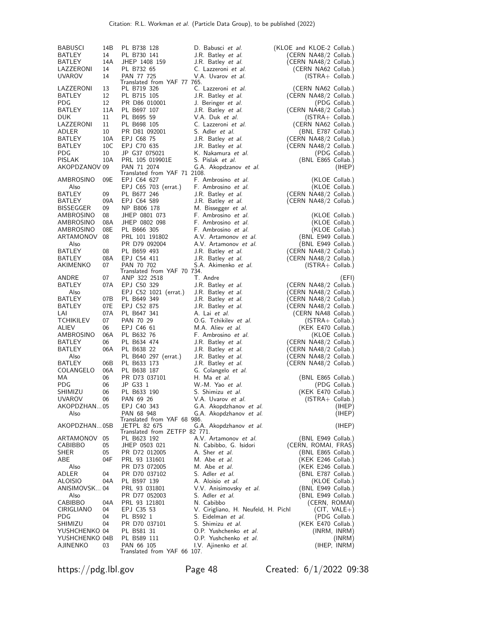| <b>BABUSCI</b>     | 14B | PL B738 128                   | D. Babusci et al.                   | (KLOE and KLOE-2 Collab.) |
|--------------------|-----|-------------------------------|-------------------------------------|---------------------------|
| BATLEY             | 14  | PL B730 141                   | J.R. Batley et al.                  | (CERN NA48/2 Collab.)     |
| BATLEY             | 14A | JHEP 1408 159                 | J.R. Batley et al.                  | (CERN NA48/2 Collab.)     |
| LAZZERONI          | 14  | PL B732 65                    | C. Lazzeroni et al.                 |                           |
| <b>UVAROV</b>      | 14  | PAN 77 725                    |                                     | (CERN NA62 Collab.)       |
|                    |     | Translated from YAF 77 765.   | V.A. Uvarov et al.                  | $(ISTRA + Collab.)$       |
| LAZZERONI          | 13  | PL B719 326                   | C. Lazzeroni et al.                 | (CERN NA62 Collab.)       |
| BATLEY             | 12  | PL B715 105                   | J.R. Batley et al.                  | (CERN NA48/2 Collab.)     |
| PDG.               | 12  | PR D86 010001                 | J. Beringer et al.                  | (PDG Collab.)             |
| BATLEY             | 11A | PL B697 107                   |                                     |                           |
|                    |     |                               | J.R. Batley et al.                  | (CERN NA48/2 Collab.)     |
| <b>DUK</b>         | 11  | PL B695 59                    | V.A. Duk et al.                     | $(ISTRA + Collab.)$       |
| LAZZERONI          | 11  | PL B698 105                   | C. Lazzeroni et al.                 | (CERN NA62 Collab.)       |
| ADLER              | 10  | PR D81 092001                 | S. Adler et al.                     | (BNL E787 Collab.)        |
| <b>BATLEY</b>      | 10A | EPJ C68 75                    | J.R. Batley <i>et al.</i>           | (CERN NA48/2 Collab.)     |
| BATLEY             | 10C | EPJ C70 635                   | J.R. Batley <i>et al.</i>           | (CERN NA48/2 Collab.)     |
| <b>PDG</b>         | 10  | JP G37 075021                 | K. Nakamura et al.                  | (PDG Collab.)             |
| <b>PISLAK</b>      | 10A | PRL 105 019901E               | S. Pislak <i>et al.</i>             | (BNL E865 Collab.)        |
| AKOPDZANOV 09      |     | PAN 71 2074                   | G.A. Akopdzanov et al.              | (IHEP)                    |
|                    |     | Translated from YAF 71 2108.  |                                     |                           |
| AMBROSINO          | 09E | EPJ C64 627                   | F. Ambrosino et al.                 | (KLOE Collab.)            |
| Also               |     | EPJ C65 703 (errat.)          | F. Ambrosino et al.                 | (KLOE Collab.)            |
| BATLEY             | 09  | PL B677 246                   | J.R. Batley <i>et al.</i>           | (CERN NA48/2 Collab.)     |
| BATLEY             | 09A | EPJ C64 589                   | J.R. Batley et al.                  | (CERN NA48/2 Collab.)     |
| <b>BISSEGGER</b>   | 09  | NP B806 178                   | M. Bissegger et al.                 |                           |
| AMBROSINO          | 08  | JHEP 0801 073                 | F. Ambrosino et al.                 | (KLOE Collab.)            |
| AMBROSINO          | 08A | JHEP 0802 098                 | F. Ambrosino et al.                 | (KLOE Collab.)            |
| AMBROSINO          | 08E | PL B666 305                   | F. Ambrosino et al.                 | (KLOE Collab.)            |
| ARTAMONOV          | 08  | PRL 101 191802                | A.V. Artamonov et al.               | (BNL E949 Collab.)        |
| Also               |     | PR D79 092004                 | A.V. Artamonov et al.               | (BNL E949 Collab.)        |
| BATLEY             | 08  | PL B659 493                   |                                     |                           |
|                    |     | EPJ C54 411                   | J.R. Batley et al.                  | (CERN NA48/2 Collab.)     |
| BATLEY<br>AKIMENKO | 08A | PAN 70 702                    | J.R. Batley <i>et al.</i>           | (CERN NA48/2 Collab.)     |
|                    | 07  | Translated from YAF 70 734.   | S.A. Akimenko et al.                | $(ISTRA + Collab.)$       |
| ANDRE              | 07  | ANP 322 2518                  | T. Andre                            | (EFI)                     |
| BATLEY             | 07A | EPJ C50 329                   | J.R. Batley <i>et al.</i>           | (CERN NA48/2 Collab.)     |
| Also               |     |                               |                                     |                           |
|                    |     | EPJ C52 1021 (errat.)         | J.R. Batley <i>et al.</i>           | (CERN NA48/2 Collab.)     |
| BATLEY             | 07B | PL B649 349                   | J.R. Batley <i>et al.</i>           | (CERN NA48/2 Collab.)     |
| BATLEY             | 07E | EPJ C52 875                   | J.R. Batley et al.                  | (CERN NA48/2 Collab.)     |
| LAI                | 07A | PL B647 341                   | A. Lai et al.                       | (CERN NA48 Collab.)       |
| <b>TCHIKILEV</b>   | 07  | PAN 70 29                     | O.G. Tchikilev et al.               | $(ISTRA + Collab.)$       |
| ALIEV              | 06  | EPJ C46 61                    | M.A. Aliev et al.                   | (KEK E470 Collab.)        |
| AMBROSINO          | 06A | PL B632 76                    | F. Ambrosino et al.                 | (KLOE Collab.)            |
| BATLEY             | 06  | PL B634 474                   | J.R. Batley <i>et al.</i>           | (CERN NA48/2 Collab.)     |
| BATLEY             | 06A | PL B638 22                    | J.R. Batley <i>et al.</i>           | (CERN NA48/2 Collab.)     |
| Also               |     | PL B640 297 (errat.)          | J.R. Batley <i>et al.</i>           | (CERN NA48/2 Collab.)     |
| BATLEY             | 06B | PL B633 173                   | J.R. Batley <i>et al.</i>           | (CERN NA48/2 Collab.)     |
| COLANGELO          | 06A | PL B638 187                   | G. Colangelo et al.                 |                           |
| MA.                | 06  | PR D73 037101                 | H. Ma et al.                        | (BNL E865 Collab.)        |
| PDG.               | 06  | JP G33 1                      | W.-M. Yao et al.                    | (PDG Collab.)             |
| SHIMIZU            | 06  | PL B633 190                   | S. Shimizu et al.                   | (KEK E470 Collab.)        |
| <b>UVAROV</b>      | 06  | PAN 69 26                     | V.A. Uvarov et al.                  | $(ISTRA + Collab.)$       |
| AKOPDZHAN05        |     | EPJ C40 343                   | G.A. Akopdzhanov et al.             | (IHEP)                    |
| Also               |     | PAN 68 948                    | G.A. Akopdzhanov et al.             | (IHEP)                    |
|                    |     | Translated from YAF 68 986.   |                                     |                           |
| AKOPDZHAN 05B      |     | JETPL 82 675                  | G.A. Akopdzhanov et al.             | (IHEP)                    |
|                    |     | Translated from ZETFP 82 771. |                                     |                           |
| ARTAMONOV          | 05  | PL B623 192                   | A.V. Artamonov et al.               | (BNL E949 Collab.)        |
| <b>CABIBBO</b>     | 05  | JHEP 0503 021                 | N. Cabibbo, G. Isidori              | (CERN, ROMAI, FRAS)       |
| SHER               | 05  | PR D72 012005                 | A. Sher et al.                      | (BNL E865 Collab.)        |
| ABE                | 04F | PRL 93 131601                 | M. Abe <i>et al.</i>                | (KEK E246 Collab.)        |
| Also               |     | PR D73 072005                 | M. Abe <i>et al.</i>                | (KEK E246 Collab.)        |
| ADLER              | 04  | PR D70 037102                 | S. Adler <i>et al.</i>              | (BNL E787 Collab.)        |
| ALOISIO            | 04A | PL B597 139                   | A. Aloisio et al.                   | (KLOE Collab.)            |
| ANISIMOVSK 04      |     | PRL 93 031801                 | V.V. Anisimovsky et al.             | (BNL E949 Collab.)        |
| Also               |     | PR D77 052003                 | S. Adler et al.                     | (BNL E949 Collab.)        |
| CABIBBO            | 04A | PRL 93 121801                 | N. Cabibbo                          | (CERN, ROMAI)             |
| CIRIGLIANO         | 04  | EPJ C35 53                    | V. Cirigliano, H. Neufeld, H. Pichl | $(CIT, VALE+)$            |
| <b>PDG</b>         | 04  | PL B592 1                     | S. Eidelman <i>et al.</i>           | (PDG Collab.)             |
| SHIMIZU            | 04  | PR D70 037101                 | S. Shimizu et al.                   | (KEK E470 Collab.)        |
| YUSHCHENKO 04      |     | PL B581 31                    | O.P. Yushchenko et al.              | (INRM, INRM)              |
| YUSHCHENKO 04B     |     | PL B589 111                   | O.P. Yushchenko et al.              | (INRM)                    |
| AJINENKO           | 03  | PAN 66 105                    | I.V. Ajinenko et al.                | (IHEP, INRM)              |
|                    |     | Translated from YAF 66 107.   |                                     |                           |
|                    |     |                               |                                     |                           |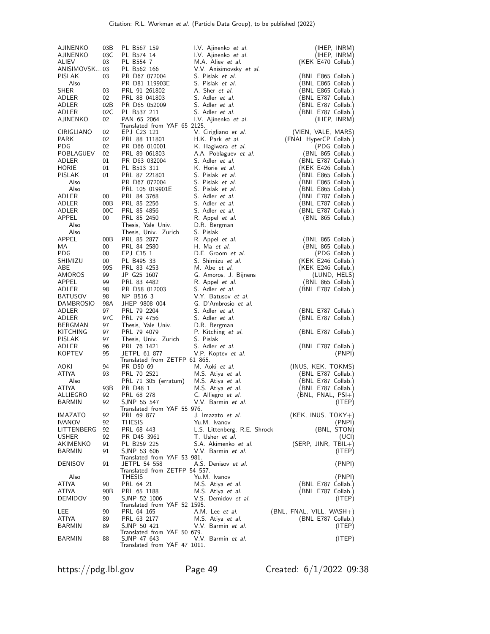| AJINENKO<br>AJINENKO<br>ALIEV<br>ANISIMOVSK 03<br>PISLAK<br>Also | 03B<br>03C<br>03<br>03           | PL B567 159<br>PL B574 14<br>PL B554 7<br>PL B562 166<br>PR D67 072004<br>PR D81 119903E                      | I.V. Ajinenko et al.<br>I.V. Ajinenko et al.<br>M.A. Aliev et al.<br>V.V. Anisimovsky et al.<br>S. Pislak et al.<br>S. Pislak et al. | (IHEP, INRM)<br>(IHEP, INRM)<br>(KEK E470 Collab.)<br>(BNL E865 Collab.)<br>(BNL E865 Collab.)       |
|------------------------------------------------------------------|----------------------------------|---------------------------------------------------------------------------------------------------------------|--------------------------------------------------------------------------------------------------------------------------------------|------------------------------------------------------------------------------------------------------|
| <b>SHER</b><br>ADLER<br>ADLER<br>ADLER<br>AJINENKO               | 03<br>$02\,$<br>02B<br>02C<br>02 | PRL 91 261802<br>PRL 88 041803<br>PR D65 052009<br>PL B537 211<br>PAN 65 2064<br>Translated from YAF 65 2125. | A. Sher et al.<br>S. Adler et al.<br>S. Adler et al.<br>S. Adler <i>et al.</i><br>I.V. Ajinenko et al.                               | (BNL E865 Collab.)<br>(BNL E787 Collab.)<br>(BNL E787 Collab.)<br>(BNL E787 Collab.)<br>(IHEP, INRM) |
| CIRIGLIANO<br>PARK<br>PDG.                                       | 02<br>02<br>02                   | EPJ C23 121<br>PRL 88 111801<br>PR D66 010001                                                                 | V. Cirigliano et al.<br>H.K. Park et al.<br>K. Hagiwara et al.                                                                       | (VIEN, VALE, MARS)<br>(FNAL HyperCP Collab.)<br>(PDG Collab.)                                        |
| POBLAGUEV<br>ADLER<br>HORIE                                      | 02<br>01<br>01                   | PRL 89 061803<br>PR D63 032004<br>PL B513 311                                                                 | A.A. Poblaguev et al.<br>S. Adler <i>et al.</i><br>K. Horie <i>et al.</i>                                                            | (BNL 865 Collab.)<br>(BNL E787 Collab.)<br>(KEK E426 Collab.)                                        |
| <b>PISLAK</b><br>Also<br>Also<br>ADLER                           | 01<br>00                         | PRL 87 221801<br>PR D67 072004<br>PRL 105 019901E<br>PRL 84 3768                                              | S. Pislak et al.<br>S. Pislak et al.<br>S. Pislak et al.<br>S. Adler et al.                                                          | (BNL E865 Collab.)<br>(BNL E865 Collab.)<br>(BNL E865 Collab.)<br>(BNL E787 Collab.)                 |
| ADLER<br>ADLER<br>APPEL                                          | 00B<br>00C<br>$00\,$             | PRL 85 2256<br>PRL 85 4856<br>PRL 85 2450                                                                     | S. Adler et al.<br>S. Adler et al.<br>R. Appel <i>et al.</i>                                                                         | (BNL E787 Collab.)<br>(BNL E787 Collab.)<br>(BNL 865 Collab.)                                        |
| Also<br>Also<br>APPEL<br>MA.                                     | 00B<br>00                        | Thesis, Yale Univ.<br>Thesis, Univ. Zurich<br>PRL 85 2877<br>PRL 84 2580                                      | D.R. Bergman<br>S. Pislak<br>R. Appel <i>et al.</i><br>H. Ma et al.                                                                  | (BNL 865 Collab.)<br>(BNL 865 Collab.)                                                               |
| <b>PDG</b><br>SHIMIZU<br>ABE                                     | 00<br>00<br>99S<br>99            | EPJ C15 1<br>PL B495 33<br>PRL 83 4253                                                                        | D.E. Groom et al.<br>S. Shimizu et al.<br>M. Abe <i>et al.</i><br>G. Amoros, J. Bijnens                                              | (PDG Collab.)<br>(KEK E246 Collab.)<br>(KEK E246 Collab.)                                            |
| AMOROS<br>APPEL<br>ADLER<br><b>BATUSOV</b>                       | 99<br>98<br>98                   | JP G25 1607<br>PRL 83 4482<br>PR D58 012003<br>NP B516 3                                                      | R. Appel <i>et al.</i><br>S. Adler <i>et al.</i><br>V.Y. Batusov et al.                                                              | (LUND, HELS)<br>(BNL 865 Collab.)<br>(BNL E787 Collab.)                                              |
| <b>DAMBROSIO</b><br>ADLER<br>ADLER<br><b>BERGMAN</b>             | 98A<br>97<br>97 C<br>97          | JHEP 9808 004<br>PRL 79 2204<br>PRL 79 4756<br>Thesis, Yale Univ.                                             | G. D'Ambrosio et al.<br>S. Adler et al.<br>S. Adler et al.<br>D.R. Bergman                                                           | (BNL E787 Collab.)<br>(BNL E787 Collab.)                                                             |
| KITCHING<br>PISLAK<br>ADLER                                      | 97<br>97<br>96                   | PRL 79 4079<br>Thesis, Univ. Zurich<br>PRL 76 1421                                                            | P. Kitching et al.<br>S. Pislak<br>S. Adler et al.                                                                                   | (BNL E787 Collab.)<br>(BNL E787 Collab.)                                                             |
| KOPTEV<br>AOKI                                                   | 95<br>94                         | JETPL 61 877<br>Translated from ZETFP 61 865.<br>PR D50 69                                                    | V.P. Koptev et al.<br>M. Aoki <i>et al.</i>                                                                                          | (PNPI)<br>(INUS, KEK, TOKMS)                                                                         |
| ATIYA<br>Also<br>ATIYA                                           | 93<br>93B                        | PRL 70 2521<br>PRL 71 305 (erratum)<br>PR D48 1                                                               | M.S. Atiya et al.<br>M.S. Atiya <i>et al.</i><br>M.S. Atiya <i>et al.</i>                                                            | (BNL E787 Collab.)<br>(BNL E787 Collab.)<br>(BNL E787 Collab.)                                       |
| ALLIEGRO<br><b>BARMIN</b><br><b>IMAZATO</b>                      | 92<br>92<br>92                   | PRL 68 278<br>SJNP 55 547<br>Translated from YAF 55 976.<br>PRL 69 877                                        | C. Alliegro et al.<br>V.V. Barmin et al.<br>J. Imazato <i>et al.</i>                                                                 | $(BNL, FNAL, PSI+)$<br>(ITER)<br>$(KEK, INUS, TOKY+)$                                                |
| <b>IVANOV</b><br>LITTENBERG<br><b>USHER</b>                      | 92<br>92<br>92                   | <b>THESIS</b><br>PRL 68 443<br>PR D45 3961                                                                    | Yu.M. Ivanov<br>L.S. Littenberg, R.E. Shrock<br>T. Usher <i>et al.</i>                                                               | (PNPI)<br>(BNL, STON)<br>(UCI)                                                                       |
| AKIMENKO<br><b>BARMIN</b>                                        | 91<br>91                         | PL B259 225<br>SJNP 53 606<br>Translated from YAF 53 981.                                                     | S.A. Akimenko <i>et al.</i><br>V.V. Barmin et al.                                                                                    | $(SERP, JINR, TBIL+)$<br>(ITER)                                                                      |
| DENISOV<br>Also                                                  | 91                               | JETPL 54 558<br>Translated from ZETFP 54 557.<br><b>THESIS</b>                                                | A.S. Denisov et al.<br>Yu.M. Ivanov                                                                                                  | (PNPI)<br>(PNPI)                                                                                     |
| ATIYA<br>ATIYA<br>DEMIDOV                                        | 90<br>90B<br>90                  | PRL 64 21<br>PRL 65 1188<br>SJNP 52 1006<br>Translated from YAF 52 1595.                                      | M.S. Atiya et al.<br>M.S. Atiya et al.<br>V.S. Demidov et al.                                                                        | (BNL E787 Collab.)<br>(BNL E787 Collab.)<br>(ITEP)                                                   |
| LEE.<br>ATIYA<br><b>BARMIN</b>                                   | 90<br>89<br>89                   | PRL 64 165<br>PRL 63 2177<br>SJNP 50 421                                                                      | A.M. Lee et al.<br>M.S. Atiya <i>et al.</i><br>V.V. Barmin et al.                                                                    | $(BNL, FNAL, VILL, WASH+)$<br>(BNL E787 Collab.)<br>(ITER)                                           |
| BARMIN                                                           | 88                               | Translated from YAF 50 679.<br>SJNP 47 643<br>Translated from YAF 47 1011.                                    | V.V. Barmin et al.                                                                                                                   | (ITEP)                                                                                               |

https://pdg.lbl.gov Page 49 Created: 6/1/2022 09:38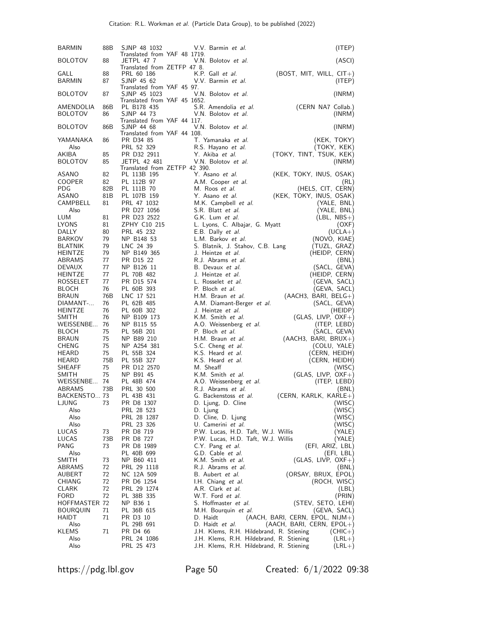| <b>BARMIN</b>                    | 88B        | SJNP 48 1032                                                               | V.V. Barmin et al.                                                       | (ITER)                                                       |
|----------------------------------|------------|----------------------------------------------------------------------------|--------------------------------------------------------------------------|--------------------------------------------------------------|
| <b>BOLOTOV</b>                   | 88         | Translated from YAF 48 1719.<br>JETPL 47 7<br>Translated from ZETFP 47 8.  | V.N. Bolotov et al.                                                      | (ASCI)                                                       |
| GALL<br><b>BARMIN</b>            | 88<br>87   | PRL 60 186<br>SJNP 45 62                                                   | K.P. Gall et al.<br>V.V. Barmin et al.                                   | $(BOST, MIT, WILL, CIT+)$<br>(ITEP)                          |
| <b>BOLOTOV</b>                   | 87         | Translated from YAF 45 97.<br>SJNP 45 1023<br>Translated from YAF 45 1652. | V.N. Bolotov et al.                                                      | (INRM)                                                       |
| AMENDOLIA<br><b>BOLOTOV</b>      | 86B<br>86  | PL B178 435<br>SJNP 44 73                                                  | S.R. Amendolia et al.<br>V.N. Bolotov et al.                             | (CERN NA7 Collab.)<br>(INRM)                                 |
| <b>BOLOTOV</b>                   | 86B        | Translated from YAF 44 117.<br>SJNP 44 68<br>Translated from YAF 44 108.   | V.N. Bolotov et al.                                                      | (INRM)                                                       |
| YAMANAKA<br>Also                 | 86         | PR D34 85<br>PRL 52 329                                                    | T. Yamanaka et al.<br>R.S. Hayano et al.                                 | (KEK, TOKY)<br>(TOKY, KEK)                                   |
| AKIBA<br><b>BOLOTOV</b>          | 85<br>85   | PR D32 2911<br>JETPL 42 481<br>Translated from ZETFP 42 390.               | Y. Akiba et al.<br>V.N. Bolotov et al.                                   | (TOKY, TINT, TSUK, KEK)<br>(INRM)                            |
| ASANO<br><b>COOPER</b>           | 82<br>82   | PL 113B 195<br>PL 112B 97                                                  | Y. Asano et al.<br>A.M. Cooper et al.                                    | (KEK, TOKY, INUS, OSAK)<br>(RL)                              |
| PDG.<br>ASANO                    | 82B<br>81B | PL 111B 70<br>PL 107B 159                                                  | M. Roos et al.<br>Y. Asano et al.                                        | (HELS, CIT, CERN)<br>(KEK, TOKY, INUS, OSAK)                 |
| CAMPBELL                         | 81         | PRL 47 1032                                                                | M.K. Campbell et al.                                                     | (YALE, BNL)                                                  |
| Also                             |            | PR D27 1056                                                                | S.R. Blatt et al.                                                        | (YALE, BNL)                                                  |
| LUM<br>LYONS                     | 81<br>81   | PR D23 2522<br>ZPHY C10 215                                                | G.K. Lum et al.<br>L. Lyons, C. Albajar, G. Myatt                        | $(EBL, NBS+)$<br>(OXF)                                       |
| DALLY                            | 80         | PRL 45 232                                                                 | E.B. Dally et al.                                                        | $(UCLA+)$                                                    |
| <b>BARKOV</b>                    | 79         | NP B148 53                                                                 | L.M. Barkov et al.                                                       | (NOVO, KIAE)                                                 |
| <b>BLATNIK</b><br><b>HEINTZE</b> | 79<br>79   | LNC 24 39<br>NP B149 365                                                   | S. Blatnik, J. Stahov, C.B. Lang<br>J. Heintze <i>et al.</i>             | (TUZL, GRAZ)<br>(HEIDP, CERN)                                |
| ABRAMS                           | 77         | PR D15 22                                                                  | R.J. Abrams et al.                                                       | (BNL)                                                        |
| <b>DEVAUX</b>                    | 77         | NP B126 11                                                                 | B. Devaux et al.                                                         | (SACL, GEVA)                                                 |
| <b>HEINTZE</b><br>ROSSELET       | 77<br>77   | PL 70B 482<br>PR D15 574                                                   | J. Heintze <i>et al.</i><br>L. Rosselet et al.                           | (HEIDP, CERN)<br>(GEVA, SACL)                                |
| <b>BLOCH</b>                     | 76         | PL 60B 393                                                                 | P. Bloch et al.                                                          | (GEVA, SACL)                                                 |
| <b>BRAUN</b>                     | 76B        | LNC 17 521                                                                 | H.M. Braun et al.                                                        | $(AACH3, BARI, BELG+)$                                       |
| DIAMANT-                         | 76<br>76   | PL 62B 485                                                                 | A.M. Diamant-Berger et al.                                               | (SACL, GEVA)                                                 |
| <b>HEINTZE</b><br>SMITH          | 76         | PL 60B 302<br>NP B109 173                                                  | J. Heintze <i>et al.</i><br>K.M. Smith et al.                            | (HEIDP)<br>$(GLAS, LIVP, OXF+)$                              |
| WEISSENBE 76                     |            | NP B115 55                                                                 | A.O. Weissenberg et al.                                                  | (ITEP, LEBD)                                                 |
| <b>BLOCH</b>                     | 75         | PL 56B 201                                                                 | P. Bloch et al.                                                          | (SACL, GEVA)                                                 |
| <b>BRAUN</b><br><b>CHENG</b>     | 75<br>75   | NP B89 210<br>NP A254 381                                                  | H.M. Braun et al.<br>S.C. Cheng et al.                                   | $(AACH3, BARI, BRUX+)$<br>(COLU, YALE)                       |
| HEARD                            | 75         | PL 55B 324                                                                 | K.S. Heard et al.                                                        | (CERN, HEIDH)                                                |
| HEARD                            | 75B        | PL 55B 327                                                                 | K.S. Heard <i>et al.</i>                                                 | (CERN, HEIDH)                                                |
| <b>SHEAFF</b><br><b>SMITH</b>    | 75<br>75   | PR D12 2570<br>NP B91 45                                                   | M. Sheaff<br>K.M. Smith et al.                                           | (WISC)<br>$(GLAS, LIVP, OXF+)$                               |
| WEISSENBE 74                     |            | PL 48B 474                                                                 | A.O. Weissenberg et al.                                                  | (ITEP, LEBD)                                                 |
| <b>ABRAMS</b>                    | 73B        | PRL 30 500                                                                 | R.J. Abrams et al.                                                       | (BNL)                                                        |
| BACKENSTO 73<br>LJUNG            |            | PL 43B 431<br>PR D8 1307                                                   | G. Backenstoss et al.                                                    | (CERN, KARLK, KARLE+)<br>(WISC)                              |
| Also                             | 73         | PRL 28 523                                                                 | D. Ljung, D. Cline<br>D. Ljung                                           | (WISC)                                                       |
| Also                             |            | PRL 28 1287                                                                | D. Cline, D. Ljung                                                       | (WISC)                                                       |
| Also<br>LUCAS                    | 73         | PRL 23 326<br>PR D8 719                                                    | U. Camerini <i>et al.</i>                                                | (WISC)                                                       |
| LUCAS                            | 73B        | PR D8 727                                                                  | P.W. Lucas, H.D. Taft, W.J. Willis<br>P.W. Lucas, H.D. Taft, W.J. Willis | (YALE)<br>(YALE)                                             |
| PANG                             | 73         | PR D8 1989                                                                 | C.Y. Pang et al.                                                         | (EFI, ARIZ, LBL)                                             |
| Also                             |            | PL 40B 699                                                                 | G.D. Cable et al.                                                        | (EFI, LBL)                                                   |
| SMITH<br>ABRAMS                  | 73<br>72   | NP B60 411<br>PRL 29 1118                                                  | K.M. Smith <i>et al.</i><br>R.J. Abrams et al.                           | $(GLAS, LIVP, OXF+)$<br>(BNL)                                |
| AUBERT                           | 72         | NC 12A 509                                                                 | B. Aubert et al.                                                         | (ORSAY, BRUX, EPOL)                                          |
| CHIANG                           | 72         | PR D6 1254                                                                 | I.H. Chiang et al.                                                       | (ROCH, WISC)                                                 |
| <b>CLARK</b><br><b>FORD</b>      | 72<br>72   | PRL 29 1274<br>PL 38B 335                                                  | A.R. Clark et al.<br>W.T. Ford et al.                                    | (LBL)<br>(PRIN)                                              |
| <b>HOFFMASTER 72</b>             |            | NP B36 1                                                                   | S. Hoffmaster <i>et al.</i>                                              | (STEV, SETO, LEHI)                                           |
| <b>BOURQUIN</b>                  | 71         | PL 36B 615                                                                 | M.H. Bourquin et al.                                                     | (GEVA, SACL)                                                 |
| HAIDT<br>Also                    | 71         | PR D3 10<br>PL 29B 691                                                     | D. Haidt<br>D. Haidt <i>et al.</i>                                       | (AACH, BARI, CERN, EPOL, NIJM+)<br>(AACH, BARI, CERN, EPOL+) |
| <b>KLEMS</b>                     | 71         | PR D4 66                                                                   | J.H. Klems, R.H. Hildebrand, R. Stiening                                 | $(CHIC+)$                                                    |
| Also                             |            | PRL 24 1086                                                                | J.H. Klems, R.H. Hildebrand, R. Stiening                                 | $(LRL+)$                                                     |
| Also                             |            | PRL 25 473                                                                 | J.H. Klems, R.H. Hildebrand, R. Stiening                                 | $(LRL+)$                                                     |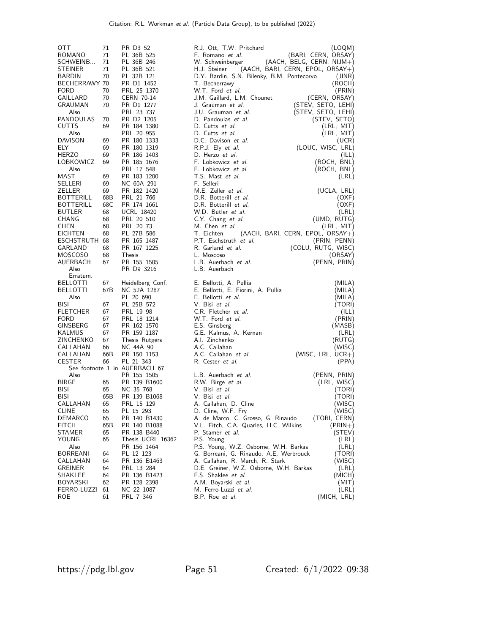| OTT<br>ROMANO<br>SCHWEINB<br><b>STEINER</b><br>BARDIN<br>BECHERRAWY 70<br><b>FORD</b><br>GAILLARD<br>GRAUMAN<br>Also<br>PANDOULAS<br><b>CUTTS</b><br>Also<br><b>DAVISON</b><br>ELY.<br><b>HERZO</b> | 71<br>71<br>71<br>71<br>70<br>70<br>70<br>70<br>70<br>69<br>69<br>69<br>69 | PR D3 52<br>PL 36B 525<br>PL 36B 246<br>PL 36B 521<br>PL 32B 121<br>PR D1 1452<br>PRL 25 1370<br>CERN 70-14<br>PR D1 1277<br>PRL 23 737<br>PR D2 1205<br>PR 184 1380<br>PRL 20 955<br>PR 180 1333<br>PR 180 1319<br>PR 186 1403 | R.J. Ott, T.W. Pritchard<br>F. Romano et al.<br>$(AACH, BELG, CERN, NIJM+)$<br>W. Schweinberger<br>H.J. Steiner<br>$(AACH, BARI, CERN, EPOL, ORSAY+)$<br>D.Y. Bardin, S.N. Bilenky, B.M. Pontecorvo<br>T. Becherrawy<br>W.T. Ford et al.<br>J.M. Gaillard, L.M. Chounet<br>J. Grauman et al.<br>J.U. Grauman et al.<br>D. Pandoulas et al.<br>D. Cutts et al.<br>D. Cutts et al.<br>D.C. Davison et al.<br>R.P.J. Ely et al.<br>D. Herzo et al. | (LOQM)<br>(BARI, CERN, ORSAY)<br>(JINR)<br>(ROCH)<br>(PRIN)<br>(CERN, ORSAY)<br>(STEV, SETO, LEHI)<br>(STEV, SETO, LEHI)<br>(STEV, SETO)<br>(LRL, MIT)<br>(LRL, MIT)<br>(UCR)<br>(LOUC, WISC, LRL)<br>(ILL) |
|-----------------------------------------------------------------------------------------------------------------------------------------------------------------------------------------------------|----------------------------------------------------------------------------|---------------------------------------------------------------------------------------------------------------------------------------------------------------------------------------------------------------------------------|-------------------------------------------------------------------------------------------------------------------------------------------------------------------------------------------------------------------------------------------------------------------------------------------------------------------------------------------------------------------------------------------------------------------------------------------------|-------------------------------------------------------------------------------------------------------------------------------------------------------------------------------------------------------------|
| LOBKOWICZ<br>Also<br>MAST                                                                                                                                                                           | 69<br>69                                                                   | PR 185 1676<br>PRL 17 548<br>PR 183 1200                                                                                                                                                                                        | F. Lobkowicz et al.<br>F. Lobkowicz et al.<br>T.S. Mast et al.                                                                                                                                                                                                                                                                                                                                                                                  | (ROCH, BNL)<br>(ROCH, BNL)<br>(LRL)                                                                                                                                                                         |
| SELLERI                                                                                                                                                                                             | 69                                                                         | NC 60A 291                                                                                                                                                                                                                      | F. Selleri                                                                                                                                                                                                                                                                                                                                                                                                                                      |                                                                                                                                                                                                             |
| ZELLER<br><b>BOTTERILL</b>                                                                                                                                                                          | 69                                                                         | PR 182 1420<br>PRL 21 766                                                                                                                                                                                                       | M.E. Zeller et al.<br>D.R. Botterill et al.                                                                                                                                                                                                                                                                                                                                                                                                     | (UCLA, LRL)                                                                                                                                                                                                 |
| <b>BOTTERILL</b>                                                                                                                                                                                    | 68B<br>68C                                                                 | PR 174 1661                                                                                                                                                                                                                     | D.R. Botterill et al.                                                                                                                                                                                                                                                                                                                                                                                                                           | (OXF)<br>(OXF)                                                                                                                                                                                              |
| <b>BUTLER</b>                                                                                                                                                                                       | 68                                                                         | <b>UCRL 18420</b>                                                                                                                                                                                                               | W.D. Butler et al.                                                                                                                                                                                                                                                                                                                                                                                                                              | (LRL)                                                                                                                                                                                                       |
| CHANG                                                                                                                                                                                               | 68                                                                         | PRL 20 510                                                                                                                                                                                                                      | C.Y. Chang et al.                                                                                                                                                                                                                                                                                                                                                                                                                               | (UMD, RUTG)                                                                                                                                                                                                 |
| <b>CHEN</b>                                                                                                                                                                                         | 68                                                                         | PRL 20 73                                                                                                                                                                                                                       | M. Chen et al.                                                                                                                                                                                                                                                                                                                                                                                                                                  | (LRL, MIT)                                                                                                                                                                                                  |
| <b>EICHTEN</b>                                                                                                                                                                                      | 68                                                                         | PL 27B 586                                                                                                                                                                                                                      | T. Eichten<br>$(AACH, BARI, CERN, EPOL, ORSAY+)$                                                                                                                                                                                                                                                                                                                                                                                                |                                                                                                                                                                                                             |
| ESCHSTRUTH 68                                                                                                                                                                                       |                                                                            | PR 165 1487                                                                                                                                                                                                                     | P.T. Eschstruth et al.                                                                                                                                                                                                                                                                                                                                                                                                                          | (PRIN, PENN)                                                                                                                                                                                                |
| GARLAND                                                                                                                                                                                             | 68                                                                         | PR 167 1225                                                                                                                                                                                                                     | R. Garland et al.                                                                                                                                                                                                                                                                                                                                                                                                                               | (COLU, RUTG, WISC)                                                                                                                                                                                          |
| MOSCOSO                                                                                                                                                                                             | 68                                                                         | Thesis                                                                                                                                                                                                                          | L. Moscoso                                                                                                                                                                                                                                                                                                                                                                                                                                      | (ORSAY)                                                                                                                                                                                                     |
| AUERBACH                                                                                                                                                                                            | 67                                                                         | PR 155 1505                                                                                                                                                                                                                     | L.B. Auerbach et al.                                                                                                                                                                                                                                                                                                                                                                                                                            | (PENN, PRIN)                                                                                                                                                                                                |
| Also<br>Erratum.                                                                                                                                                                                    |                                                                            | PR D9 3216                                                                                                                                                                                                                      | L.B. Auerbach                                                                                                                                                                                                                                                                                                                                                                                                                                   |                                                                                                                                                                                                             |
| <b>BELLOTTI</b>                                                                                                                                                                                     | 67                                                                         | Heidelberg Conf.                                                                                                                                                                                                                | E. Bellotti, A. Pullia                                                                                                                                                                                                                                                                                                                                                                                                                          | (MILA)                                                                                                                                                                                                      |
| <b>BELLOTTI</b>                                                                                                                                                                                     | 67B                                                                        | NC 52A 1287                                                                                                                                                                                                                     | E. Bellotti, E. Fiorini, A. Pullia                                                                                                                                                                                                                                                                                                                                                                                                              | (MILA)                                                                                                                                                                                                      |
| Also                                                                                                                                                                                                |                                                                            | PL 20 690                                                                                                                                                                                                                       | E. Bellotti et al.                                                                                                                                                                                                                                                                                                                                                                                                                              | (MILA)                                                                                                                                                                                                      |
| BISI                                                                                                                                                                                                | 67                                                                         | PL 25B 572                                                                                                                                                                                                                      | V. Bisi et al.                                                                                                                                                                                                                                                                                                                                                                                                                                  | (TORI)                                                                                                                                                                                                      |
| <b>FLETCHER</b>                                                                                                                                                                                     | 67                                                                         | PRL 19 98                                                                                                                                                                                                                       | C.R. Fletcher et al.                                                                                                                                                                                                                                                                                                                                                                                                                            | (ILL)                                                                                                                                                                                                       |
| <b>FORD</b>                                                                                                                                                                                         | 67                                                                         | PRL 18 1214                                                                                                                                                                                                                     | W.T. Ford et al.                                                                                                                                                                                                                                                                                                                                                                                                                                | (PRIN)                                                                                                                                                                                                      |
| GINSBERG                                                                                                                                                                                            | 67                                                                         | PR 162 1570                                                                                                                                                                                                                     | E.S. Ginsberg                                                                                                                                                                                                                                                                                                                                                                                                                                   | (MASB)                                                                                                                                                                                                      |
| KALMUS                                                                                                                                                                                              | 67                                                                         | PR 159 1187                                                                                                                                                                                                                     | G.E. Kalmus, A. Kernan                                                                                                                                                                                                                                                                                                                                                                                                                          | (LRL)                                                                                                                                                                                                       |
| ZINCHENKO                                                                                                                                                                                           | 67                                                                         | Thesis Rutgers                                                                                                                                                                                                                  | A.I. Zinchenko                                                                                                                                                                                                                                                                                                                                                                                                                                  | (RUTG)                                                                                                                                                                                                      |
| CALLAHAN<br>CALLAHAN                                                                                                                                                                                | 66                                                                         | NC 44A 90                                                                                                                                                                                                                       | A.C. Callahan<br>A.C. Callahan et al.                                                                                                                                                                                                                                                                                                                                                                                                           | (WISC)                                                                                                                                                                                                      |
| <b>CESTER</b>                                                                                                                                                                                       | 66B<br>66                                                                  | PR 150 1153<br>PL 21 343                                                                                                                                                                                                        | R. Cester et al.                                                                                                                                                                                                                                                                                                                                                                                                                                | (WISC, LRL, UCR+)<br>(PPA)                                                                                                                                                                                  |
|                                                                                                                                                                                                     |                                                                            | See footnote 1 in AUERBACH 67.                                                                                                                                                                                                  |                                                                                                                                                                                                                                                                                                                                                                                                                                                 |                                                                                                                                                                                                             |
| Also                                                                                                                                                                                                |                                                                            | PR 155 1505                                                                                                                                                                                                                     | L.B. Auerbach et al.                                                                                                                                                                                                                                                                                                                                                                                                                            | (PENN, PRIN)                                                                                                                                                                                                |
| BIRGE                                                                                                                                                                                               | 65                                                                         | PR 139 B1600                                                                                                                                                                                                                    | R.W. Birge et al.                                                                                                                                                                                                                                                                                                                                                                                                                               | (LRL, WISC)                                                                                                                                                                                                 |
| <b>BISI</b>                                                                                                                                                                                         | 65                                                                         | NC 35 768                                                                                                                                                                                                                       | V. Bisi et al.                                                                                                                                                                                                                                                                                                                                                                                                                                  | (TORI)                                                                                                                                                                                                      |
| <b>BISI</b>                                                                                                                                                                                         | 65B                                                                        | PR 139 B1068                                                                                                                                                                                                                    | V. Bisi <i>et al.</i>                                                                                                                                                                                                                                                                                                                                                                                                                           | (TORI)                                                                                                                                                                                                      |
| CALLAHAN                                                                                                                                                                                            | 65                                                                         | PRL 15 129                                                                                                                                                                                                                      | A. Callahan, D. Cline                                                                                                                                                                                                                                                                                                                                                                                                                           | (WISC)                                                                                                                                                                                                      |
| <b>CLINE</b>                                                                                                                                                                                        | 65                                                                         | PL 15 293                                                                                                                                                                                                                       | D. Cline, W.F. Fry                                                                                                                                                                                                                                                                                                                                                                                                                              | (WISC)                                                                                                                                                                                                      |
| <b>DEMARCO</b>                                                                                                                                                                                      | 65                                                                         | PR 140 B1430                                                                                                                                                                                                                    | A. de Marco, C. Grosso, G. Rinaudo                                                                                                                                                                                                                                                                                                                                                                                                              | (TORI, CERN)                                                                                                                                                                                                |
| <b>FITCH</b>                                                                                                                                                                                        | 65B                                                                        | PR 140 B1088                                                                                                                                                                                                                    | V.L. Fitch, C.A. Quarles, H.C. Wilkins                                                                                                                                                                                                                                                                                                                                                                                                          | $(PRIN+)$                                                                                                                                                                                                   |
| STAMER<br>YOUNG                                                                                                                                                                                     | 65<br>65                                                                   | PR 138 B440<br>Thesis UCRL 16362                                                                                                                                                                                                | P. Stamer et al.<br>P.S. Young                                                                                                                                                                                                                                                                                                                                                                                                                  | (STEV)<br>(LRL)                                                                                                                                                                                             |
| Also                                                                                                                                                                                                |                                                                            | PR 156 1464                                                                                                                                                                                                                     | P.S. Young, W.Z. Osborne, W.H. Barkas                                                                                                                                                                                                                                                                                                                                                                                                           | (LRL)                                                                                                                                                                                                       |
| <b>BORREANI</b>                                                                                                                                                                                     | 64                                                                         | PL 12 123                                                                                                                                                                                                                       | G. Borreani, G. Rinaudo, A.E. Werbrouck                                                                                                                                                                                                                                                                                                                                                                                                         | (TORI)                                                                                                                                                                                                      |
| CALLAHAN                                                                                                                                                                                            | 64                                                                         | PR 136 B1463                                                                                                                                                                                                                    | A. Callahan, R. March, R. Stark                                                                                                                                                                                                                                                                                                                                                                                                                 | (WISC)                                                                                                                                                                                                      |
| <b>GREINER</b>                                                                                                                                                                                      | 64                                                                         | PRL 13 284                                                                                                                                                                                                                      | D.E. Greiner, W.Z. Osborne, W.H. Barkas                                                                                                                                                                                                                                                                                                                                                                                                         | (LRL)                                                                                                                                                                                                       |
| SHAKLEE                                                                                                                                                                                             | 64                                                                         | PR 136 B1423                                                                                                                                                                                                                    | F.S. Shaklee et al.                                                                                                                                                                                                                                                                                                                                                                                                                             | (MICH)                                                                                                                                                                                                      |
| <b>BOYARSKI</b>                                                                                                                                                                                     | 62                                                                         | PR 128 2398                                                                                                                                                                                                                     | A.M. Boyarski et al.                                                                                                                                                                                                                                                                                                                                                                                                                            | (MIT)                                                                                                                                                                                                       |
| FERRO-LUZZI                                                                                                                                                                                         | 61                                                                         | NC 22 1087                                                                                                                                                                                                                      | M. Ferro-Luzzi et al.                                                                                                                                                                                                                                                                                                                                                                                                                           | (LRL)                                                                                                                                                                                                       |
| ROE                                                                                                                                                                                                 | 61                                                                         | PRL 7 346                                                                                                                                                                                                                       | B.P. Roe <i>et al.</i>                                                                                                                                                                                                                                                                                                                                                                                                                          | (MICH, LRL)                                                                                                                                                                                                 |